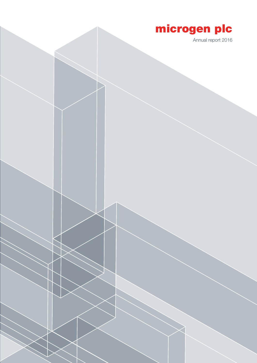

Annual report 2016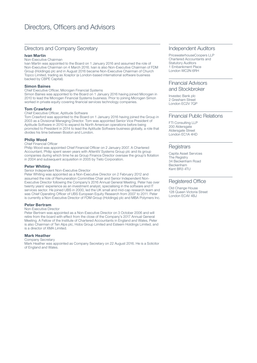#### Directors and Company Secretary

#### Ivan Martin

#### Non-Executive Chairman

Ivan Martin was appointed to the Board on 1 January 2016 and assumed the role of Non-Executive Chairman on 4 March 2016. Ivan is also Non-Executive Chairman of FDM Group (Holdings) plc and in August 2016 became Non-Executive Chairman of Church Topco Limited, trading as Xceptor (a London-based international software business backed by CBPE Capital).

#### Simon Baines

Chief Executive Officer, Microgen Financial Systems

Simon Baines was appointed to the Board on 1 January 2016 having joined Microgen in 2010 to lead the Microgen Financial Systems business. Prior to joining Microgen Simon worked in private equity covering financial services technology companies.

#### Tom Crawford

Chief Executive Officer, Aptitude Software

Tom Crawford was appointed to the Board on 1 January 2016 having joined the Group in 2003 as a Divisional Managing Director. Tom was appointed Senior Vice President of Aptitude Software in 2010 to expand its North American operations before being promoted to President in 2014 to lead the Aptitude Software business globally, a role that divides his time between Boston and London.

#### Philip Wood

#### Chief Financial Officer

Philip Wood was appointed Chief Financial Officer on 2 January 2007. A Chartered Accountant, Philip spent seven years with AttentiV Systems Group plc and its group companies during which time he as Group Finance Director oversaw the group's flotation in 2004 and subsequent acquisition in 2005 by Tieto Corporation.

#### Peter Whiting

Senior Independent Non-Executive Director

Peter Whiting was appointed as a Non-Executive Director on 2 February 2012 and assumed the role of Remuneration Committee Chair and Senior Independent Non-Executive Director following the Company's 2016 Annual General Meeting. Peter has over twenty years' experience as an investment analyst, specialising in the software and IT services sector. He joined UBS in 2000, led the UK small and mid-cap research team and was Chief Operating Officer of UBS European Equity Research from 2007 to 2011. Peter is currently a Non-Executive Director of FDM Group (Holdings) plc and MBA Polymers Inc.

#### Peter Bertram

#### Non-Executive Director

Peter Bertram was appointed as a Non-Executive Director on 3 October 2006 and will retire from the board with effect from the close of the Company's 2017 Annual General Meeting. A Fellow of the Institute of Chartered Accountants in England and Wales, Peter is also Chairman of Ten Alps plc, Hobs Group Limited and Esteem Holdings Limited, and is a director of XMA Limited.

#### Mark Heather

Company Secretary

Mark Heather was appointed as Company Secretary on 22 August 2016. He is a Solicitor of England and Wales.

#### Independent Auditors

PricewaterhouseCoopers LLP Chartered Accountants and Statutory Auditors 1 Embankment Place London WC2N 6RH

## Financial Advisors and Stockbroker

Investec Bank plc 2 Gresham Street London EC2V 7QP

## Financial Public Relations

FTI Consulting LLP 200 Aldersgate Aldersgate Street London EC1A 4HD

## **Registrars**

Capita Asset Services The Registry 34 Beckenham Road Beckenham Kent BR3 4TU

#### Registered Office

Old Change House 128 Queen Victoria Street London EC4V 4BJ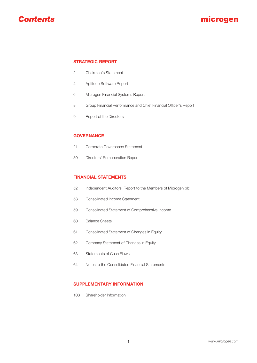# *Contents*

# microgen

## **STRATEGIC REPORT**

- Chairman's Statement
- Aptitude Software Report
- Microgen Financial Systems Report
- Group Financial Performance and Chief Financial Officer's Report
- Report of the Directors

## **GOVERNANCE**

- Corporate Governance Statement
- Directors' Remuneration Report

## **FINANCIAL STATEMENTS**

- Independent Auditors' Report to the Members of Microgen plc
- Consolidated Income Statement
- Consolidated Statement of Comprehensive Income
- Balance Sheets
- Consolidated Statement of Changes in Equity
- Company Statement of Changes in Equity
- Statements of Cash Flows
- Notes to the Consolidated Financial Statements

## **SUPPLEMENTARY INFORMATION**

Shareholder Information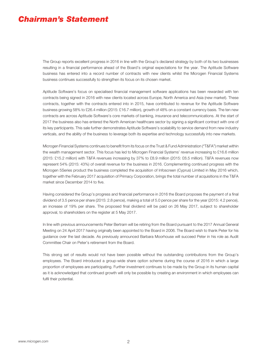# *Chairman's Statement*

The Group reports excellent progress in 2016 in line with the Group's declared strategy by both of its two businesses resulting in a financial performance ahead of the Board's original expectations for the year. The Aptitude Software business has entered into a record number of contracts with new clients whilst the Microgen Financial Systems business continues successfully to strengthen its focus on its chosen market.

Aptitude Software's focus on specialised financial management software applications has been rewarded with ten contracts being signed in 2016 with new clients located across Europe, North America and Asia (new market). These contracts, together with the contracts entered into in 2015, have contributed to revenue for the Aptitude Software business growing 58% to £26.4 million (2015: £16.7 million), growth of 48% on a constant currency basis. The ten new contracts are across Aptitude Software's core markets of banking, insurance and telecommunications. At the start of 2017 the business also has entered the North American healthcare sector by signing a significant contract with one of its key participants. This sale further demonstrates Aptitude Software's scalability to service demand from new industry verticals, and the ability of the business to leverage both its expertise and technology successfully into new markets.

Microgen Financial Systems continues to benefit from its focus on the Trust & Fund Administration ("T&FA") market within the wealth management sector. This focus has led to Microgen Financial Systems' revenue increasing to £16.6 million (2015: £15.2 million) with T&FA revenues increasing by 37% to £8.9 million (2015: £6.5 million). T&FA revenues now represent 54% (2015: 43%) of overall revenue for the business in 2016. Complementing continued progress with the Microgen 5Series product the business completed the acquisition of Infoscreen (Cyprus) Limited in May 2016 which, together with the February 2017 acquisition of Primacy Corporation, brings the total number of acquisitions in the T&FA market since December 2014 to five.

Having considered the Group's progress and financial performance in 2016 the Board proposes the payment of a final dividend of 3.5 pence per share (2015: 2.8 pence), making a total of 5.0 pence per share for the year (2015: 4.2 pence), an increase of 19% per share. The proposed final dividend will be paid on 26 May 2017, subject to shareholder approval, to shareholders on the register at 5 May 2017.

In line with previous announcements Peter Bertram will be retiring from the Board pursuant to the 2017 Annual General Meeting on 24 April 2017 having originally been appointed to the Board in 2006. The Board wish to thank Peter for his guidance over the last decade. As previously announced Barbara Moorhouse will succeed Peter in his role as Audit Committee Chair on Peter's retirement from the Board.

This strong set of results would not have been possible without the outstanding contributions from the Group's employees. The Board introduced a group-wide share option scheme during the course of 2016 in which a large proportion of employees are participating. Further investment continues to be made by the Group in its human capital as it is acknowledged that continued growth will only be possible by creating an environment in which employees can fulfil their potential.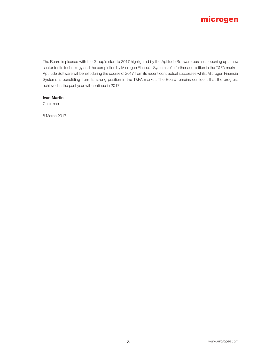The Board is pleased with the Group's start to 2017 highlighted by the Aptitude Software business opening up a new sector for its technology and the completion by Microgen Financial Systems of a further acquisition in the T&FA market. Aptitude Software will benefit during the course of 2017 from its recent contractual successes whilst Microgen Financial Systems is benefitting from its strong position in the T&FA market. The Board remains confident that the progress achieved in the past year will continue in 2017.

## **Ivan Martin**

Chairman

8 March 2017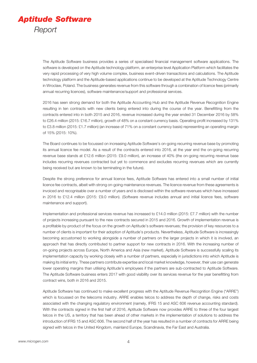

The Aptitude Software business provides a series of specialised financial management software applications. The software is developed on the Aptitude technology platform, an enterprise level Application Platform which facilitates the very rapid processing of very high volume complex, business event-driven transactions and calculations. The Aptitude technology platform and the Aptitude-based applications continue to be developed at the Aptitude Technology Centre in Wroclaw, Poland. The business generates revenue from this software through a combination of licence fees (primarily annual recurring licences), software maintenance/support and professional services.

2016 has seen strong demand for both the Aptitude Accounting Hub and the Aptitude Revenue Recognition Engine resulting in ten contracts with new clients being entered into during the course of the year. Benefitting from the contracts entered into in both 2015 and 2016, revenue increased during the year ended 31 December 2016 by 58% to £26.4 million (2015: £16.7 million), growth of 48% on a constant currency basis. Operating profit increased by 131% to £3.8 million (2015: £1.7 million) (an increase of 71% on a constant currency basis) representing an operating margin of 15% (2015: 10%).

The Board continues to be focussed on increasing Aptitude Software's on-going recurring revenue base by promoting its annual licence fee model. As a result of the contracts entered into 2016, at the year end the on-going recurring revenue base stands at £12.6 million (2015: £9.0 million), an increase of 40% (the on-going recurring revenue base includes recurring revenues contracted but yet to commence and excludes recurring revenues which are currently being received but are known to be terminating in the future).

Despite the strong preference for annual licence fees, Aptitude Software has entered into a small number of initial licence fee contracts, albeit with strong on-going maintenance revenues. The licence revenue from these agreements is invoiced and recognisable over a number of years and is disclosed within the software revenues which have increased in 2016 to £12.4 million (2015: £9.0 million). (Software revenue includes annual and initial licence fees, software maintenance and support).

Implementation and professional services revenue has increased to £14.0 million (2015: £7.7 million) with the number of projects increasing pursuant to the new contracts secured in 2015 and 2016. Growth of implementation revenue is a profitable by-product of the focus on the growth on Aptitude's software revenues; the provision of key resources to a number of clients is important for their adoption of Aptitude's products. Nevertheless, Aptitude Software is increasingly becoming accustomed to working alongside a number of partners on the larger projects in which it is involved, an approach that has directly contributed to partner support for new contracts in 2016. With the increasing number of on-going projects across Europe, North America and Asia (new market), Aptitude Software is successfully scaling its implementation capacity by working closely with a number of partners, especially in jurisdictions into which Aptitude is making its initial entry. These partners contribute expertise and local market knowledge, however, their use can generate lower operating margins than utilising Aptitude's employees if the partners are sub-contracted to Aptitude Software. The Aptitude Software business enters 2017 with good visibility over its services revenue for the year benefitting from contract wins, both in 2016 and 2015.

Aptitude Software has continued to make excellent progress with the Aptitude Revenue Recognition Engine ("ARRE") which is focussed on the telecoms industry. ARRE enables telcos to address the depth of change, risks and costs associated with the changing regulatory environment (namely, IFRS 15 and ASC 606 revenue accounting standard). With the contracts signed in the first half of 2016, Aptitude Software now provides ARRE to three of the four largest telcos in the US, a territory that has been ahead of other markets in the implementation of solutions to address the introduction of IFRS 15 and ASC 606. The second half of the year has resulted in a number of contracts for ARRE being signed with telcos in the United Kingdom, mainland Europe, Scandinavia, the Far East and Australia.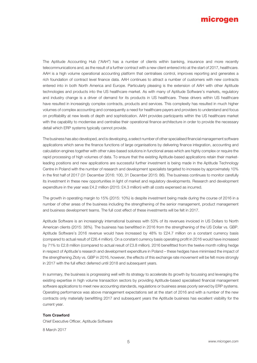The Aptitude Accounting Hub ("AAH") has a number of clients within banking, insurance and more recently telecommunications and, as the result of a further contract with a new client entered into at the start of 2017, healthcare. AAH is a high volume operational accounting platform that centralises control, improves reporting and generates a rich foundation of contract level finance data. AAH continues to attract a number of customers with new contracts entered into in both North America and Europe. Particularly pleasing is the extension of AAH with other Aptitude technologies and products into the US healthcare market. As with many of Aptitude Software's markets, regulatory and industry change is a driver of demand for its products in US healthcare. These drivers within US healthcare have resulted in increasingly complex contracts, products and services. This complexity has resulted in much higher volumes of complex accounting and consequently a need for healthcare payers and providers to understand and focus on profitability at new levels of depth and sophistication. AAH provides participants within the US healthcare market with the capability to modernise and centralise their operational finance architecture in order to provide the necessary detail which ERP systems typically cannot provide.

The business has also developed, and is developing, a select number of other specialised financial management software applications which serve the finance functions of large organisations by delivering finance integration, accounting and calculation engines together with other rules-based solutions in functional areas which are highly complex or require the rapid processing of high volumes of data. To ensure that the existing Aptitude-based applications retain their marketleading positions and new applications are successful further investment is being made in the Aptitude Technology Centre in Poland with the number of research and development specialists targeted to increase by approximately 10% in the first half of 2017 (31 December 2016: 100, 31 December 2015: 86). The business continues to monitor carefully its investment in these new opportunities in light of market and regulatory developments. Research and development expenditure in the year was £4.2 million (2015: £4.3 million) with all costs expensed as incurred.

The growth in operating margin to 15% (2015: 10%) is despite investment being made during the course of 2016 in a number of other areas of the business including the strengthening of the senior management, product management and business development teams. The full cost effect of these investments will be felt in 2017.

Aptitude Software is an increasingly international business with 53% of its revenues invoiced in US Dollars to North American clients (2015: 38%). The business has benefitted in 2016 from the strengthening of the US Dollar vs. GBP. Aptitude Software's 2016 revenue would have increased by 48% to £24.7 million on a constant currency basis (compared to actual result of £26.4 million). On a constant currency basis operating profit in 2016 would have increased by 71% to £2.8 million (compared to actual result of £3.8 million). 2016 benefitted from the twelve month rolling hedge in respect of Aptitude's research and development expenditure in Poland – these hedges have minimised the impact of the strengthening Zloty vs. GBP in 2016, however, the effects of this exchange rate movement will be felt more strongly in 2017 with the full effect deferred until 2018 and subsequent years.

In summary, the business is progressing well with its strategy to accelerate its growth by focussing and leveraging the existing expertise in high volume transaction sectors by providing Aptitude-based specialised financial management software applications to meet new accounting standards, regulations or business areas poorly served by ERP systems. Operating performance was above management expectations set at the start of 2016 and with a number of the new contracts only materially benefitting 2017 and subsequent years the Aptitude business has excellent visibility for the current year.

#### **Tom Crawford**

Chief Executive Officer, Aptitude Software

8 March 2017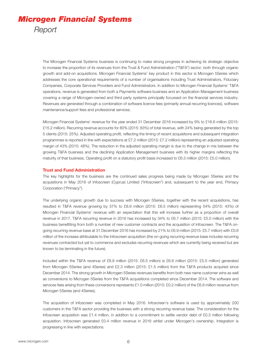# *Microgen Financial Systems Report*

The Microgen Financial Systems business is continuing to make strong progress in achieving its strategic objective to increase the proportion of its revenues from the Trust & Fund Administration ("T&FA") sector, both through organic growth and add-on acquisitions. Microgen Financial Systems' key product in this sector is Microgen 5Series which addresses the core operational requirements of a number of organisations including Trust Administrators, Fiduciary Companies, Corporate Services Providers and Fund Administrators. In addition to Microgen Financial Systems' T&FA operations, revenue is generated from both a Payments software business and an Application Management business covering a range of Microgen-owned and third party systems principally focussed on the financial services industry. Revenues are generated through a combination of software licence fees (primarily annual recurring licences), software maintenance/support fees and professional services.

Microgen Financial Systems' revenue for the year ended 31 December 2016 increased by 9% to £16.6 million (2015: £15.2 million). Recurring revenue accounts for 80% (2015: 83%) of total revenue, with 24% being generated by the top 5 clients (2015: 25%). Adjusted operating profit, reflecting the timing of recent acquisitions and subsequent integration programmes is reported in line with expectations at £7.2 million (2015: £7.2 million) representing an adjusted operating margin of 43% (2015: 48%). The reduction in the adjusted operating margin is due to the change in mix between the growing T&FA business and the declining Application Management business with its higher margins reflecting the maturity of that business. Operating profit on a statutory profit basis increased to £6.3 million (2015: £5.0 million).

#### **Trust and Fund Administration**

The key highlights for the business are the continued sales progress being made by Microgen 5Series and the acquisitions in May 2016 of Infoscreen (Cyprus) Limited ("Infoscreen") and, subsequent to the year end, Primacy Corporation ("Primacy").

The underlying organic growth due to success with Microgen 5Series, together with the recent acquisitions, has resulted in T&FA revenue growing by 37% to £8.9 million (2015: £6.5 million) representing 54% (2015: 43%) of Microgen Financial Systems' revenue with an expectation that this will increase further as a proportion of overall revenue in 2017. T&FA recurring revenue in 2016 has increased by 34% to £6.7 million (2015: £5.0 million) with the business benefitting from both a number of new customer contracts and the acquisition of Infoscreen. The T&FA ongoing recurring revenue base at 31 December 2016 has increased by 21% to £6.9 million (2015: £5.7 million) with £0.6 million of the increase attributable to the Infoscreen acquisition (the on-going recurring revenue base includes recurring revenues contracted but yet to commence and excludes recurring revenues which are currently being received but are known to be terminating in the future).

Included within the T&FA revenue of £8.9 million (2015: £6.5 million) is £6.6 million (2015: £5.0 million) generated from Microgen 5Series (and 4Series) and £2.3 million (2015: £1.5 million) from the T&FA products acquired since December 2014. The strong growth in Microgen 5Series revenues benefits from both new name customer wins as well as conversions to Microgen 5Series from the T&FA acquisitions completed since December 2014. The software and services fees arising from these conversions represents £1.0 million (2015: £0.2 million) of the £6.6 million revenue from Microgen 5Series (and 4Series).

The acquisition of Infoscreen was completed in May 2016. Infoscreen's software is used by approximately 200 customers in the T&FA sector providing the business with a strong recurring revenue base. The consideration for the Infoscreen acquisition was £1.4 million, in addition to a commitment to settle vendor debt of £0.3 million following acquisition. Infoscreen generated £0.4 million revenue in 2016 whilst under Microgen's ownership. Integration is progressing in line with expectations.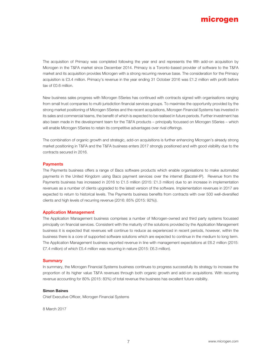

The acquisition of Primacy was completed following the year end and represents the fifth add-on acquisition by Microgen in the T&FA market since December 2014. Primacy is a Toronto-based provider of software to the T&FA market and its acquisition provides Microgen with a strong recurring revenue base. The consideration for the Primacy acquisition is £3.4 million. Primacy's revenue in the year ending 31 October 2016 was £1.2 million with profit before tax of £0.6 million.

New business sales progress with Microgen 5Series has continued with contracts signed with organisations ranging from small trust companies to multi-jurisdiction financial services groups. To maximise the opportunity provided by the strong market positioning of Microgen 5Series and the recent acquisitions, Microgen Financial Systems has invested in its sales and commercial teams, the benefit of which is expected to be realised in future periods. Further investment has also been made in the development team for the T&FA products – principally focussed on Microgen 5Series – which will enable Microgen 5Series to retain its competitive advantages over rival offerings.

The combination of organic growth and strategic, add-on acquisitions is further enhancing Microgen's already strong market positioning in T&FA and the T&FA business enters 2017 strongly positioned and with good visibility due to the contracts secured in 2016.

#### **Payments**

The Payments business offers a range of Bacs software products which enable organisations to make automated payments in the United Kingdom using Bacs payment services over the internet (Bacstel-IP). Revenue from the Payments business has increased in 2016 to £1.5 million (2015: £1.3 million) due to an increase in implementation revenues as a number of clients upgraded to the latest version of the software. Implementation revenues in 2017 are expected to return to historical levels. The Payments business benefits from contracts with over 500 well-diversified clients and high levels of recurring revenue (2016: 85% (2015: 92%)).

#### **Application Management**

The Application Management business comprises a number of Microgen-owned and third party systems focussed principally on financial services. Consistent with the maturity of the solutions provided by the Application Management business it is expected that revenues will continue to reduce as experienced in recent periods, however, within the business there is a core of supported software solutions which are expected to continue in the medium to long term. The Application Management business reported revenue in line with management expectations at £6.2 million (2015: £7.4 million) of which £5.4 million was recurring in nature (2015: £6.3 million).

#### **Summary**

In summary, the Microgen Financial Systems business continues to progress successfully its strategy to increase the proportion of its higher value T&FA revenues through both organic growth and add-on acquisitions. With recurring revenue accounting for 80% (2015: 83%) of total revenue the business has excellent future visibility.

#### **Simon Baines**

Chief Executive Officer, Microgen Financial Systems

8 March 2017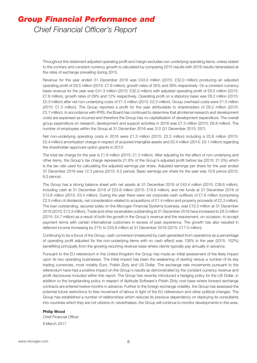# *Group Financial Performance and*

*Chief Financial Officer's Report*

Throughout this statement adjusted operating profit and margin excludes non-underlying operating items, unless stated to the contrary and constant currency growth is calculated by comparing 2015 results with 2016 results retranslated at the rates of exchange prevailing during 2015.

Revenue for the year ended 31 December 2016 was £43.0 million (2015: £32.0 million) producing an adjusted operating profit of £9.5 million (2015: £7.6 million), growth rates of 35% and 26% respectively. On a constant currency basis revenue for the year was £41.3 million (2015: £32.0 million) with adjusted operating profit of £8.5 million (2015: £7.6 million), growth rates of 29% and 12% respectively. Operating profit on a statutory basis was £8.2 million (2015: £5.3 million) after net non-underlying costs of £1.3 million (2015: £2.3 million). Group overhead costs were £1.5 million (2015: £1.3 million). The Group reported a profit for the year attributable to shareholders of £6.2 million (2015: £3.7 million). In accordance with IFRS, the Board has continued to determine that all internal research and development costs are expensed as incurred and therefore the Group has no capitalisation of development expenditure. The overall group expenditure on research, development and support activities in 2016 was £7.3 million (2015: £6.8 million). The number of employees within the Group at 31 December 2016 was 312 (31 December 2015: 257).

Net non-underlying operating costs in 2016 were £1.3 million (2015: £2.3 million) including a £0.8 million (2015: £0.4 million) amortisation charge in respect of acquired intangible assets and £0.4 million (2015: £0.1 million) regarding the shareholder-approved option grants in 2013.

The total tax charge for the year is £1.6 million (2015: £1.2 million). After adjusting for the effect of non-underlying and other items, the Group's tax charge represents 21.8% of the Group's adjusted profit before tax (2015: 21.5%) which is the tax rate used for calculating the adjusted earnings per share. Adjusted earnings per share for the year ended 31 December 2016 was 12.3 pence (2015: 9.2 pence). Basic earnings per share for the year was 10.6 pence (2015: 6.0 pence).

The Group has a strong balance sheet with net assets at 31 December 2016 of £43.4 million (2015: £38.6 million), including cash at 31 December 2016 of £23.8 million (2015: £18.6 million), and net funds at 31 December 2016 of £13.6 million (2015: £5.4 million). During the year there were net corporate cash outflows of £1.6 million (comprising £2.5 million of dividends, net consideration related to acquisitions of £1.4 million and property proceeds of £2.3 million). The loan outstanding, secured solely on the Microgen Financial Systems business, was £10.3 million at 31 December 2016 (2015: £13.3 million). Trade and other receivables outstanding at 31 December 2016 have increased to £8.3 million (2015: £4.7 million) as a result of both the growth in the Group's revenue and the requirement, on occasion, to accept payment terms with certain international customers in excess of past experience. The growth has also resulted in deferred income increasing by 21% to £20.6 million at 31 December 2016 (2015: £17.0 million).

Continuing to be a focus of the Group, cash conversion (measured by cash generated from operations as a percentage of operating profit adjusted for the non-underlying items with no cash effect) was 138% in the year (2015: 102%) benefitting principally from the growing recurring revenue base where clients typically pay annually in advance.

Pursuant to the EU referendum in the United Kingdom the Group has made an initial assessment of the likely impact upon its two operating businesses. The initial impact has been the weakening of sterling versus a number of its key trading currencies, most notably Euro, Polish Zloty and US Dollar. The exchange rate movements pursuant to the referendum have had a positive impact on the Group's results as demonstrated by the constant currency revenue and profit disclosures included within this report. The Group has recently introduced a hedging policy for the US Dollar, in addition to the longstanding policy in respect of Aptitude Software's Polish Zloty cost base where forward exchange contracts are entered twelve months in advance. Further to the foreign exchange volatility, the Group has assessed the potential future restrictions to free movement of labour in light of the EU referendum and other political changes. The Group has established a number of relationships which reduces its previous dependency on deploying its consultants into countries which they are not citizens of, nevertheless, the Group will continue to monitor developments in this area.

#### **Philip Wood**

Chief Financial Officer 8 March 2017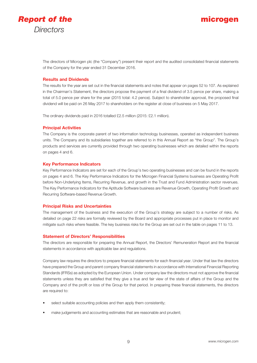

The directors of Microgen plc (the "Company") present their report and the audited consolidated financial statements of the Company for the year ended 31 December 2016.

#### **Results and Dividends**

The results for the year are set out in the financial statements and notes that appear on pages 52 to 107. As explained in the Chairman's Statement, the directors propose the payment of a final dividend of 3.5 pence per share, making a total of 5.0 pence per share for the year (2015 total: 4.2 pence). Subject to shareholder approval, the proposed final dividend will be paid on 26 May 2017 to shareholders on the register at close of business on 5 May 2017.

The ordinary dividends paid in 2016 totalled £2.5 million (2015: £2.1 million).

#### **Principal Activities**

The Company is the corporate parent of two information technology businesses, operated as independent business units. The Company and its subsidiaries together are referred to in this Annual Report as "the Group". The Group's products and services are currently provided through two operating businesses which are detailed within the reports on pages 4 and 6.

#### **Key Performance Indicators**

Key Performance Indicators are set for each of the Group's two operating businesses and can be found in the reports on pages 4 and 6. The Key Performance Indicators for the Microgen Financial Systems business are Operating Profit before Non-Underlying Items, Recurring Revenue, and growth in the Trust and Fund Administration sector revenues. The Key Performance Indicators for the Aptitude Software business are Revenue Growth, Operating Profit Growth and Recurring Software-based Revenue Growth.

#### **Principal Risks and Uncertainties**

The management of the business and the execution of the Group's strategy are subject to a number of risks. As detailed on page 22 risks are formally reviewed by the Board and appropriate processes put in place to monitor and mitigate such risks where feasible. The key business risks for the Group are set out in the table on pages 11 to 13.

#### **Statement of Directors' Responsibilities**

The directors are responsible for preparing the Annual Report, the Directors' Remuneration Report and the financial statements in accordance with applicable law and regulations.

Company law requires the directors to prepare financial statements for each financial year. Under that law the directors have prepared the Group and parent company financial statements in accordance with International Financial Reporting Standards (IFRSs) as adopted by the European Union. Under company law the directors must not approve the financial statements unless they are satisfied that they give a true and fair view of the state of affairs of the Group and the Company and of the profit or loss of the Group for that period. In preparing these financial statements, the directors are required to:

- select suitable accounting policies and then apply them consistently;
- make judgements and accounting estimates that are reasonable and prudent;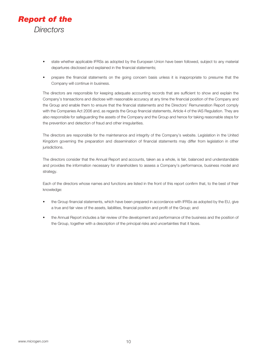

- state whether applicable IFRSs as adopted by the European Union have been followed, subject to any material departures disclosed and explained in the financial statements;
- prepare the financial statements on the going concern basis unless it is inappropriate to presume that the Company will continue in business.

The directors are responsible for keeping adequate accounting records that are sufficient to show and explain the Company's transactions and disclose with reasonable accuracy at any time the financial position of the Company and the Group and enable them to ensure that the financial statements and the Directors' Remuneration Report comply with the Companies Act 2006 and, as regards the Group financial statements, Article 4 of the IAS Regulation. They are also responsible for safeguarding the assets of the Company and the Group and hence for taking reasonable steps for the prevention and detection of fraud and other irregularities.

The directors are responsible for the maintenance and integrity of the Company's website. Legislation in the United Kingdom governing the preparation and dissemination of financial statements may differ from legislation in other jurisdictions.

The directors consider that the Annual Report and accounts, taken as a whole, is fair, balanced and understandable and provides the information necessary for shareholders to assess a Company's performance, business model and strategy.

Each of the directors whose names and functions are listed in the front of this report confirm that, to the best of their knowledge:

- the Group financial statements, which have been prepared in accordance with IFRSs as adopted by the EU, give a true and fair view of the assets, liabilities, financial position and profit of the Group; and
- the Annual Report includes a fair review of the development and performance of the business and the position of the Group, together with a description of the principal risks and uncertainties that it faces.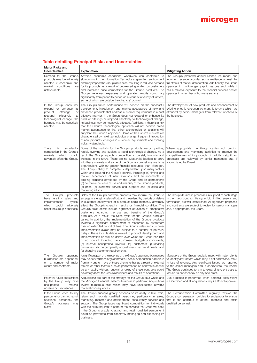# **Table detailing Principal Risks and Uncertainties**

| <b>Major Risks and</b><br><b>Uncertainties</b>                                                                                                                                       | <b>Explanation</b>                                                                                                                                                                                                                                                                                                                                                                                                                                                                                                                                                                                                                                                                                                                                                                                                                                                                                                                                                                                                                                                                                                                          | <b>Mitigating Action</b>                                                                                                                                                                                                                                                                                                                           |  |
|--------------------------------------------------------------------------------------------------------------------------------------------------------------------------------------|---------------------------------------------------------------------------------------------------------------------------------------------------------------------------------------------------------------------------------------------------------------------------------------------------------------------------------------------------------------------------------------------------------------------------------------------------------------------------------------------------------------------------------------------------------------------------------------------------------------------------------------------------------------------------------------------------------------------------------------------------------------------------------------------------------------------------------------------------------------------------------------------------------------------------------------------------------------------------------------------------------------------------------------------------------------------------------------------------------------------------------------------|----------------------------------------------------------------------------------------------------------------------------------------------------------------------------------------------------------------------------------------------------------------------------------------------------------------------------------------------------|--|
| Demand for the Group's<br>products may be adversely<br>affected if economic and<br>market<br>conditions<br>are<br>unfavourable.                                                      | Adverse economic conditions worldwide can contribute to<br>slowdowns in the Information Technology spending environment<br>and may impact the Group's business, resulting in reduced demand<br>for its products as a result of decreased spending by customers<br>and increased price competition for the Group's products. The<br>Group's revenues, expenses and operating results could vary<br>significantly from period to period as a result of a variety of factors,<br>some of which are outside the directors' control.                                                                                                                                                                                                                                                                                                                                                                                                                                                                                                                                                                                                             | The Group's preferred annual licence fee model and<br>recurring revenue provides some resilience against the<br>full effects of market deterioration. Additionally, the Group<br>operates in multiple geographic regions and, while it<br>has a material exposure to the financial services sector,<br>operates in a number of business sectors.   |  |
| If the Group does not<br>expand or enhance its<br>product<br>offerings<br>or<br>effectively<br>respond<br>to<br>technological change, the<br>business may be negatively<br>affected. | The Group's future performance will depend on the successful<br>development, introduction and market acceptance of new and<br>enhanced products that address customer requirements in a cost<br>effective manner. If the Group does not expand or enhance its<br>product offerings or respond effectively to technological change,<br>its business may be negatively affected. Additionally, there is a risk<br>that the Group's technological approach will not achieve broad<br>market acceptance or that other technologies or solutions will<br>supplant the Group's approach. Some of the Group's markets are<br>characterised by rapid technological change, frequent introduction<br>of new products, changes in customer requirements and evolving<br>industry standards.                                                                                                                                                                                                                                                                                                                                                           | The development of new products and enhancement of<br>existing ones is overseen by monthly forums which are<br>attended by senior managers from relevant functions of<br>the business.                                                                                                                                                             |  |
| There<br>substantial<br>is<br>competition in the Group's<br>markets<br>which<br>could<br>adversely affect the Group.                                                                 | Some of the markets for the Group's products are competitive,<br>rapidly evolving and subject to rapid technological change. As a<br>result the Group expects competition to persist, intensify and<br>increase in the future. There are no substantial barriers to entry<br>into these markets and some of the Group's competitors are large<br>organisations with far greater financial resources than Microgen.<br>The Group's ability to compete is dependent upon many factors<br>within and beyond the Group's control, including: (a) timing and<br>market acceptance of new solutions and enhancements to<br>existing solutions developed by the Group and its competitors;<br>(b) performance, ease of use and reliability of the Group's products;<br>(c) price; (d) customer service and support; and (e) sales and<br>marketing efforts.                                                                                                                                                                                                                                                                                        | Where appropriate the Group carries out product<br>development and marketing activities to improve the<br>competitiveness of its products. In addition significant<br>proposals are reviewed by senior managers and, if<br>appropriate, the Board.                                                                                                 |  |
| Group's<br>products<br>The<br>have lengthy sales and<br>implementation<br>cycles,<br>which could<br>adversely<br>affect the Group's business.                                        | Sales of the Group's software products may require the Group to<br>engage in a lengthy sales effort, and these lengthy periods or delays<br>in customer deployment of a product could materially adversely<br>affect the Group's operating results or financial condition. The<br>Group's sales efforts include significant education of prospective<br>customers regarding the use and benefits of the Group's<br>products. As a result, the sales cycle for the Group's products<br>varies. In addition, the implementation of the Group's products<br>involves a significant commitment of resources by customers<br>over an extended period of time. The Group's sales and customer<br>implementation cycles may be subject to a number of potential<br>delays. These include delays related to product development and<br>implementation as well as delays over which the Group has little<br>or no control, including: (a) customers' budgetary constraints;<br>(b) internal acceptance reviews; (c) customers' purchasing<br>processes; (d) the complexity of customers' technical needs; and<br>(e) changing customer requirements. | The Group's business processes in support of each stage<br>in the major contract life cycle (bid, in-life, renewal and<br>termination) are well-established. All significant proposals<br>and contracts are subject to review by senior managers<br>and, if appropriate, the Board.                                                                |  |
| The<br>Group's<br>operating<br>businesses are dependent<br>on a number of major<br>clients and contracts.                                                                            | A significant part of the revenue of the Group's operating businesses<br>may be derived from large contracts. Loss of or reduction in revenue<br>from any one or more of these clients (either as a result of external<br>factors or other factors such as performance on contracts) as well<br>as any expiry without renewal or delay of these contracts could<br>adversely affect the Group's business and results of operations.                                                                                                                                                                                                                                                                                                                                                                                                                                                                                                                                                                                                                                                                                                         | Managers of the Group regularly meet with major clients<br>to identify any factors which may, if not addressed, result<br>in loss of revenue. Any significant issues are reported<br>to the senior managers and, if appropriate, the Board.<br>The Group continues to aim to expand its client base to<br>reduce its dependency on any one client. |  |
| Potential future acquisitions<br>by the Group may have<br>unexpected<br>material<br>adverse consequences.                                                                            | Acquisitions are part of the strategy for the Group as a whole and<br>the Microgen Financial Systems business in particular. Acquisitions<br>involve numerous risks which may have unexpected adverse<br>material consequences.                                                                                                                                                                                                                                                                                                                                                                                                                                                                                                                                                                                                                                                                                                                                                                                                                                                                                                             | Due diligence is performed when potential acquisitions<br>are identified and all acquisitions require Board approval.                                                                                                                                                                                                                              |  |
| If the Group loses its key<br>personnel or cannot recruit<br>additional personnel, the<br>Group's<br>business<br>may<br>suffer.                                                      | The Group's success greatly depends on its ability to hire, train,<br>retain and motivate qualified personnel, particularly in sales,<br>marketing, research and development, consultancy services and<br>support. The Group faces significant competition for individuals<br>with the skills required to perform the services the Group will offer.<br>If the Group is unable to attract and retain qualified personnel it<br>could be prevented from effectively managing and expanding its<br>business.                                                                                                                                                                                                                                                                                                                                                                                                                                                                                                                                                                                                                                  | The Remuneration Committee regularly reviews the<br>Group's compensation policies to endeavour to ensure<br>that it can continue to attract, motivate and retain<br>qualified personnel.                                                                                                                                                           |  |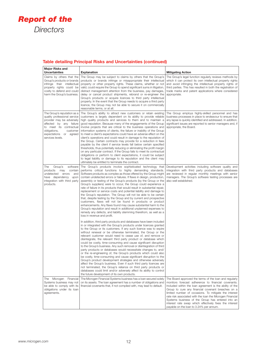

# **Table detailing Principal Risks and Uncertainties (continued)**

| <b>Major Risks and</b><br><b>Uncertainties</b>                                                                                                                                                                           | <b>Explanation</b>                                                                                                                                                                                                                                                                                                                                                                                                                                                                                                                                                                                                                                                                                                                                                                                                                                                                                                                                                                                                                                                                                     | <b>Mitigating Action</b>                                                                                                                                                                                                                                                                                                                                                                                                                                                                                         |
|--------------------------------------------------------------------------------------------------------------------------------------------------------------------------------------------------------------------------|--------------------------------------------------------------------------------------------------------------------------------------------------------------------------------------------------------------------------------------------------------------------------------------------------------------------------------------------------------------------------------------------------------------------------------------------------------------------------------------------------------------------------------------------------------------------------------------------------------------------------------------------------------------------------------------------------------------------------------------------------------------------------------------------------------------------------------------------------------------------------------------------------------------------------------------------------------------------------------------------------------------------------------------------------------------------------------------------------------|------------------------------------------------------------------------------------------------------------------------------------------------------------------------------------------------------------------------------------------------------------------------------------------------------------------------------------------------------------------------------------------------------------------------------------------------------------------------------------------------------------------|
| Claims by others that the<br>Group's products or brands<br>infringe their intellectual<br>property rights could be<br>costly to defend and could<br>harm the Group's business.                                           | The Group may be subject to claims by others that the Group's<br>products or brands infringe or misappropriate their intellectual<br>property or other property rights. These claims, whether or not<br>valid, could require the Group to spend significant sums in litigation,<br>distract management attention from the business, pay damages,<br>delay or cancel product shipments, rebrand or re-engineer the<br>Group's products or acquire licences to third party intellectual<br>property. In the event that the Group needs to acquire a third party<br>licence, the Group may not be able to secure it on commercially<br>reasonable terms, or at all.                                                                                                                                                                                                                                                                                                                                                                                                                                       | The Group's legal function regularly reviews methods by<br>which it can protect its own intellectual property rights<br>and avoid infringing the intellectual property rights of<br>third parties. This has resulted in both the registration of<br>trade marks and patent applications where considered<br>appropriate.                                                                                                                                                                                         |
| The Group's reputation as a<br>quality professional service<br>provider may be adversely<br>affected by any failure<br>to meet its contractual<br>obligations,<br>customer<br>expectations or agreed<br>services levels. | The Group's ability to attract new customers or retain existing<br>customers is largely dependent on its ability to provide reliable<br>high quality products and services to them and to maintain a<br>good reputation. Because many of the engagements of the Group<br>involve projects that are critical to the business operations and<br>information systems of clients, the failure or inability of the Group<br>to meet a client's expectations could have an adverse effect on the<br>client's operations and could result in damage to the reputation of<br>the Group. Certain contracts may provide for a reduction in fees<br>payable by the client if service levels fall below certain specified<br>thresholds, thus potentially reducing or eliminating the profit margin<br>on any particular contract. If the Group fails to meet its contractual<br>obligations or perform to client expectations, it could be subject<br>to legal liability or damage to its reputation and the client may<br>ultimately be entitled to terminate the contract.                                      | The Group employs highly-skilled personnel and has<br>business processes in place to endeavour to ensure that<br>any lapse is quickly identified and addressed. In addition,<br>significant issues are reported to senior managers and, if<br>appropriate, the Board.                                                                                                                                                                                                                                            |
| Group's<br>The<br>software<br>products<br>may<br>contain<br>undetected<br>errors<br>and<br>have dependency<br>upon<br>integration with third party<br>products.                                                          | The Group's products involve sophisticated technology that<br>performs critical functions to highly demanding standards.<br>Software products as complex as those offered by the Group might<br>contain undetected errors or failures. If flaws in design, production,<br>assembly or testing of the Group's products (by the Group or the<br>Group's suppliers) were to occur, the Group could experience a<br>rate of failure in its products that would result in substantial repair,<br>replacement or service costs and potential liability and damage to<br>the Group's reputation. The Group will not be able to be certain<br>that, despite testing by the Group and by current and prospective<br>customers, flaws will not be found in products or product<br>enhancements. Any flaws found may cause substantial harm to the<br>Group's reputation and result in additional unplanned expenses to<br>remedy any defects, and liability stemming therefrom, as well as a<br>loss in revenue and profit.                                                                                      | Development activities including software quality and<br>integration with third party products and databases<br>are reviewed in regular monthly meetings with senior<br>managers. The Group's software testing processes are<br>also well established.                                                                                                                                                                                                                                                           |
|                                                                                                                                                                                                                          | In addition, third party products and databases have been included<br>in or integrated with the Group's products under licences granted<br>to the Group or its customers. If any such licence was to expire<br>without renewal or be otherwise terminated, the Group or the<br>relevant customer would need to cease use of, and remove or<br>disintegrate, the relevant third party product or database which<br>could be costly, time-consuming and cause significant disruption<br>to the Group's business. Any such removal or disintegration of third<br>party products or databases would necessitate changes to, and/<br>or the re-engineering of, the Group's products which could also<br>be costly, time-consuming and cause significant disruption to the<br>Group's product development strategies and otherwise adversely<br>affect the Group's business. Even if such third party licences are<br>not terminated, the Group's reliance on third party products or<br>databases could limit and/or adversely affect its ability to control<br>the future development of its own products. |                                                                                                                                                                                                                                                                                                                                                                                                                                                                                                                  |
| The Microgen Financial<br>Systems business may not<br>be able to comply with its<br>obligations under its loan<br>agreements.                                                                                            | The Microgen Financial Systems business has a loan secured solely<br>on its assets. The loan agreement has a number of obligations and<br>financial covenants that, if not complied with, may lead to default.                                                                                                                                                                                                                                                                                                                                                                                                                                                                                                                                                                                                                                                                                                                                                                                                                                                                                         | The Board approved the terms of the loan and regularly<br>monitors forecast adherence to financial covenants.<br>Included within the loan agreement is the ability of the<br>Group to cure any financial covenant breaches on a<br>limited number of occasions. To mitigate the interest<br>rate risk associated with the loan the Microgen Financial<br>Systems business of the Group has entered into an<br>interest rate swap which effectively fixes the interest<br>payable on the loan to 3.24% per annum. |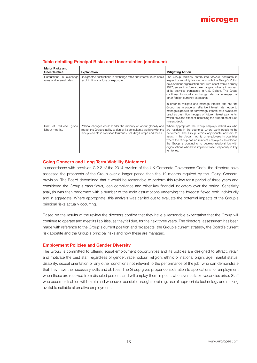| <b>Major Risks and</b><br><b>Uncertainties</b>        | <b>Explanation</b>                                                                                                                                                                                                  | <b>Mitigating Action</b>                                                                                                                                                                                                                                                                                                                                                                                                     |
|-------------------------------------------------------|---------------------------------------------------------------------------------------------------------------------------------------------------------------------------------------------------------------------|------------------------------------------------------------------------------------------------------------------------------------------------------------------------------------------------------------------------------------------------------------------------------------------------------------------------------------------------------------------------------------------------------------------------------|
| Fluctuations in exchange<br>rates and interest rates. | Unexpected fluctuations in exchange rates and interest rates could<br>result in financial loss or exposure.                                                                                                         | The Group routinely enters into forward contracts in<br>respect of monthly transactions with the Group's Polish<br>development organisation and, with effect from February<br>2017, enters into forward exchange contracts in respect<br>of its activities transacted in U.S. Dollars. The Group<br>continues to monitor exchange rate risk in respect of<br>other foreign currency exposures.                               |
|                                                       |                                                                                                                                                                                                                     | In order to mitigate and manage interest rate risk the<br>Group has in place an effective interest rate hedge to<br>manage exposure on borrowings. Interest rate swaps are<br>used as cash flow hedges of future interest payments,<br>which have the effect of increasing the proportion of fixed<br>interest debt.                                                                                                         |
| Risk of reduced<br>global<br>labour mobility.         | Political changes could hinder the mobility of labour globally and<br>impact the Group's ability to deploy its consultants working with the<br>Group's clients in overseas territories including Europe and the US. | Where appropriate the Group employs individuals who<br>are resident in the countries where work needs to be<br>performed. The Group retains appropriate advisers to<br>assist in the global mobility of employees in countries<br>where the Group has no resident employees. In addition<br>the Group is continuing to develop relationships with<br>organisations who have implementation capability in key<br>territories. |

## **Table detailing Principal Risks and Uncertainties (continued)**

#### **Going Concern and Long Term Viability Statement**

In accordance with provision C.2.2 of the 2014 revision of the UK Corporate Governance Code, the directors have assessed the prospects of the Group over a longer period than the 12 months required by the 'Going Concern' provision. The Board determined that it would be reasonable to perform this review for a period of three years and considered the Group's cash flows, loan compliance and other key financial indicators over the period. Sensitivity analysis was then performed with a number of the main assumptions underlying the forecast flexed both individually and in aggregate. Where appropriate, this analysis was carried out to evaluate the potential impacts of the Group's principal risks actually occurring.

Based on the results of the review the directors confirm that they have a reasonable expectation that the Group will continue to operate and meet its liabilities, as they fall due, for the next three years. The directors' assessment has been made with reference to the Group's current position and prospects, the Group's current strategy, the Board's current risk appetite and the Group's principal risks and how these are managed.

#### **Employment Policies and Gender Diversity**

The Group is committed to offering equal employment opportunities and its policies are designed to attract, retain and motivate the best staff regardless of gender, race, colour, religion, ethnic or national origin, age, marital status, disability, sexual orientation or any other conditions not relevant to the performance of the job, who can demonstrate that they have the necessary skills and abilities. The Group gives proper consideration to applications for employment when these are received from disabled persons and will employ them in posts whenever suitable vacancies arise. Staff who become disabled will be retained whenever possible through retraining, use of appropriate technology and making available suitable alternative employment.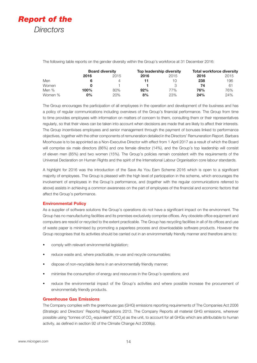

The following table reports on the gender diversity within the Group's workforce at 31 December 2016:

|         |      | <b>Board diversity</b> |      | Top leadership diversity |      | <b>Total workforce diversity</b> |
|---------|------|------------------------|------|--------------------------|------|----------------------------------|
|         | 2016 | 2015                   | 2016 | 2015                     | 2016 | 2015                             |
| Men     |      |                        | 11   | 10                       | 238  | 196                              |
| Women   |      |                        |      |                          | 74   | 61                               |
| Men %   | 100% | 80%                    | 92%  | 77%                      | 76%  | 76%                              |
| Women % | 0%   | 20%                    | 8%   | 23%                      | 24%  | 24%                              |

The Group encourages the participation of all employees in the operation and development of the business and has a policy of regular communications including overviews of the Group's financial performance. The Group from time to time provides employees with information on matters of concern to them, consulting them or their representatives regularly, so that their views can be taken into account when decisions are made that are likely to affect their interests. The Group incentivises employees and senior management through the payment of bonuses linked to performance objectives, together with the other components of remuneration detailed in the Directors' Remuneration Report. Barbara Moorhouse is to be appointed as a Non-Executive Director with effect from 1 April 2017 as a result of which the Board will comprise six male directors (86%) and one female director (14%), and the Group's top leadership will consist of eleven men (85%) and two women (15%). The Group's policies remain consistent with the requirements of the Universal Declaration on Human Rights and the spirit of the International Labour Organisation core labour standards.

A highlight for 2016 was the introduction of the Save As You Earn Scheme 2016 which is open to a significant majority of employees. The Group is pleased with the high level of participation in the scheme, which encourages the involvement of employees in the Group's performance, and (together with the regular communications referred to above) assists in achieving a common awareness on the part of employees of the financial and economic factors that affect the Group's performance.

#### **Environmental Policy**

As a supplier of software solutions the Group's operations do not have a significant impact on the environment. The Group has no manufacturing facilities and its premises exclusively comprise offices. Any obsolete office equipment and computers are resold or recycled to the extent practicable. The Group has recycling facilities in all of its offices and use of waste paper is minimised by promoting a paperless process and downloadable software products. However the Group recognises that its activities should be carried out in an environmentally friendly manner and therefore aims to:

- comply with relevant environmental legislation;
- reduce waste and, where practicable, re-use and recycle consumables;
- dispose of non-recyclable items in an environmentally friendly manner;
- minimise the consumption of energy and resources in the Group's operations; and
- reduce the environmental impact of the Group's activities and where possible increase the procurement of environmentally friendly products.

#### **Greenhouse Gas Emissions**

The Company complies with the greenhouse gas (GHG) emissions reporting requirements of The Companies Act 2006 (Strategic and Directors' Reports) Regulations 2013. The Company Reports all material GHG emissions, wherever possible using "tonnes of CO<sub>2</sub>-equivalent" (tCO<sub>2</sub>e) as the unit, to account for all GHGs which are attributable to human activity, as defined in section 92 of the Climate Change Act 2008(a).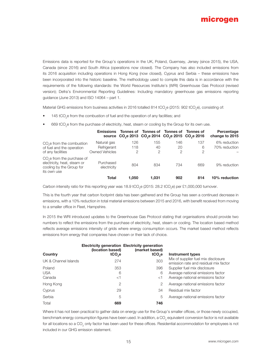

Emissions data is reported for the Group's operations in the UK, Poland, Guernsey, Jersey (since 2015), the USA, Canada (since 2016) and South Africa (operations now closed). The Company has also included emissions from its 2016 acquisition including operations in Hong Kong (now closed), Cyprus and Serbia – these emissions have been incorporated into the historic baseline. The methodology used to compile this data is in accordance with the requirements of the following standards: the World Resources Institute's (WRI) Greenhouse Gas Protocol (revised version); Defra's Environmental Reporting Guidelines: Including mandatory greenhouse gas emissions reporting guidance (June 2013) and ISO 14064 – part 1.

Material GHG emissions from business activities in 2016 totalled 814 tCO<sub>2</sub>e (2015: 902 tCO<sub>2</sub>e), consisting of:

- $\bullet$  145 tCO<sub>2</sub>e from the combustion of fuel and the operation of any facilities; and
- $\bullet$  669 tCO<sub>2</sub>e from the purchase of electricity, heat, steam or cooling by the Group for its own use.

|                                                                                                                  | <b>Emissions</b>                             |                 |                             | Tonnes of Tonnes of Tonnes of<br>source CO <sub>2</sub> e 2013 CO <sub>2</sub> e 2014 CO <sub>2</sub> e 2015 CO <sub>2</sub> e 2016 | <b>Tonnes of</b> | Percentage<br>change to 2015  |
|------------------------------------------------------------------------------------------------------------------|----------------------------------------------|-----------------|-----------------------------|-------------------------------------------------------------------------------------------------------------------------------------|------------------|-------------------------------|
| $CO2e$ from the combustion<br>of fuel and the operation<br>of any facilities                                     | Natural gas<br>Refrigerant<br>Owned Vehicles | 126<br>118<br>2 | 155<br>40<br>$\overline{2}$ | 146<br>20<br>2                                                                                                                      | 137<br>6<br>2    | 6% reduction<br>70% reduction |
| CO <sub>2</sub> e from the purchase of<br>electricity, heat, steam or<br>cooling by the Group for<br>its own use | Purchased<br>electricity                     | 804             | 834                         | 734                                                                                                                                 | 669              | 9% reduction                  |
|                                                                                                                  | Total                                        | 1.050           | 1.031                       | 902                                                                                                                                 | 814              | 10% reduction                 |

Carbon intensity ratio for this reporting year was 18.9 tCO<sub>2</sub>e (2015: 28.2 tCO<sub>2</sub>e) per £1,000,000 turnover.

This is the fourth year that carbon footprint data has been gathered and the Group has seen a continued decrease in emissions, with a 10% reduction in total material emissions between 2015 and 2016, with benefit received from moving to a smaller office in Fleet, Hampshire.

In 2015 the WRI introduced updates to the Greenhouse Gas Protocol stating that organisations should provide two numbers to reflect the emissions from the purchase of electricity, heat, steam or cooling. The location based method reflects average emissions intensity of grids where energy consumption occurs. The market based method reflects emissions from energy that companies have chosen or their lack of choice.

| Country              | (location based)<br>tCO <sub>se</sub> | <b>Electricity generation Electricity generation</b><br>(market based)<br>tCO <sub>se</sub> | <b>Instrument types</b>                                                      |
|----------------------|---------------------------------------|---------------------------------------------------------------------------------------------|------------------------------------------------------------------------------|
| UK & Channel Islands | 274                                   | 303                                                                                         | Mix of supplier fuel mix disclosure<br>emission rate and residual mix factor |
| Poland               | 353                                   | 396                                                                                         | Supplier fuel mix disclosure                                                 |
| <b>USA</b>           | 6                                     | 6                                                                                           | Average national emissions factor                                            |
| Canada               | $<$ 1                                 | $<$ 1                                                                                       | Average national emissions factor                                            |
| Hong Kong            | 2                                     | 2                                                                                           | Average national emissions factor                                            |
| Cyprus               | 29                                    | 34                                                                                          | Residual mix factor                                                          |
| Serbia               | 5                                     | 5                                                                                           | Average national emissions factor                                            |
| Total                | 669                                   | 746                                                                                         |                                                                              |

Where it has not been practical to gather data on energy use for the Group's smaller offices, or those newly occupied, benchmark energy consumption figures have been used. In addition, a CO<sub>2</sub> equivalent conversion factor is not available for all locations so a CO<sub>2</sub> only factor has been used for these offices. Residential accommodation for employees is not included in our GHG emission statement.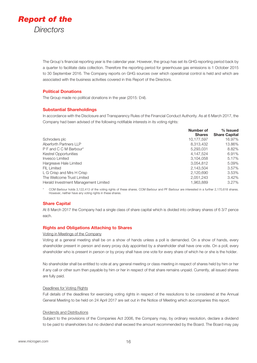

The Group's financial reporting year is the calendar year. However, the group has set its GHG reporting period back by a quarter to facilitate data collection. Therefore the reporting period for greenhouse gas emissions is 1 October 2015 to 30 September 2016. The Company reports on GHG sources over which operational control is held and which are associated with the business activities covered in this Report of the Directors.

## **Political Donations**

The Group made no political donations in the year (2015: £nil).

#### **Substantial Shareholdings**

In accordance with the Disclosure and Transparency Rules of the Financial Conduct Authority. As at 6 March 2017, the Company had been advised of the following notifiable interests in its voting rights:

|                                      | Number of<br><b>Shares</b> | % Issued<br><b>Share Capital</b> |
|--------------------------------------|----------------------------|----------------------------------|
| Schroders plc                        | 10,177,597                 | 16.97%                           |
| Aberforth Partners LLP               | 8.313.432                  | 13.86%                           |
| P F and C C M Barbour*               | 5,293,031                  | 8.82%                            |
| <b>Kestrel Opportunities</b>         | 4,147,524                  | 6.91%                            |
| Invesco Limited                      | 3,104,058                  | 5.17%                            |
| Hargreave Hale Limited               | 3,054,812                  | 5.09%                            |
| <b>FIL Limited</b>                   | 2.143.504                  | 3.57%                            |
| L G Crisp and Mrs H Crisp            | 2,120,690                  | 3.53%                            |
| The Wellcome Trust Limited           | 2,051,243                  | 3.42%                            |
| Herald Investment Management Limited | 1.963.889                  | 3.27%                            |

\* CCM Barbour holds 3,122,413 of the voting rights of these shares. CCM Barbour and PF Barbour are interested in a further 2,170,618 shares. However, neither have any voting rights in these shares.

#### **Share Capital**

At 8 March 2017 the Company had a single class of share capital which is divided into ordinary shares of 6 3/7 pence each.

#### **Rights and Obligations Attaching to Shares**

#### Voting in Meetings of the Company

Voting at a general meeting shall be on a show of hands unless a poll is demanded. On a show of hands, every shareholder present in person and every proxy duly appointed by a shareholder shall have one vote. On a poll, every shareholder who is present in person or by proxy shall have one vote for every share of which he or she is the holder.

No shareholder shall be entitled to vote at any general meeting or class meeting in respect of shares held by him or her if any call or other sum then payable by him or her in respect of that share remains unpaid. Currently, all issued shares are fully paid.

#### Deadlines for Voting Rights

Full details of the deadlines for exercising voting rights in respect of the resolutions to be considered at the Annual General Meeting to be held on 24 April 2017 are set out in the Notice of Meeting which accompanies this report.

#### Dividends and Distributions

Subject to the provisions of the Companies Act 2006, the Company may, by ordinary resolution, declare a dividend to be paid to shareholders but no dividend shall exceed the amount recommended by the Board. The Board may pay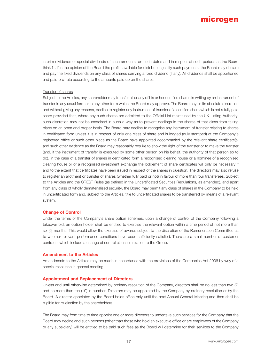interim dividends or special dividends of such amounts, on such dates and in respect of such periods as the Board think fit. If in the opinion of the Board the profits available for distribution justify such payments, the Board may declare and pay the fixed dividends on any class of shares carrying a fixed dividend (if any). All dividends shall be apportioned and paid pro-rata according to the amounts paid up on the shares.

#### Transfer of shares

Subject to the Articles, any shareholder may transfer all or any of his or her certified shares in writing by an instrument of transfer in any usual form or in any other form which the Board may approve. The Board may, in its absolute discretion and without giving any reasons, decline to register any instrument of transfer of a certified share which is not a fully paid share provided that, where any such shares are admitted to the Official List maintained by the UK Listing Authority, such discretion may not be exercised in such a way as to prevent dealings in the shares of that class from taking place on an open and proper basis. The Board may decline to recognise any instrument of transfer relating to shares in certificated form unless it is in respect of only one class of share and is lodged (duly stamped) at the Company's registered office or such other place as the Board have appointed accompanied by the relevant share certificate(s) and such other evidence as the Board may reasonably require to show the right of the transfer or to make the transfer (and, if the instrument of transfer is executed by some other person on his behalf, the authority of that person so to do). In the case of a transfer of shares in certificated form a recognised clearing house or a nominee of a recognised clearing house or of a recognised investment exchange the lodgement of share certificates will only be necessary if and to the extent that certificates have been issued in respect of the shares in question. The directors may also refuse to register an allotment or transfer of shares (whether fully paid or not) in favour of more than four transferees. Subject to the Articles and the CREST Rules (as defined in the Uncertificated Securities Regulations, as amended), and apart from any class of wholly dematerialised security, the Board may permit any class of shares in the Company to be held in uncertificated form and, subject to the Articles, title to uncertificated shares to be transferred by means of a relevant system.

#### **Change of Control**

Under the terms of the Company's share option schemes, upon a change of control of the Company following a takeover bid, an option holder shall be entitled to exercise the relevant option within a time period of not more than six (6) months. This would allow the exercise of awards subject to the discretion of the Remuneration Committee as to whether relevant performance conditions have been sufficiently satisfied. There are a small number of customer contracts which include a change of control clause in relation to the Group.

#### **Amendment to the Articles**

Amendments to the Articles may be made in accordance with the provisions of the Companies Act 2006 by way of a special resolution in general meeting.

#### **Appointment and Replacement of Directors**

Unless and until otherwise determined by ordinary resolution of the Company, directors shall be no less than two (2) and no more than ten (10) in number. Directors may be appointed by the Company by ordinary resolution or by the Board. A director appointed by the Board holds office only until the next Annual General Meeting and then shall be eligible for re-election by the shareholders.

The Board may from time to time appoint one or more directors to undertake such services for the Company that the Board may decide and such persons (other than those who hold an executive office or are employees of the Company or any subsidiary) will be entitled to be paid such fees as the Board will determine for their services to the Company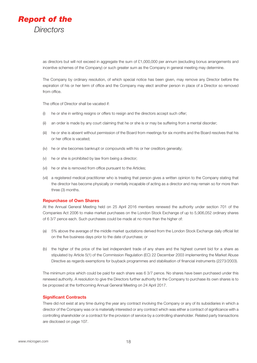

as directors but will not exceed in aggregate the sum of £1,000,000 per annum (excluding bonus arrangements and incentive schemes of the Company) or such greater sum as the Company in general meeting may determine.

The Company by ordinary resolution, of which special notice has been given, may remove any Director before the expiration of his or her term of office and the Company may elect another person in place of a Director so removed from office.

The office of Director shall be vacated if:

- (i) he or she in writing resigns or offers to resign and the directors accept such offer;
- (ii) an order is made by any court claiming that he or she is or may be suffering from a mental disorder;
- (iii) he or she is absent without permission of the Board from meetings for six months and the Board resolves that his or her office is vacated;
- (iv) he or she becomes bankrupt or compounds with his or her creditors generally;
- (v) he or she is prohibited by law from being a director;
- (vi) he or she is removed from office pursuant to the Articles;
- (vii) a registered medical practitioner who is treating that person gives a written opinion to the Company stating that the director has become physically or mentally incapable of acting as a director and may remain so for more than three (3) months.

#### **Repurchase of Own Shares**

At the Annual General Meeting held on 25 April 2016 members renewed the authority under section 701 of the Companies Act 2006 to make market purchases on the London Stock Exchange of up to 5,906,052 ordinary shares of 6 3/7 pence each. Such purchases could be made at no more than the higher of:

- (a) 5% above the average of the middle market quotations derived from the London Stock Exchange daily official list on the five business days prior to the date of purchase; or
- (b) the higher of the price of the last independent trade of any share and the highest current bid for a share as stipulated by Article 5(1) of the Commission Regulation (EC) 22 December 2003 implementing the Market Abuse Directive as regards exemptions for buyback programmes and stabilisation of financial instruments (2273/2003).

The minimum price which could be paid for each share was 6 3/7 pence. No shares have been purchased under this renewed authority. A resolution to give the Directors further authority for the Company to purchase its own shares is to be proposed at the forthcoming Annual General Meeting on 24 April 2017.

#### **Significant Contracts**

There did not exist at any time during the year any contract involving the Company or any of its subsidiaries in which a director of the Company was or is materially interested or any contract which was either a contract of significance with a controlling shareholder or a contract for the provision of service by a controlling shareholder. Related party transactions are disclosed on page 107.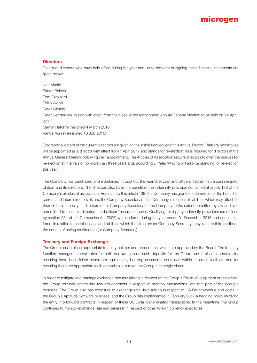#### **Directors**

Details of directors who have held office during the year and up to the date of signing these financial statements are given below:

Ivan Martin Simon Baines Tom Crawford Philip Wood Peter Whiting Peter Bertram (will resign with effect from the close of the forthcoming Annual General Meeting to be held on 24 April 2017) Martyn Ratcliffe (resigned 4 March 2016) Vanda Murray (resigned 18 July 2016)

Biographical details of the current directors are given on the inside front cover of this Annual Report. Barbara Moorhouse will be appointed as a director with effect from 1 April 2017 and stands for re-election, as is required for directors at the Annual General Meeting following their appointment. The Articles of Association require directors to offer themselves for re-election at intervals of no more than three years and, accordingly, Peter Whiting will also be standing for re-election this year.

The Company has purchased and maintained throughout the year directors' and officers' liability insurance in respect of itself and its directors. The directors also have the benefit of the indemnity provision contained at article 138 of the Company's articles of association. Pursuant to this article 138, the Company has granted indemnities for the benefit of current and future directors of, and the Company Secretary of, the Company in respect of liabilities which may attach to them in their capacity as directors of, or Company Secretary of, the Company to the extent permitted by law and also committed to maintain directors' and officers' insurance cover. Qualifying third party indemnity provisions (as defined by section 234 of the Companies Act 2006) were in force during the year ended 31 December 2016 and continue in force, in relation to certain losses and liabilities which the directors (or Company Secretary) may incur to third parties in the course of acting as directors (or Company Secretary).

#### **Treasury and Foreign Exchange**

The Group has in place appropriate treasury policies and procedures, which are approved by the Board. The treasury function manages interest rates for both borrowings and cash deposits for the Group and is also responsible for ensuring there is sufficient headroom against any banking covenants contained within its credit facilities, and for ensuring there are appropriate facilities available to meet the Group's strategic plans.

In order to mitigate and manage exchange rate risk arising in respect of the Group's Polish development organisation, the Group routinely enters into forward contracts in respect of monthly transactions with that part of the Group's business. The Group also has exposure to exchange rate risks arising in respect of US Dollar revenue and costs in the Group's Aptitude Software business, and the Group has implemented in February 2017 a hedging policy involving the entry into forward contracts in respect of these US Dollar denominated transactions. In the meantime, the Group continues to monitor exchange rate risk generally in respect of other foreign currency exposures.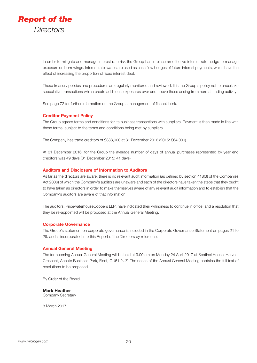

In order to mitigate and manage interest rate risk the Group has in place an effective interest rate hedge to manage exposure on borrowings. Interest rate swaps are used as cash flow hedges of future interest payments, which have the effect of increasing the proportion of fixed interest debt.

These treasury policies and procedures are regularly monitored and reviewed. It is the Group's policy not to undertake speculative transactions which create additional exposures over and above those arising from normal trading activity.

See page 72 for further information on the Group's management of financial risk.

#### **Creditor Payment Policy**

The Group agrees terms and conditions for its business transactions with suppliers. Payment is then made in line with these terms, subject to the terms and conditions being met by suppliers.

The Company has trade creditors of £388,000 at 31 December 2016 (2015: £64,000).

At 31 December 2016, for the Group the average number of days of annual purchases represented by year end creditors was 49 days (31 December 2015: 41 days).

#### **Auditors and Disclosure of Information to Auditors**

As far as the directors are aware, there is no relevant audit information (as defined by section 418(3) of the Companies Act 2006) of which the Company's auditors are unaware and each of the directors have taken the steps that they ought to have taken as directors in order to make themselves aware of any relevant audit information and to establish that the Company's auditors are aware of that information.

The auditors, PricewaterhouseCoopers LLP, have indicated their willingness to continue in office, and a resolution that they be re-appointed will be proposed at the Annual General Meeting.

#### **Corporate Governance**

The Group's statement on corporate governance is included in the Corporate Governance Statement on pages 21 to 29, and is incorporated into this Report of the Directors by reference.

#### **Annual General Meeting**

The forthcoming Annual General Meeting will be held at 9.00 am on Monday 24 April 2017 at Sentinel House, Harvest Crescent, Ancells Business Park, Fleet, GU51 2UZ. The notice of the Annual General Meeting contains the full text of resolutions to be proposed.

By Order of the Board

**Mark Heather** Company Secretary

8 March 2017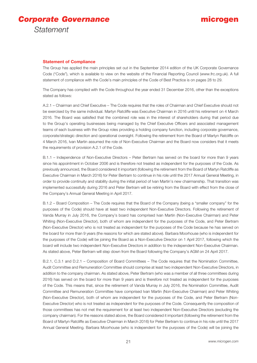*Corporate Governance Statement*

# microgen

## **Statement of Compliance**

The Group has applied the main principles set out in the September 2014 edition of the UK Corporate Governance Code ("Code"), which is available to view on the website of the Financial Reporting Council (www.frc.org.uk). A full statement of compliance with the Code's main principles of the Code of Best Practice is on pages 28 to 29.

The Company has complied with the Code throughout the year ended 31 December 2016, other than the exceptions stated as follows:

A.2.1 – Chairman and Chief Executive – The Code requires that the roles of Chairman and Chief Executive should not be exercised by the same individual. Martyn Ratcliffe was Executive Chairman in 2016 until his retirement on 4 March 2016. The Board was satisfied that the combined role was in the interest of shareholders during that period due to the Group's operating businesses being managed by the Chief Executive Officers and associated management teams of each business with the Group roles providing a holding company function, including corporate governance, corporate/strategic direction and operational oversight. Following the retirement from the Board of Martyn Ratcliffe on 4 March 2016, Ivan Martin assumed the role of Non-Executive Chairman and the Board now considers that it meets the requirements of provision A.2.1 of the Code.

B.1.1 – Independence of Non-Executive Directors – Peter Bertram has served on the board for more than 9 years since his appointment in October 2006 and is therefore not treated as independent for the purposes of the Code. As previously announced, the Board considered it important (following the retirement from the Board of Martyn Ratcliffe as Executive Chairman in March 2016) for Peter Bertram to continue in his role until the 2017 Annual General Meeting, in order to provide continuity and stability during the initial period of Ivan Martin's new chairmanship. That transition was implemented successfully during 2016 and Peter Bertram will be retiring from the Board with effect from the close of the Company's Annual General Meeting in April 2017.

B.1.2 – Board Composition – The Code requires that the Board of the Company (being a "smaller company" for the purposes of the Code) should have at least two independent Non-Executive Directors. Following the retirement of Vanda Murray in July 2016, the Company's board has comprised Ivan Martin (Non-Executive Chairman) and Peter Whiting (Non-Executive Director), both of whom are independent for the purposes of the Code, and Peter Bertram (Non-Executive Director) who is not treated as independent for the purposes of the Code because he has served on the board for more than 9 years (the reasons for which are stated above). Barbara Moorhouse (who is independent for the purposes of the Code) will be joining the Board as a Non-Executive Director on 1 April 2017, following which the board will include two independent Non-Executive Directors in addition to the independent Non-Executive Chairman. As stated above, Peter Bertram will step down from the Board following the Company's AGM on 24 April 2017.

B.2.1, C.3.1 and D.2.1 – Composition of Board Committees – The Code requires that the Nomination Committee, Audit Committee and Remuneration Committee should comprise at least two independent Non-Executive Directors, in addition to the company chairman. As stated above, Peter Bertram (who was a member of all three committees during 2016) has served on the board for more than 9 years and is therefore not treated as independent for the purposes of the Code. This means that, since the retirement of Vanda Murray in July 2016, the Nomination Committee, Audit Committee and Remuneration Committee have comprised Ivan Martin (Non-Executive Chairman) and Peter Whiting (Non-Executive Director), both of whom are independent for the purposes of the Code, and Peter Bertram (Non-Executive Director) who is not treated as independent for the purposes of the Code. Consequently the composition of those committees has not met the requirement for at least two independent Non-Executive Directors (excluding the company chairman). For the reasons stated above, the Board considered it important (following the retirement from the Board of Martyn Ratcliffe as Executive Chairman in March 2016) for Peter Bertram to continue in his role until the 2017 Annual General Meeting. Barbara Moorhouse (who is independent for the purposes of the Code) will be joining the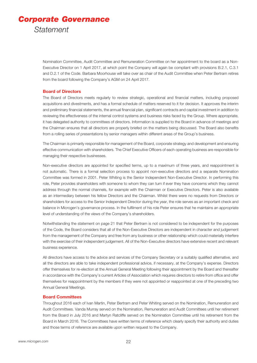# *Corporate Governance Statement*

Nomination Committee, Audit Committee and Remuneration Committee on her appointment to the board as a Non-Executive Director on 1 April 2017, at which point the Company will again be compliant with provisions B.2.1, C.3.1 and D.2.1 of the Code. Barbara Moorhouse will take over as chair of the Audit Committee when Peter Bertram retires from the board following the Company's AGM on 24 April 2017.

## **Board of Directors**

The Board of Directors meets regularly to review strategic, operational and financial matters, including proposed acquisitions and divestments, and has a formal schedule of matters reserved to it for decision. It approves the interim and preliminary financial statements, the annual financial plan, significant contracts and capital investment in addition to reviewing the effectiveness of the internal control systems and business risks faced by the Group. Where appropriate, it has delegated authority to committees of directors. Information is supplied to the Board in advance of meetings and the Chairman ensures that all directors are properly briefed on the matters being discussed. The Board also benefits from a rolling series of presentations by senior managers within different areas of the Group's business.

The Chairman is primarily responsible for management of the Board, corporate strategy and development and ensuring effective communication with shareholders. The Chief Executive Officers of each operating business are responsible for managing their respective businesses.

Non-executive directors are appointed for specified terms, up to a maximum of three years, and reappointment is not automatic. There is a formal selection process to appoint non-executive directors and a separate Nomination Committee was formed in 2001. Peter Whiting is the Senior Independent Non-Executive Director. In performing this role, Peter provides shareholders with someone to whom they can turn if ever they have concerns which they cannot address through the normal channels, for example with the Chairman or Executive Directors. Peter is also available as an intermediary between his fellow Directors and the Chairman. Whilst there were no requests from Directors or shareholders for access to the Senior Independent Director during the year, the role serves as an important check and balance in Microgen's governance process. In the fulfilment of his role Peter ensures that he maintains an appropriate level of understanding of the views of the Company's shareholders.

Notwithstanding the statement on page 21 that Peter Bertram is not considered to be independent for the purposes of the Code, the Board considers that all of the Non-Executive Directors are independent in character and judgement from the management of the Company and free from any business or other relationship which could materially interfere with the exercise of their independent judgement. All of the Non-Executive directors have extensive recent and relevant business experience.

All directors have access to the advice and services of the Company Secretary or a suitably qualified alternative, and all the directors are able to take independent professional advice, if necessary, at the Company's expense. Directors offer themselves for re-election at the Annual General Meeting following their appointment by the Board and thereafter in accordance with the Company's current Articles of Association which requires directors to retire from office and offer themselves for reappointment by the members if they were not appointed or reappointed at one of the preceding two Annual General Meetings.

#### **Board Committees**

Throughout 2016 each of Ivan Martin, Peter Bertram and Peter Whiting served on the Nomination, Remuneration and Audit Committees. Vanda Murray served on the Nomination, Remuneration and Audit Committees until her retirement from the Board in July 2016 and Martyn Ratcliffe served on the Nomination Committee until his retirement from the Board in March 2016. The Committees have written terms of reference which clearly specify their authority and duties and those terms of reference are available upon written request to the Company.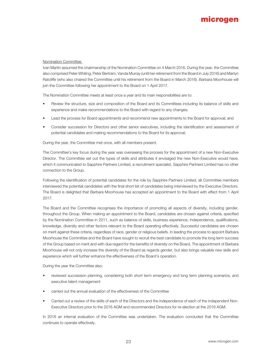#### Nomination Committee

Ivan Martin assumed the chairmanship of the Nomination Committee on 4 March 2016. During the year, the Committee also comprised Peter Whiting, Peter Bertram, Vanda Murray (until her retirement from the Board in July 2016) and Martyn Ratcliffe (who also chaired the Committee until his retirement from the Board in March 2016). Barbara Moorhouse will join the Committee following her appointment to the Board on 1 April 2017.

The Nomination Committee meets at least once a year and its main responsibilities are to:

- Review the structure, size and composition of the Board and its Committees including its balance of skills and experience and make recommendations to the Board with regard to any changes;
- Lead the process for Board appointments and recommend new appointments to the Board for approval; and
- Consider succession for Directors and other senior executives, including the identification and assessment of potential candidates and making recommendations to the Board for its approval;

During the year, the Committee met once, with all members present.

The Committee's key focus during the year was overseeing the process for the appointment of a new Non-Executive Director. The Committee set out the types of skills and attributes it envisaged the new Non-Executive would have, which it communicated to Sapphire Partners Limited, a recruitment specialist. Sapphire Partners Limited has no other connection to the Group.

Following the identification of potential candidates for the role by Sapphire Partners Limited, all Committee members interviewed the potential candidates with the final short list of candidates being interviewed by the Executive Directors. The Board is delighted that Barbara Moorhouse has accepted an appointment to the Board with effect from 1 April 2017.

The Board and the Committee recognises the importance of promoting all aspects of diversity, including gender, throughout the Group. When making an appointment to the Board, candidates are chosen against criteria, specified by the Nomination Committee in 2011, such as balance of skills, business experience, independence, qualifications, knowledge, diversity and other factors relevant to the Board operating effectively. Successful candidates are chosen on merit against these criteria, regardless of race, gender or religious beliefs. In leading the process to appoint Barbara Moorhouse the Committee and the Board have sought to recruit the best candidate to promote the long term success of the Group based on merit and with due regard for the benefits of diversity on the Board. The appointment of Barbara Moorhouse will not only increase the diversity of the Board as regards gender, but also brings valuable new skills and experience which will further enhance the effectiveness of the Board's operation.

During the year the Committee also:

- reviewed succession planning, considering both short term emergency and long term planning scenarios, and executive talent management
- carried out the annual evaluation of the effectiveness of the Committee
- Carried out a review of the skills of each of the Directors and the independence of each of the independent Non-Executive Directors prior to the 2016 AGM and recommended Directors for re-election at the 2016 AGM.

In 2016 an internal evaluation of the Committee was undertaken. The evaluation concluded that the Committee continues to operate effectively.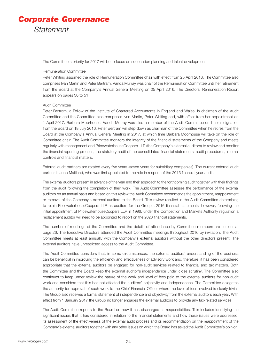# *Corporate Governance Statement*

The Committee's priority for 2017 will be to focus on succession planning and talent development.

#### Remuneration Committee

Peter Whiting assumed the role of Remuneration Committee chair with effect from 25 April 2016. The Committee also comprises Ivan Martin and Peter Bertram. Vanda Murray was chair of the Remuneration Committee until her retirement from the Board at the Company's Annual General Meeting on 25 April 2016. The Directors' Remuneration Report appears on pages 30 to 51.

#### Audit Committee

Peter Bertram, a Fellow of the Institute of Chartered Accountants in England and Wales, is chairman of the Audit Committee and the Committee also comprises Ivan Martin, Peter Whiting and, with effect from her appointment on 1 April 2017, Barbara Moorhouse. Vanda Murray was also a member of the Audit Committee until her resignation from the Board on 18 July 2016. Peter Bertram will step down as chairman of the Committee when he retires from the Board at the Company's Annual General Meeting in 2017, at which time Barbara Moorhouse will take on the role of Committee chair. The Audit Committee monitors the integrity of the financial statements of the Company and meets regularly with management and PricewaterhouseCoopers LLP (the Company's external auditors) to review and monitor the financial reporting process, the statutory audit of the consolidated financial statements, audit procedures, internal controls and financial matters.

External audit partners are rotated every five years (seven years for subsidiary companies). The current external audit partner is John Maitland, who was first appointed to the role in respect of the 2013 financial year audit.

The external auditors present in advance of the year end their approach to the forthcoming audit together with their findings from the audit following the completion of their work. The Audit Committee assesses the performance of the external auditors on an annual basis and based on this review the Audit Committee recommends the appointment, reappointment or removal of the Company's external auditors to the Board. This review resulted in the Audit Committee determining to retain PricewaterhouseCoopers LLP as auditors for the Group's 2016 financial statements, however, following the initial appointment of PricewaterhouseCoopers LLP in 1996, under the Competition and Markets Authority regulation a replacement auditor will need to be appointed to report on the 2023 financial statements.

The number of meetings of the Committee and the details of attendance by Committee members are set out at page 26. The Executive Directors attended the Audit Committee meetings throughout 2016 by invitation. The Audit Committee meets at least annually with the Company's external auditors without the other directors present. The external auditors have unrestricted access to the Audit Committee.

The Audit Committee considers that, in some circumstances, the external auditors' understanding of the business can be beneficial in improving the efficiency and effectiveness of advisory work and, therefore, it has been considered appropriate that the external auditors be engaged for non-audit services related to financial and tax matters. Both the Committee and the Board keep the external auditor's independence under close scrutiny. The Committee also continues to keep under review the nature of the work and level of fees paid to the external auditors for non-audit work and considers that this has not affected the auditors' objectivity and independence. The Committee delegates the authority for approval of such work to the Chief Financial Officer where the level of fees involved is clearly trivial. The Group also receives a formal statement of independence and objectivity from the external auditors each year. With effect from 1 January 2017 the Group no longer engages the external auditors to provide any tax-related services.

The Audit Committee reports to the Board on how it has discharged its responsibilities. This includes identifying the significant issues that it has considered in relation to the financial statements and how these issues were addressed, its assessment of the effectiveness of the external audit process and its recommendation on the reappointment of the Company's external auditors together with any other issues on which the Board has asked the Audit Committee's opinion.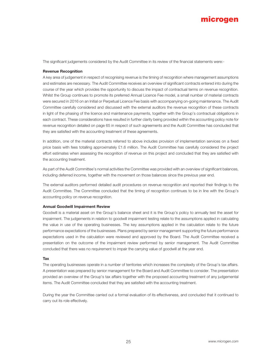The significant judgements considered by the Audit Committee in its review of the financial statements were:-

#### **Revenue Recognition**

A key area of judgement in respect of recognising revenue is the timing of recognition where management assumptions and estimates are necessary. The Audit Committee receives an overview of significant contracts entered into during the course of the year which provides the opportunity to discuss the impact of contractual terms on revenue recognition. Whilst the Group continues to promote its preferred Annual Licence Fee model, a small number of material contracts were secured in 2016 on an Initial or Perpetual Licence Fee basis with accompanying on-going maintenance. The Audit Committee carefully considered and discussed with the external auditors the revenue recognition of these contracts in light of the phasing of the licence and maintenance payments, together with the Group's contractual obligations in each contract. These considerations have resulted in further clarity being provided within the accounting policy note for revenue recognition detailed on page 65 in respect of such agreements and the Audit Committee has concluded that they are satisfied with the accounting treatment of these agreements.

In addition, one of the material contracts referred to above includes provision of implementation services on a fixed price basis with fees totalling approximately £1.6 million. The Audit Committee has carefully considered the project effort estimates when assessing the recognition of revenue on this project and concluded that they are satisfied with the accounting treatment.

As part of the Audit Committee's normal activities the Committee was provided with an overview of significant balances, including deferred income, together with the movement on those balances since the previous year end.

The external auditors performed detailed audit procedures on revenue recognition and reported their findings to the Audit Committee. The Committee concluded that the timing of recognition continues to be in line with the Group's accounting policy on revenue recognition.

#### **Annual Goodwill Impairment Review**

Goodwill is a material asset on the Group's balance sheet and it is the Group's policy to annually test the asset for impairment. The judgements in relation to goodwill impairment testing relate to the assumptions applied in calculating the value in use of the operating businesses. The key assumptions applied in the calculation relate to the future performance expectations of the businesses. Plans prepared by senior management supporting the future performance expectations used in the calculation were reviewed and approved by the Board. The Audit Committee received a presentation on the outcome of the impairment review performed by senior management. The Audit Committee concluded that there was no requirement to impair the carrying value of goodwill at the year end.

#### **Tax**

The operating businesses operate in a number of territories which increases the complexity of the Group's tax affairs. A presentation was prepared by senior management for the Board and Audit Committee to consider. The presentation provided an overview of the Group's tax affairs together with the proposed accounting treatment of any judgemental items. The Audit Committee concluded that they are satisfied with the accounting treatment.

During the year the Committee carried out a formal evaluation of its effectiveness, and concluded that it continued to carry out its role effectively.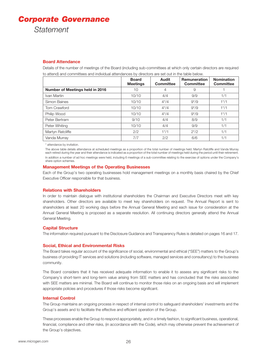# *Corporate Governance*

*Statement*

## **Board Attendance**

Details of the number of meetings of the Board (including sub-committees at which only certain directors are required to attend) and committees and individual attendances by directors are set out in the table below.

|                                 | <b>Board</b><br><b>Meetings</b> | Audit<br><b>Committee</b> | <b>Remuneration</b><br><b>Committee</b> | <b>Nomination</b><br><b>Committee</b> |
|---------------------------------|---------------------------------|---------------------------|-----------------------------------------|---------------------------------------|
| Number of Meetings held in 2016 | 10                              | 4                         | 9                                       |                                       |
| Ivan Martin                     | 10/10                           | 4/4                       | 9/9                                     | 1/1                                   |
| <b>Simon Baines</b>             | 10/10                           | $4*/4$                    | $9*/9$                                  | $1*/1$                                |
| Tom Crawford                    | 10/10                           | $4*/4$                    | 9'/9                                    | $1*/1$                                |
| Philip Wood                     | 10/10                           | $4*/4$                    | $9*/9$                                  | $1*/1$                                |
| Peter Bertram                   | 9/10                            | 4/4                       | 8/9                                     | 1/1                                   |
| Peter Whiting                   | 10/10                           | 4/4                       | 9/9                                     | 1/1                                   |
| Martyn Ratcliffe                | 2/2                             | $1*/1$                    | $2^{*/2}$                               | 1/1                                   |
| Vanda Murray                    | 7/7                             | 2/2                       | 6/6                                     | 1/1                                   |

\* attendance by invitation.

The above table details attendance at scheduled meetings as a proportion of the total number of meetings held. Martyn Ratcliffe and Vanda Murray each retired during the year and their attendance is indicated as a proportion of the total number of meetings held during the period until their retirement. In addition a number of ad hoc meetings were held, including 6 meetings of a sub-committee relating to the exercise of options under the Company's share option schemes.

#### **Management Meetings of the Operating Businesses**

Each of the Group's two operating businesses hold management meetings on a monthly basis chaired by the Chief Executive Officer responsible for that business.

#### **Relations with Shareholders**

In order to maintain dialogue with institutional shareholders the Chairman and Executive Directors meet with key shareholders. Other directors are available to meet key shareholders on request. The Annual Report is sent to shareholders at least 20 working days before the Annual General Meeting and each issue for consideration at the Annual General Meeting is proposed as a separate resolution. All continuing directors generally attend the Annual General Meeting.

## **Capital Structure**

The information required pursuant to the Disclosure Guidance and Transparency Rules is detailed on pages 16 and 17.

#### **Social, Ethical and Environmental Risks**

The Board takes regular account of the significance of social, environmental and ethical ("SEE") matters to the Group's business of providing IT services and solutions (including software, managed services and consultancy) to the business community.

The Board considers that it has received adequate information to enable it to assess any significant risks to the Company's short-term and long-term value arising from SEE matters and has concluded that the risks associated with SEE matters are minimal. The Board will continue to monitor those risks on an ongoing basis and will implement appropriate policies and procedures if those risks become significant.

#### **Internal Control**

The Group maintains an ongoing process in respect of internal control to safeguard shareholders' investments and the Group's assets and to facilitate the effective and efficient operation of the Group.

These processes enable the Group to respond appropriately, and in a timely fashion, to significant business, operational, financial, compliance and other risks, (in accordance with the Code), which may otherwise prevent the achievement of the Group's objectives.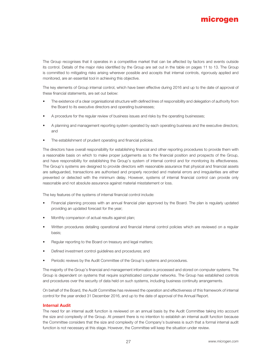The Group recognises that it operates in a competitive market that can be affected by factors and events outside its control. Details of the major risks identified by the Group are set out in the table on pages 11 to 13. The Group is committed to mitigating risks arising wherever possible and accepts that internal controls, rigorously applied and monitored, are an essential tool in achieving this objective.

The key elements of Group internal control, which have been effective during 2016 and up to the date of approval of these financial statements, are set out below:

- The existence of a clear organisational structure with defined lines of responsibility and delegation of authority from the Board to its executive directors and operating businesses;
- A procedure for the regular review of business issues and risks by the operating businesses;
- A planning and management reporting system operated by each operating business and the executive directors; and
- The establishment of prudent operating and financial policies.

The directors have overall responsibility for establishing financial and other reporting procedures to provide them with a reasonable basis on which to make proper judgements as to the financial position and prospects of the Group, and have responsibility for establishing the Group's system of internal control and for monitoring its effectiveness. The Group's systems are designed to provide directors with reasonable assurance that physical and financial assets are safeguarded, transactions are authorised and properly recorded and material errors and irregularities are either prevented or detected with the minimum delay. However, systems of internal financial control can provide only reasonable and not absolute assurance against material misstatement or loss.

The key features of the systems of internal financial control include:

- Financial planning process with an annual financial plan approved by the Board. The plan is regularly updated providing an updated forecast for the year;
- Monthly comparison of actual results against plan;
- Written procedures detailing operational and financial internal control policies which are reviewed on a regular basis;
- Regular reporting to the Board on treasury and legal matters;
- Defined investment control guidelines and procedures; and
- Periodic reviews by the Audit Committee of the Group's systems and procedures.

The majority of the Group's financial and management information is processed and stored on computer systems. The Group is dependent on systems that require sophisticated computer networks. The Group has established controls and procedures over the security of data held on such systems, including business continuity arrangements.

On behalf of the Board, the Audit Committee has reviewed the operation and effectiveness of this framework of internal control for the year ended 31 December 2016, and up to the date of approval of the Annual Report.

#### **Internal Audit**

The need for an internal audit function is reviewed on an annual basis by the Audit Committee taking into account the size and complexity of the Group. At present there is no intention to establish an internal audit function because the Committee considers that the size and complexity of the Company's business is such that a formal internal audit function is not necessary at this stage. However, the Committee will keep the situation under review.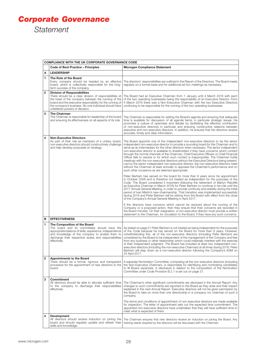# *Corporate Governance*

*Statement*

|                | <b>COMPLIANCE WITH THE UK CORPORATE GOVERNANCE CODE</b>                                                                                                                                                                                                                                                      |                                                                                                                                                                                                                                                                                                                                                                                                                                                                                                                                                                                                                                                                                                                                                                                                                                                                                            |  |  |  |
|----------------|--------------------------------------------------------------------------------------------------------------------------------------------------------------------------------------------------------------------------------------------------------------------------------------------------------------|--------------------------------------------------------------------------------------------------------------------------------------------------------------------------------------------------------------------------------------------------------------------------------------------------------------------------------------------------------------------------------------------------------------------------------------------------------------------------------------------------------------------------------------------------------------------------------------------------------------------------------------------------------------------------------------------------------------------------------------------------------------------------------------------------------------------------------------------------------------------------------------------|--|--|--|
|                | <b>Code of Best Practice - Principles</b>                                                                                                                                                                                                                                                                    | <b>Microgen Compliance Statement</b>                                                                                                                                                                                                                                                                                                                                                                                                                                                                                                                                                                                                                                                                                                                                                                                                                                                       |  |  |  |
| A              | <b>LEADERSHIP</b>                                                                                                                                                                                                                                                                                            |                                                                                                                                                                                                                                                                                                                                                                                                                                                                                                                                                                                                                                                                                                                                                                                                                                                                                            |  |  |  |
| 1              | The Role of the Board<br>Every company should be headed by an effective<br>board, which is collectively responsible for the long-<br>term success of the company.                                                                                                                                            | The directors' responsibilities are outlined in the Report of the Directors. The Board meets<br>regularly on a formal basis and for additional ad hoc meetings as necessary.                                                                                                                                                                                                                                                                                                                                                                                                                                                                                                                                                                                                                                                                                                               |  |  |  |
| $\overline{2}$ | <b>Division of Responsibilities</b><br>There should be a clear division of responsibilities at<br>the head of the company between the running of the<br>board and the executive responsibility for the running of<br>the company's business. No one individual should have<br>unfettered powers of decision. | The Board had an Executive Chairman from 1 January until 4 March 2016 with each<br>of the two operating businesses being the responsibility of an Executive Director. From<br>4 March 2016 there was a Non-Executive Chairman with the two Executive Directors<br>continuing to be responsible for the running of the two operating businesses.                                                                                                                                                                                                                                                                                                                                                                                                                                                                                                                                            |  |  |  |
| 3              | The Chairman<br>The Chairman is responsible for leadership of the board<br>and ensuring its effectiveness on all aspects of its role.                                                                                                                                                                        | The Chairman is responsible for setting the Board's agenda and ensuring that adequate<br>time is available for discussion of all agenda items, in particular strategic issues. He<br>promotes a culture of openness and debate by facilitating the effective contribution<br>of non-executive directors in particular and ensuring constructive relations between<br>executive and non-executive directors. In addition, he ensures that the directors receive<br>accurate, timely and clear information.                                                                                                                                                                                                                                                                                                                                                                                  |  |  |  |
| 4              | <b>Non-Executive Directors</b><br>As part of their role as members of a unitary board,<br>non-executive directors should constructively challenge<br>and help develop proposals on strategy.                                                                                                                 | The Board appoints one of the independent non-executive directors to be the senior<br>independent non-executive director to provide a sounding board for the Chairman and to<br>serve as an intermediary for the other directors when necessary. The senior independent<br>non-executive director is available to shareholders if they have concerns which contact<br>through the normal channels of the Chairman, Chief Executive Officers or Chief Financial<br>Officer fails to resolve or for which such contact is inappropriate. The Chairman holds<br>meetings with the non-executive directors without the Executive Directors being present.<br>Led by the senior independent non-executive director, the non-executive directors meet<br>without the Chairman at least annually to appraise the Chairman's performance and on<br>such other occasions as are deemed appropriate. |  |  |  |
|                |                                                                                                                                                                                                                                                                                                              | Peter Bertram has served on the board for more than 9 years since his appointment<br>in October 2006 and is therefore not treated as independent for the purposes of the<br>Code. The Board considered it important (following the retirement of Martyn Ratcliffe<br>as Executive Chairman in March 2016) for Peter Bertram to continue in his role until the<br>2017 Annual General Meeting, in order to provide continuity and stability during the initial<br>period of Ivan Martin's new chairmanship. That transition was implemented successfully<br>during 2016 and Peter Bertram will be retiring from the Board with effect from the close<br>of the Company's Annual General Meeting in April 2017.                                                                                                                                                                              |  |  |  |
|                |                                                                                                                                                                                                                                                                                                              | If the directors have concerns which cannot be resolved about the running of the<br>Company or a proposed action, then they ensure that their concerns are recorded in<br>the Board minutes. On their resignation, a non-executive director must provide a written<br>statement to the Chairman, for circulation to the Board, if they have any such concerns.                                                                                                                                                                                                                                                                                                                                                                                                                                                                                                                             |  |  |  |
| в              | <b>EFFECTIVENESS</b>                                                                                                                                                                                                                                                                                         |                                                                                                                                                                                                                                                                                                                                                                                                                                                                                                                                                                                                                                                                                                                                                                                                                                                                                            |  |  |  |
| 1              | The Composition of the Board<br>The board and its committees should have the<br>appropriate balance of skills, experience, independence<br>and knowledge of the company to enable them to<br>discharge their respective duties and responsibilities<br>effectively.                                          | As stated on page 21 Peter Bertram is not treated as being independent for the purposes<br>of the Code because he has served on the Board for more than 9 years. However,<br>notwithstanding this, all of the non-executive directors (including Peter Bertram) are<br>considered by the Board to be independent of the management of the Company and free<br>from any business or other relationship which could materially interfere with the exercise<br>of their independent judgment. The Board has included at least two independent non-<br>executive directors (including the non-executive Chairman) at all times during 2016. Peter<br>Bertram will step down as a non-executive director following the Company's AGM on<br>24 April 2017.                                                                                                                                       |  |  |  |
| $\overline{2}$ | Appointments to the Board<br>There should be a formal, rigorous and transparent<br>procedure for the appointment of new directors to the<br>board.                                                                                                                                                           | A separate Nomination Committee, comprising all the non-executive directors (including<br>the Non-Executive Chairman), is responsible for identifying and nominating candidates<br>to fill Board vacancies. A disclosure in relation to the composition of the Nomination<br>Committee under Code Provision B.2.1 is set out on page 21.                                                                                                                                                                                                                                                                                                                                                                                                                                                                                                                                                   |  |  |  |
| 3              | <b>Commitment</b><br>All directors should be able to allocate sufficient time<br>to the company to discharge their responsibilities<br>effectively.                                                                                                                                                          | The Chairman's other significant commitments are disclosed in the Annual Report. Any<br>changes to such commitments are reported to the Board as they arise and their impact<br>explained in the next Annual Report. Executive directors will not be given permission by<br>the Board to take on more than one directorship in a company nor chairman of such a<br>company.                                                                                                                                                                                                                                                                                                                                                                                                                                                                                                                |  |  |  |
|                |                                                                                                                                                                                                                                                                                                              | The terms and conditions of appointment of non-executive directors are made available<br>for inspection. The letter of appointment sets out the expected time commitment. The<br>appointed non-executive directors have undertaken that they will have sufficient time to<br>meet what is expected of them.                                                                                                                                                                                                                                                                                                                                                                                                                                                                                                                                                                                |  |  |  |
| 4              | Development<br>All directors should receive induction on joining the<br>board and should regularly update and refresh their<br>skills and knowledge.                                                                                                                                                         | The Chairman ensures that new directors receive an induction on joining the Board. Any<br>training needs required by the directors will be discussed with the Chairman.                                                                                                                                                                                                                                                                                                                                                                                                                                                                                                                                                                                                                                                                                                                    |  |  |  |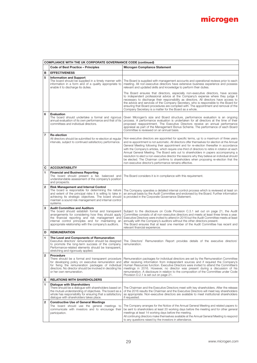|                | <b>COMPLIANCE WITH THE UK CORPORATE GOVERNANCE CODE (continued)</b>                                                                                                                                                                                                                                                                                                                                                                                                                                                                                                                                                                                                                                                                                             |                                                                                                                                                                                                                                                                                                                                                                                                                                                                                                                                                                                                                                                                                                                                        |  |  |  |
|----------------|-----------------------------------------------------------------------------------------------------------------------------------------------------------------------------------------------------------------------------------------------------------------------------------------------------------------------------------------------------------------------------------------------------------------------------------------------------------------------------------------------------------------------------------------------------------------------------------------------------------------------------------------------------------------------------------------------------------------------------------------------------------------|----------------------------------------------------------------------------------------------------------------------------------------------------------------------------------------------------------------------------------------------------------------------------------------------------------------------------------------------------------------------------------------------------------------------------------------------------------------------------------------------------------------------------------------------------------------------------------------------------------------------------------------------------------------------------------------------------------------------------------------|--|--|--|
|                | <b>Code of Best Practice - Principles</b>                                                                                                                                                                                                                                                                                                                                                                                                                                                                                                                                                                                                                                                                                                                       | <b>Microgen Compliance Statement</b>                                                                                                                                                                                                                                                                                                                                                                                                                                                                                                                                                                                                                                                                                                   |  |  |  |
| B              | <b>EFFECTIVENESS</b>                                                                                                                                                                                                                                                                                                                                                                                                                                                                                                                                                                                                                                                                                                                                            |                                                                                                                                                                                                                                                                                                                                                                                                                                                                                                                                                                                                                                                                                                                                        |  |  |  |
| 5              | <b>Information and Support</b><br>The board should be supplied in a timely manner with<br>information in a form and of a quality appropriate to<br>enable it to discharge its duties.                                                                                                                                                                                                                                                                                                                                                                                                                                                                                                                                                                           | The Board is supplied with management accounts and operational reviews prior to each<br>meeting. All non-executive directors have extensive business experience and possess<br>relevant and updated skills and knowledge to perform their duties.                                                                                                                                                                                                                                                                                                                                                                                                                                                                                      |  |  |  |
|                |                                                                                                                                                                                                                                                                                                                                                                                                                                                                                                                                                                                                                                                                                                                                                                 | The Board ensures that directors, especially non-executive directors, have access<br>to independent professional advice at the Company's expense where they judge it<br>necessary to discharge their responsibility as directors. All directors have access to<br>the advice and services of the Company Secretary, who is responsible to the Board for<br>ensuring that Board procedures are complied with. The appointment and removal of the<br>Company Secretary is a matter for the Board as a whole.                                                                                                                                                                                                                             |  |  |  |
| 6              | <b>Evaluation</b><br>The board should undertake a formal and rigorous<br>annual evaluation of its own performance and that of its<br>committees and individual directors.                                                                                                                                                                                                                                                                                                                                                                                                                                                                                                                                                                                       | Given Microgen's size and Board structure, performance evaluation is an ongoing<br>process. A performance evaluation is undertaken for all directors at the time of their<br>proposed reappointment. The Executive Directors receive an annual performance<br>appraisal as part of the Management Bonus Scheme. The performance of each Board<br>Committee is reviewed on an annual basis.                                                                                                                                                                                                                                                                                                                                             |  |  |  |
| 7              | Re-election<br>All directors should be submitted for re-election at regular<br>intervals, subject to continued satisfactory performance.                                                                                                                                                                                                                                                                                                                                                                                                                                                                                                                                                                                                                        | Non-executive directors are appointed for specific terms, up to a maximum of three years<br>and re-appointment is not automatic. All directors offer themselves for election at the Annual<br>General Meeting following their appointment and for re-election thereafter in accordance<br>with the Company's articles, which require one-third of directors to retire in rotation at each<br>Annual General Meeting. The Board sets out to shareholders in papers accompanying a<br>resolution to elect a non-executive director the reasons why they believe an individual should<br>be elected. The Chairman confirms to shareholders when proposing re-election that the<br>non-executive director's performance remains effective. |  |  |  |
| C              | <b>ACCOUNTABILITY</b>                                                                                                                                                                                                                                                                                                                                                                                                                                                                                                                                                                                                                                                                                                                                           |                                                                                                                                                                                                                                                                                                                                                                                                                                                                                                                                                                                                                                                                                                                                        |  |  |  |
| 1              | <b>Financial and Business Reporting</b><br>The board should present a fair, balanced and<br>understandable assessment of the company's position<br>and prospects.                                                                                                                                                                                                                                                                                                                                                                                                                                                                                                                                                                                               | The Board considers it is in compliance with this requirement.                                                                                                                                                                                                                                                                                                                                                                                                                                                                                                                                                                                                                                                                         |  |  |  |
| 2              | <b>Risk Management and Internal Control</b><br>The board is responsible for determining the nature<br>and extent of the principal risks it is willing to take in<br>achieving its strategic objectives. The board should<br>maintain a sound risk management and internal control<br>systems.                                                                                                                                                                                                                                                                                                                                                                                                                                                                   | The Company operates a detailed internal control process which is reviewed at least on<br>an annual basis by the Audit Committee and endorsed by the Board. Further information<br>is provided in the Corporate Governance Statement.                                                                                                                                                                                                                                                                                                                                                                                                                                                                                                  |  |  |  |
| 3              | <b>Audit Committee and Auditors</b><br>The board should establish formal and transparent<br>arrangements for considering how they should apply<br>the financial reporting and risk management and<br>internal control principles and for maintaining an<br>appropriate relationship with the company's auditors.                                                                                                                                                                                                                                                                                                                                                                                                                                                | Subject to the disclosure on Code Provision C.3.1 set out on page 21, the Audit<br>Committee consists of all non-executive directors and meets at least three times a year.<br>Executive Directors were invited to attend in 2016 but the Audit Committee meets at least<br>annually with the Company's auditors without the other directors present.<br>The Board ensures that at least one member of the Audit Committee has recent and<br>relevant financial experience.                                                                                                                                                                                                                                                            |  |  |  |
| D              | <b>REMUNERATION</b>                                                                                                                                                                                                                                                                                                                                                                                                                                                                                                                                                                                                                                                                                                                                             |                                                                                                                                                                                                                                                                                                                                                                                                                                                                                                                                                                                                                                                                                                                                        |  |  |  |
| 1              | The Level and Components of Remuneration<br>Executive directors' remuneration should be designed<br>to promote the long-term success of the company.<br>Performance-related elements should be transparent,<br>stretching and rigorously applied.                                                                                                                                                                                                                                                                                                                                                                                                                                                                                                               | The Directors' Remuneration Report provides details of the executive directors'<br>remuneration.                                                                                                                                                                                                                                                                                                                                                                                                                                                                                                                                                                                                                                       |  |  |  |
| $\overline{2}$ | Procedure<br>There should be a formal and transparent procedure<br>Remuneration packages for individual directors are set by the Remuneration Committee<br>for developing policy on executive remuneration and<br>after receiving information from independent sources and if required the Company's<br>for fixing the remuneration packages of individual<br>Human Resources function. Executive Directors were invited to attend the Committee's<br>directors. No director should be involved in deciding his<br>meetings in 2016. However, no director was present during a discussion of his<br>or her own remuneration.<br>remuneration. A disclosure in relation to the composition of the Committee under Code<br>Provision D.2.1 is set out on page 21. |                                                                                                                                                                                                                                                                                                                                                                                                                                                                                                                                                                                                                                                                                                                                        |  |  |  |
| Е              | <b>RELATIONS WITH SHAREHOLDERS</b>                                                                                                                                                                                                                                                                                                                                                                                                                                                                                                                                                                                                                                                                                                                              |                                                                                                                                                                                                                                                                                                                                                                                                                                                                                                                                                                                                                                                                                                                                        |  |  |  |
| 1              | <b>Dialogue with Shareholders</b><br>There should be a dialogue with shareholders based on<br>the mutual understanding of objectives. The board as a<br>whole has responsibility for ensuring that a satisfactory<br>dialogue with shareholders takes place.                                                                                                                                                                                                                                                                                                                                                                                                                                                                                                    | The Chairman and the Executive Directors meet with key shareholders. After the release<br>of the 2016 results the Chairman and the Executive Directors will meet key shareholders<br>as appropriate. Non-executive directors are available to meet institutional shareholders<br>if requested.                                                                                                                                                                                                                                                                                                                                                                                                                                         |  |  |  |
| 2              | <b>Constructive Use of General Meetings</b><br>The board should use the general meetings to<br>communicate with investors and to encourage their<br>participation.                                                                                                                                                                                                                                                                                                                                                                                                                                                                                                                                                                                              | The Company arranges for the Notice of the Annual General Meeting and related papers to<br>be sent to shareholders at least 20 working days before the meeting and for other general<br>meetings at least 14 working days before the meeting.<br>All continuing directors make themselves available at the Annual General Meeting to respond<br>to any questions raised by the investors in attendance.                                                                                                                                                                                                                                                                                                                                |  |  |  |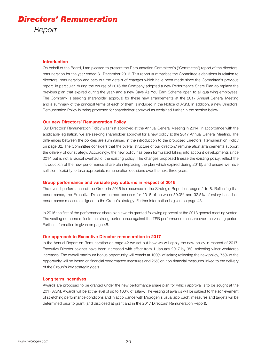# *Directors' Remuneration Report*

## **Introduction**

On behalf of the Board, I am pleased to present the Remuneration Committee's ("Committee") report of the directors' remuneration for the year ended 31 December 2016. This report summarises the Committee's decisions in relation to directors' remuneration and sets out the details of changes which have been made since the Committee's previous report. In particular, during the course of 2016 the Company adopted a new Performance Share Plan (to replace the previous plan that expired during the year) and a new Save As You Earn Scheme open to all qualifying employees. The Company is seeking shareholder approval for these new arrangements at the 2017 Annual General Meeting and a summary of the principal terms of each of them is included in the Notice of AGM. In addition, a new Directors' Remuneration Policy is being proposed for shareholder approval as explained further in the section below.

#### **Our new Directors' Remuneration Policy**

Our Directors' Remuneration Policy was first approved at the Annual General Meeting in 2014. In accordance with the applicable legislation, we are seeking shareholder approval for a new policy at the 2017 Annual General Meeting. The differences between the policies are summarised in the introduction to the proposed Directors' Remuneration Policy on page 32. The Committee considers that the overall structure of our directors' remuneration arrangements support the delivery of our strategy. Accordingly, the new policy has been formulated taking into account developments since 2014 but is not a radical overhaul of the existing policy. The changes proposed finesse the existing policy, reflect the introduction of the new performance share plan (replacing the plan which expired during 2016), and ensure we have sufficient flexibility to take appropriate remuneration decisions over the next three years.

#### **Group performance and variable pay outturns in respect of 2016**

The overall performance of the Group in 2016 is discussed in the Strategic Report on pages 2 to 8. Reflecting that performance, the Executive Directors earned bonuses for 2016 of between 50.0% and 92.5% of salary based on performance measures aligned to the Group's strategy. Further information is given on page 43.

In 2016 the first of the performance share plan awards granted following approval at the 2013 general meeting vested. The vesting outcome reflects the strong performance against the TSR performance measure over the vesting period. Further information is given on page 45.

#### **Our approach to Executive Director remuneration in 2017**

In the Annual Report on Remuneration on page 42 we set out how we will apply the new policy in respect of 2017. Executive Director salaries have been increased with effect from 1 January 2017 by 3%, reflecting wider workforce increases. The overall maximum bonus opportunity will remain at 100% of salary; reflecting the new policy, 75% of the opportunity will be based on financial performance measures and 25% on non-financial measures linked to the delivery of the Group's key strategic goals.

#### **Long term incentives**

Awards are proposed to be granted under the new performance share plan for which approval is to be sought at the 2017 AGM. Awards will be at the level of up to 100% of salary. The vesting of awards will be subject to the achievement of stretching performance conditions and in accordance with Microgen's usual approach, measures and targets will be determined prior to grant (and disclosed at grant and in the 2017 Directors' Remuneration Report).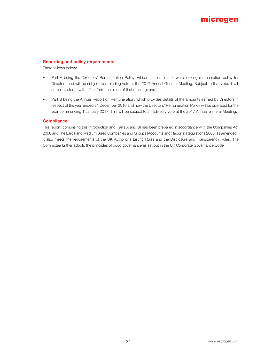## **Reporting and policy requirements**

There follows below:

- Part A being the Directors' Remuneration Policy, which sets out our forward-looking remuneration policy for Directors and will be subject to a binding vote at the 2017 Annual General Meeting. Subject to that vote, it will come into force with effect from the close of that meeting; and
- Part B being the Annual Report on Remuneration, which provides details of the amounts earned by Directors in respect of the year ended 31 December 2016 and how the Directors' Remuneration Policy will be operated for the year commencing 1 January 2017. This will be subject to an advisory vote at the 2017 Annual General Meeting.

## **Compliance**

This report (comprising this introduction and Parts A and B) has been prepared in accordance with the Companies Act 2006 and The Large and Medium Sized Companies and Groups (Accounts and Reports) Regulations 2008 (as amended). It also meets the requirements of the UK Authority's Listing Rules and the Disclosure and Transparency Rules. The Committee further adopts the principles of good governance as set out in the UK Corporate Governance Code.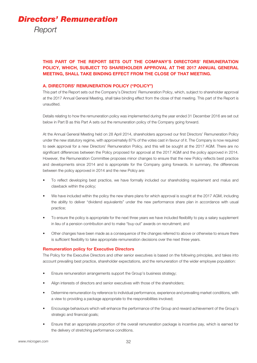# *Directors' Remuneration Report*

**THIS PART OF THE REPORT SETS OUT THE COMPANY'S DIRECTORS' REMUNERATION POLICY, WHICH, SUBJECT TO SHAREHOLDER APPROVAL AT THE 2017 ANNUAL GENERAL MEETING, SHALL TAKE BINDING EFFECT FROM THE CLOSE OF THAT MEETING.**

## **A. DIRECTORS' REMUNERATION POLICY ("POLICY")**

This part of the Report sets out the Company's Directors' Remuneration Policy, which, subject to shareholder approval at the 2017 Annual General Meeting, shall take binding effect from the close of that meeting. This part of the Report is unaudited.

Details relating to how the remuneration policy was implemented during the year ended 31 December 2016 are set out below in Part B as this Part A sets out the remuneration policy of the Company going forward.

At the Annual General Meeting held on 28 April 2014, shareholders approved our first Directors' Remuneration Policy under the new statutory regime, with approximately 87% of the votes cast in favour of it. The Company is now required to seek approval for a new Directors' Remuneration Policy, and this will be sought at the 2017 AGM. There are no significant differences between the Policy proposed for approval at the 2017 AGM and the policy approved in 2014. However, the Remuneration Committee proposes minor changes to ensure that the new Policy reflects best practice and developments since 2014 and is appropriate for the Company going forwards. In summary, the differences between the policy approved in 2014 and the new Policy are:

- To reflect developing best practice, we have formally included our shareholding requirement and malus and clawback within the policy;
- We have included within the policy the new share plans for which approval is sought at the 2017 AGM, including the ability to deliver "dividend equivalents" under the new performance share plan in accordance with usual practice;
- To ensure the policy is appropriate for the next three years we have included flexibility to pay a salary supplement in lieu of a pension contribution and to make "buy-out" awards on recruitment; and
- Other changes have been made as a consequence of the changes referred to above or otherwise to ensure there is sufficient flexibility to take appropriate remuneration decisions over the next three years.

#### **Remuneration policy for Executive Directors**

The Policy for the Executive Directors and other senior executives is based on the following principles, and takes into account prevailing best practice, shareholder expectations, and the remuneration of the wider employee population:

- Ensure remuneration arrangements support the Group's business strategy;
- Align interests of directors and senior executives with those of the shareholders;
- Determine remuneration by reference to individual performance, experience and prevailing market conditions, with a view to providing a package appropriate to the responsibilities involved;
- Encourage behaviours which will enhance the performance of the Group and reward achievement of the Group's strategic and financial goals:
- Ensure that an appropriate proportion of the overall remuneration package is incentive pay, which is earned for the delivery of stretching performance conditions.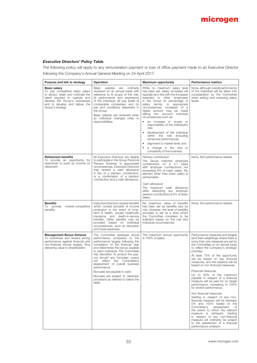## *Executive Directors' Policy Table*

The following policy will apply to any remuneration payment or loss of office payment made to an Executive Director following the Company's Annual General Meeting on 24 April 2017.

| Purpose and link to strategy                                                                                                                                                                                            | Operation                                                                                                                                                                                                                                                                                                                                                                                                                                                                                  | <b>Maximum opportunity</b>                                                                                                                                                                                                                                                                                                                                                                                                                                                                                                                                                                                | <b>Performance metrics</b>                                                                                                                                                                                                                                                                                                                                                                                                                                                                                                                                                                                                                                                                                                                                                                                                                                                                                                          |
|-------------------------------------------------------------------------------------------------------------------------------------------------------------------------------------------------------------------------|--------------------------------------------------------------------------------------------------------------------------------------------------------------------------------------------------------------------------------------------------------------------------------------------------------------------------------------------------------------------------------------------------------------------------------------------------------------------------------------------|-----------------------------------------------------------------------------------------------------------------------------------------------------------------------------------------------------------------------------------------------------------------------------------------------------------------------------------------------------------------------------------------------------------------------------------------------------------------------------------------------------------------------------------------------------------------------------------------------------------|-------------------------------------------------------------------------------------------------------------------------------------------------------------------------------------------------------------------------------------------------------------------------------------------------------------------------------------------------------------------------------------------------------------------------------------------------------------------------------------------------------------------------------------------------------------------------------------------------------------------------------------------------------------------------------------------------------------------------------------------------------------------------------------------------------------------------------------------------------------------------------------------------------------------------------------|
| <b>Basic salary</b><br>To pay competitive basic salary<br>to attract, retain and motivate the<br>talent required to operate and<br>develop the Group's businesses<br>and to develop and deliver the<br>Group's strategy | ordinarily<br>Basic<br>salaries<br>are<br>reviewed on an annual basis with<br>reference to (i) scope of the role,<br>(ii) performance and experience<br>of the individual, (iii) pay levels at<br>comparable companies, and (iv)<br>pay and conditions elsewhere in<br>the Group.<br>Basic salaries are reviewed when<br>an individual changes roles or<br>responsibilities.                                                                                                               | While no maximum salary level<br>has been set, salary increases will<br>typically be in line with the increases<br>awarded to other employees<br>in the Group (in percentage of<br>salary terms). In appropriate<br>circumstances, increases of a<br>higher amount may be made<br>taking into account individual<br>circumstances such as:<br>an increase in scope or<br>responsibility of the individual's<br>role;<br>development of the individual<br>within the role (including<br>enhanced performance);<br>alignment to market level; and<br>a change in the size or<br>complexity of the business. | None, although overall performance<br>of the individual will be taken into<br>consideration by the Committee<br>when setting and reviewing salary<br>levels.                                                                                                                                                                                                                                                                                                                                                                                                                                                                                                                                                                                                                                                                                                                                                                        |
| <b>Retirement benefits</b><br>To provide an opportunity for<br>executives to build up income on<br>retirement                                                                                                           | All Executive Directors are eligible<br>to participate in the Group Personal<br>Pension Scheme. In appropriate<br>circumstances. Executive Directors<br>may receive a cash allowance<br>in lieu of a pension contribution,<br>or a combination of a pension<br>contribution and a cash allowance.                                                                                                                                                                                          | Pension contribution<br>The Group matches employee<br>contributions on a 2:1 basis<br>with employer contributions not<br>exceeding 6% of basic salary. No<br>element other than basic salary is<br>pensionable.<br>Cash allowance<br>The maximum cash allowance<br>(after deducting any employer<br>pension contribution) is 6% of basic<br>salary.                                                                                                                                                                                                                                                       | None. Not performance related.                                                                                                                                                                                                                                                                                                                                                                                                                                                                                                                                                                                                                                                                                                                                                                                                                                                                                                      |
| <b>Benefits</b><br>To provide<br>market-competitive<br>benefits                                                                                                                                                         | Executive Directors receive benefits<br>which consist primarily of income<br>protection in the event of long-<br>term ill health, private healthcare<br>insurance and death-in-service<br>benefits. Other benefits may be<br>provided based on individual<br>circumstances, such as relocation<br>and travel expenses.                                                                                                                                                                     | No maximum value of benefits<br>has been set as benefits vary by<br>role. However, the level of benefits<br>provided is set at a level which<br>the Committee considers to be<br>sufficient based on the role and<br>individual circumstances.                                                                                                                                                                                                                                                                                                                                                            | None. Not performance related.                                                                                                                                                                                                                                                                                                                                                                                                                                                                                                                                                                                                                                                                                                                                                                                                                                                                                                      |
| <b>Management Bonus Scheme</b><br>To incentivise and reward strong<br>performance against financial and<br>non-financial annual targets, thus<br>delivering value to shareholders                                       | The Committee assesses actual<br>performance compared to the<br>performance targets following the<br>completion of the financial year<br>and determines the bonus payable<br>to each individual. The Committee<br>has discretion to amend the pay-<br>out should any formulaic output<br>not reflect the Committee's<br>assessment of overall business<br>performance.<br>Bonuses are payable in cash.<br>Bonuses are subject to clawback<br>provisions as referred to below the<br>table. | The maximum annual opportunity<br>is 100% of salary.                                                                                                                                                                                                                                                                                                                                                                                                                                                                                                                                                      | Performance measures and targets<br>(and their weightings where there is<br>more than one measure) are set by<br>the Committee on an annual basis<br>to reflect the Company's strategic<br>priorities.<br>At least 75% of the opportunity<br>will be based on key financial<br>measures, and the balance will be<br>based on non-financial measures.<br><b>Financial measures</b><br>Up to 50% of the maximum<br>payable in respect of a financial<br>measure will be paid for on target<br>performance, increasing to 100%<br>for stretch performance.<br>Non-financial measures<br>Vesting in respect of any non-<br>financial measure will be between<br>0% and 100% based on the<br>Committee's<br>assessment<br>of<br>the extent to which the relevant<br>measure is achieved. Vesting<br>in respect of any non-financial<br>measure will ordinarily be subject<br>to the satisfaction of a financial<br>performance underpin. |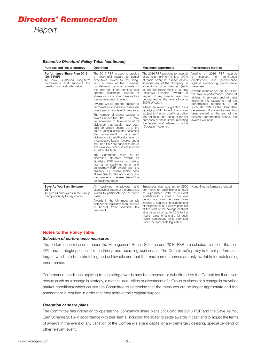# *Directors' Remuneration Report*

| Purpose and link to strategy |                                                                                                                                              | Operation                                                                                                                                                                                                                                                                                                                                                                                                                                                                                                                                                                                                                                                                                                                                                                                                                                                                                                                                                                                                                                                                                                                                                                            | <b>Maximum opportunity</b>                                                                                                                                                                                                                                                                                                                                                                                                                                                                                                                                                                                 | <b>Performance metrics</b>                                                                                                                                                                                                                                                                                                                                                                                                                                                                            |
|------------------------------|----------------------------------------------------------------------------------------------------------------------------------------------|--------------------------------------------------------------------------------------------------------------------------------------------------------------------------------------------------------------------------------------------------------------------------------------------------------------------------------------------------------------------------------------------------------------------------------------------------------------------------------------------------------------------------------------------------------------------------------------------------------------------------------------------------------------------------------------------------------------------------------------------------------------------------------------------------------------------------------------------------------------------------------------------------------------------------------------------------------------------------------------------------------------------------------------------------------------------------------------------------------------------------------------------------------------------------------------|------------------------------------------------------------------------------------------------------------------------------------------------------------------------------------------------------------------------------------------------------------------------------------------------------------------------------------------------------------------------------------------------------------------------------------------------------------------------------------------------------------------------------------------------------------------------------------------------------------|-------------------------------------------------------------------------------------------------------------------------------------------------------------------------------------------------------------------------------------------------------------------------------------------------------------------------------------------------------------------------------------------------------------------------------------------------------------------------------------------------------|
|                              | Performance Share Plan 2016<br>(2016 PSP)<br>To drive sustained long-term<br>performance that supports the<br>creation of shareholder value. | The 2016 PSP is used to provide<br>a meaningful reward to senior<br>executives linked to the long-<br>term success of the business,<br>by delivering annual awards in<br>the form of nil (or nominal)-cost<br>options, conditional awards of<br>shares or such other form as has<br>the same economic effect.<br>Awards will be granted subject to<br>performance conditions, assessed<br>over a period of at least three years,<br>The number of shares subject to<br>awards under the 2016 PSP may<br>be increased to take account of<br>dividends that would have been<br>paid on vested shares up to the<br>date of vesting (calculated assuming<br>the reinvestment of any such<br>dividends into additional shares on<br>a cumulative basis). Awards under<br>the 2016 PSP are subject to malus<br>and clawback provisions as referred<br>to below the table.<br>The Committee may, at its<br>discretion, structure awards as<br>Qualifying PSP awards comprising<br>both a tax qualifying option and<br>an ordinary PSP award, with the<br>ordinary PSP award scaled back<br>at exercise to take account of any<br>gain made on the exercise of the<br>tax qualifying option. | The 2016 PSP provides for awards<br>of up to a maximum limit of 100%<br>of basic salary in respect of any<br>financial year of the Company. In<br>exceptional circumstances (such<br>as on the recruitment of a new<br>Executive Director) awards in<br>respect of any financial year may<br>be granted at the level of up to<br>200% of salary.<br>Where an award is granted as a<br>Qualifying PSP Award, the shares<br>subject to the tax qualifying option<br>are not taken into account for the<br>purposes of these limits, reflecting<br>the "scale back" referred to in the<br>"Operation" column. | Vesting of 2016 PSP awards<br>subject<br>continuous<br>is<br>to<br>employment and<br>performance<br>against demanding<br>performance<br>measures.<br>Awards made under the 2016 PSP<br>will have a performance period of<br>at least three years and will vest<br>following the assessment of the<br>performance conditions or on<br>such later date as the Committee<br>determines. If no entitlement has<br>been earned at the end of the<br>relevant performance period, the<br>awards will lapse. |
|                              | <b>Save As You Earn Scheme</b><br>2016<br>To give all employees in the Group<br>the opportunity to buy shares.                               | qualifying employees and<br>All<br>executive directors of the group are<br>invited to participate on the same<br>basis.<br>Awards in the UK must comply<br>with certain legislative requirements<br>to benefit from beneficial tax<br>treatment.                                                                                                                                                                                                                                                                                                                                                                                                                                                                                                                                                                                                                                                                                                                                                                                                                                                                                                                                     | Employees can save up to £500<br>per month (or such higher amount<br>as is permitted under the relevant<br>legislation) for a three or five year<br>period, and can then use those<br>savings to acquire shares at the end<br>of the period at an exercise price set<br>at the start of the savings contract<br>at a discount of up to 20% to the<br>market value of a share (or such<br>higher percentage as is permitted<br>under the applicable legislation).                                                                                                                                           | None. Not performance related.                                                                                                                                                                                                                                                                                                                                                                                                                                                                        |

## *Executive Directors' Policy Table (continued)*

#### **Notes to the Policy Table**

#### *Selection of performance measures*

The performance measures under the Management Bonus Scheme and 2016 PSP are selected to reflect the main KPIs and strategic priorities for the Group and operating businesses. The Committee's policy is to set performance targets which are both stretching and achievable and that the maximum outcomes are only available for outstanding performance.

Performance conditions applying to subsisting awards may be amended or substituted by the Committee if an event occurs (such as a change in strategy, a material acquisition or divestment of a Group business or a change in prevailing market conditions) which causes the Committee to determine that the measures are no longer appropriate and that amendment is required in order that they achieve their original purpose.

## *Operation of share plans*

The Committee has discretion to operate the Company's share plans (including the 2016 PSP and the Save As You Earn Scheme 2016) in accordance with their terms, including the ability to settle awards in cash and to adjust the terms of awards in the event of any variation of the Company's share capital or any demerger, delisting, special dividend or other relevant event.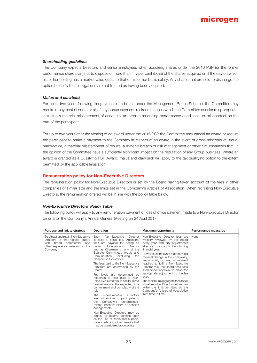## *Shareholding guidelines*

The Company expects Directors and senior employees when acquiring shares under the 2016 PSP (or the former performance share plan) not to dispose of more than fifty per cent (50%) of the shares acquired until the day on which his or her holding has a market value equal to that of his or her basic salary. Any shares that are sold to discharge the option holder's fiscal obligations are not treated as having been acquired.

## *Malus and clawback*

For up to two years following the payment of a bonus under the Management Bonus Scheme, the Committee may require repayment of some or all of any bonus payment in circumstances which the Committee considers appropriate, including a material misstatement of accounts, an error in assessing performance conditions, or misconduct on the part of the participant.

For up to two years after the vesting of an award under the 2016 PSP the Committee may cancel an award or require the participant to make a payment to the Company in respect of an award in the event of gross misconduct, fraud, malpractice, a material misstatement of results, a material breach of risk management or other circumstances that, in the opinion of the Committee have a sufficiently significant impact on the reputation of any Group business. Where an award is granted as a Qualifying PSP Award, malus and clawback will apply to the tax qualifying option to the extent permitted by the applicable legislation.

## **Remuneration policy for Non-Executive Directors**

The remuneration policy for Non-Executive Directors is set by the Board having taken account of the fees in other companies of similar size and the limits set in the Company's Articles of Association. When recruiting Non-Executive Directors, the remuneration offered will be in line with the policy table below.

## *Non-Executive Directors' Policy Table*

The following policy will apply to any remuneration payment or loss of office payment made to a Non-Executive Director on or after the Company's Annual General Meeting on 24 April 2017.

| Purpose and link to strategy                                                                                                                             | Operation                                                                                                                                                                                                                                                                                                                                                                                                                                                                                                                                                                                                                                                                                                                                                                                                                                                                                                                         | <b>Maximum opportunity</b>                                                                                                                                                                                                                                                                                                                                                                                                                                                                                                                                                                                                        | Performance measures |
|----------------------------------------------------------------------------------------------------------------------------------------------------------|-----------------------------------------------------------------------------------------------------------------------------------------------------------------------------------------------------------------------------------------------------------------------------------------------------------------------------------------------------------------------------------------------------------------------------------------------------------------------------------------------------------------------------------------------------------------------------------------------------------------------------------------------------------------------------------------------------------------------------------------------------------------------------------------------------------------------------------------------------------------------------------------------------------------------------------|-----------------------------------------------------------------------------------------------------------------------------------------------------------------------------------------------------------------------------------------------------------------------------------------------------------------------------------------------------------------------------------------------------------------------------------------------------------------------------------------------------------------------------------------------------------------------------------------------------------------------------------|----------------------|
| To attract and retain Non-Executive 1<br>Directors of the highest calibre<br>broad commercial and<br>with<br>other experience relevant to the<br>Company | Each<br>Non-Executive<br>Director<br>is paid a basic fee. Additional<br>fees are payable for acting as<br>Director<br>Senior<br>Independent<br>and as Chairman of any of the<br>Board's Committees (Audit and<br>the<br>Remuneration)<br>excluding<br>Nomination Committee.<br>The fees paid to the Non-Executive<br>Directors are determined by the<br>Board.<br>Fee levels are determined by<br>reference to fees paid to Non-<br>Executive Directors in similar sized<br>businesses and the expected time<br>commitment and complexity of the<br>role.<br>Non-Executive<br><b>The</b><br><b>Directors</b><br>are not eligible to participate in<br>Company's performance-<br>the<br>related incentive plans or pension<br>arrangements.<br>Non-Executive Directors may be<br>eligible to receive benefits such<br>as the use of secretarial support,<br>travel costs and other benefits that<br>may be considered appropriate. | Non-Executive Director fees are<br>typically reviewed by the Board<br>every year with any adjustments<br>effective 1 January of the following<br>financial year.<br>However, in the event that there is a<br>material change in the complexity,<br>responsibility or time commitment<br>required to fulfil a Non-Executive<br>Director role, the Board shall seek<br>shareholder approval to make the<br>appropriate adjustment to the fee<br>level.<br>The maximum aggregate fees for all<br>Non-Executive Directors will remain<br>within the limit permitted by the<br>Company's Articles of Association<br>from time to time. | None                 |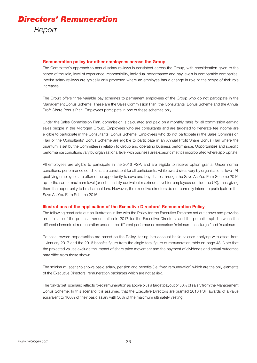## **Remuneration policy for other employees across the Group**

The Committee's approach to annual salary reviews is consistent across the Group, with consideration given to the scope of the role, level of experience, responsibility, individual performance and pay levels in comparable companies. Interim salary reviews are typically only proposed where an employee has a change in role or the scope of their role increases.

The Group offers three variable pay schemes to permanent employees of the Group who do not participate in the Management Bonus Scheme. These are the Sales Commission Plan, the Consultants' Bonus Scheme and the Annual Profit Share Bonus Plan. Employees participate in one of these schemes only.

Under the Sales Commission Plan, commission is calculated and paid on a monthly basis for all commission earning sales people in the Microgen Group. Employees who are consultants and are targeted to generate fee income are eligible to participate in the Consultants' Bonus Scheme. Employees who do not participate in the Sales Commission Plan or the Consultants' Bonus Scheme are eligible to participate in an Annual Profit Share Bonus Plan where the quantum is set by the Committee in relation to Group and operating business performance. Opportunities and specific performance conditions vary by organisational level with business area-specific metrics incorporated where appropriate.

All employees are eligible to participate in the 2016 PSP, and are eligible to receive option grants. Under normal conditions, performance conditions are consistent for all participants, while award sizes vary by organisational level. All qualifying employees are offered the opportunity to save and buy shares through the Save As You Earn Scheme 2016 up to the same maximum level (or substantially equivalent maximum level for employees outside the UK), thus giving them the opportunity to be shareholders. However, the executive directors do not currently intend to participate in the Save As You Earn Scheme 2016.

## **Illustrations of the application of the Executive Directors' Remuneration Policy**

The following chart sets out an illustration in line with the Policy for the Executive Directors set out above and provides an estimate of the potential remuneration in 2017 for the Executive Directors, and the potential split between the different elements of remuneration under three different performance scenarios: 'minimum', 'on-target' and 'maximum'.

Potential reward opportunities are based on the Policy, taking into account basic salaries applying with effect from 1 January 2017 and the 2016 benefits figure from the single total figure of remuneration table on page 43. Note that the projected values exclude the impact of share price movement and the payment of dividends and actual outcomes may differ from those shown.

The 'minimum' scenario shows basic salary, pension and benefits (i.e. fixed remuneration) which are the only elements of the Executive Directors' remuneration packages which are not at risk.

The 'on-target' scenario reflects fixed remuneration as above plus a target payout of 50% of salary from the Management Bonus Scheme. In this scenario it is assumed that the Executive Directors are granted 2016 PSP awards of a value equivalent to 100% of their basic salary with 50% of the maximum ultimately vesting.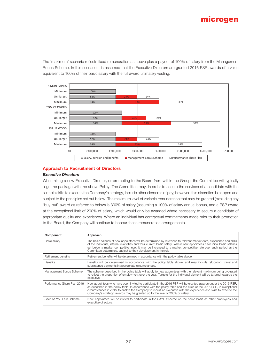The 'maximum' scenario reflects fixed remuneration as above plus a payout of 100% of salary from the Management Bonus Scheme. In this scenario it is assumed that the Executive Directors are granted 2016 PSP awards of a value equivalent to 100% of their basic salary with the full award ultimately vesting.



## **Approach to Recruitment of Directors**

## *Executive Directors*

When hiring a new Executive Director, or promoting to the Board from within the Group, the Committee will typically align the package with the above Policy. The Committee may, in order to secure the services of a candidate with the suitable skills to execute the Company's strategy, include other elements of pay; however, this discretion is capped and subject to the principles set out below. The maximum level of variable remuneration that may be granted (excluding any "buy-out" award as referred to below) is 300% of salary (assuming a 100% of salary annual bonus, and a PSP award at the exceptional limit of 200% of salary, which would only be awarded where necessary to secure a candidate of appropriate quality and experience). Where an individual has contractual commitments made prior to their promotion to the Board, the Company will continue to honour these remuneration arrangements.

| Component                   | Approach                                                                                                                                                                                                                                                                                                                                                                                                                                    |
|-----------------------------|---------------------------------------------------------------------------------------------------------------------------------------------------------------------------------------------------------------------------------------------------------------------------------------------------------------------------------------------------------------------------------------------------------------------------------------------|
| Basic salary                | The basic salaries of new appointees will be determined by reference to relevant market data, experience and skills<br>of the individual, internal relativities and their current basic salary. Where new appointees have initial basic salaries<br>set below a market competitive level, it may be increased to a market competitive rate over such period as the<br>Committee determines, subject to their development in the role        |
| Retirement benefits         | Retirement benefits will be determined in accordance with the policy table above.                                                                                                                                                                                                                                                                                                                                                           |
| <b>Benefits</b>             | Benefits will be determined in accordance with the policy table above, and may include relocation, travel and<br>subsistence payments in appropriate circumstances.                                                                                                                                                                                                                                                                         |
| Management Bonus Scheme     | The scheme described in the policy table will apply to new appointees with the relevant maximum being pro-rated<br>to reflect the proportion of employment over the year. Targets for the individual element will be tailored towards the<br>executive                                                                                                                                                                                      |
| Performance Share Plan 2016 | New appointees who have been invited to participate in the 2016 PSP will be granted awards under the 2016 PSP,<br>as described in the policy table. In accordance with the policy table and the rules of the 2016 PSP, in exceptional<br>circumstances in order to enable the Company to recruit an executive with the experience and skills to execute the<br>Company's strategy, awards may be granted up to the level of 200% of salary. |
| Save As You Farn Scheme     | New Appointees will be invited to participate in the SAYE Scheme on the same basis as other employees and<br>executive directors.                                                                                                                                                                                                                                                                                                           |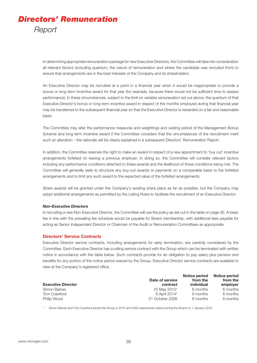In determining appropriate remuneration package for new Executive Directors, the Committee will take into consideration all relevant factors (including quantum, the nature of remuneration and where the candidate was recruited from) to ensure that arrangements are in the best interests of the Company and its shareholders.

An Executive Director may be recruited at a point in a financial year when it would be inappropriate to provide a bonus or long term incentive award for that year (for example, because there would not be sufficient time to assess performance). In these circumstances, subject to the limit on variable remuneration set out above, the quantum of that Executive Director's bonus or long term incentive award in respect of the months employed during that financial year may be transferred to the subsequent financial year so that the Executive Director is rewarded on a fair and reasonable basis.

The Committee may alter the performance measures and weightings and vesting period of the Management Bonus Scheme and long term incentive award if the Committee considers that the circumstances of the recruitment merit such an alteration – the rationale will be clearly explained in a subsequent Directors' Remuneration Report.

In addition, the Committee reserves the right to make an award in respect of a new appointment to 'buy out' incentive arrangements forfeited on leaving a previous employer. In doing so, the Committee will consider relevant factors including any performance conditions attached to these awards and the likelihood of those conditions being met. The Committee will generally seek to structure any buy-out awards or payments on a comparable basis to the forfeited arrangements and to limit any such award to the expected value of the forfeited arrangements.

Share awards will be granted under the Company's existing share plans as far as possible, but the Company may adopt additional arrangements as permitted by the Listing Rules to facilitate the recruitment of an Executive Director.

## *Non-Executive Directors*

In recruiting a new Non-Executive Director, the Committee will use the policy as set out in the table on page 35. A basic fee in line with the prevailing fee schedule would be payable for Board membership, with additional fees payable for acting as Senior Independent Director or Chairman of the Audit or Remuneration Committees as appropriate.

## **Directors' Service Contracts**

Executive Director service contracts, including arrangements for early termination, are carefully considered by the Committee. Each Executive Director has a rolling service contract with the Group which can be terminated with written notice in accordance with the table below. Such contracts provide for an obligation to pay salary plus pension and benefits for any portion of the notice period waived by the Group. Executive Director service contracts are available to view at the Company's registered office.

| <b>Executive Director</b> | Date of service<br>contract | Notice period<br>from the<br>individual | Notice period<br>from the<br>employer |
|---------------------------|-----------------------------|-----------------------------------------|---------------------------------------|
| Simon Baines              | 25 May 2010*                | 6 months                                | 6 months                              |
| Tom Crawford              | 6 April 2014*               | 6 months                                | 6 months                              |
| Philip Wood               | 21 October 2006             | 6 months                                | 6 months                              |

Simon Baines and Tom Crawford joined the Group in 2010 and 2003 respectively before joining the Board on 1 January 2016.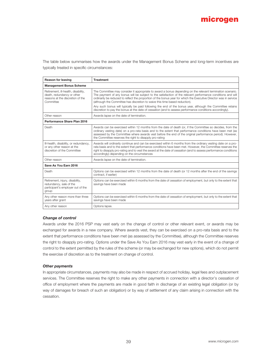The table below summarises how the awards under the Management Bonus Scheme and long-term incentives are typically treated in specific circumstances:

| <b>Reason for leaving</b>                                                                                          | <b>Treatment</b>                                                                                                                                                                                                                                                                                                                                                                                                               |
|--------------------------------------------------------------------------------------------------------------------|--------------------------------------------------------------------------------------------------------------------------------------------------------------------------------------------------------------------------------------------------------------------------------------------------------------------------------------------------------------------------------------------------------------------------------|
| <b>Management Bonus Scheme</b>                                                                                     |                                                                                                                                                                                                                                                                                                                                                                                                                                |
| Retirement, ill-health, disability,<br>death, redundancy or other<br>reasons at the discretion of the<br>Committee | The Committee may consider it appropriate to award a bonus depending on the relevant termination scenario.<br>The payment of any bonus will be subject to the satisfaction of the relevant performance conditions and will<br>ordinarily be reduced to reflect the proportion of the bonus year for which the Executive Director was in service<br>(although the Committee has discretion to waive this time based reduction). |
|                                                                                                                    | Any such bonus will typically be paid following the end of the bonus year, although the Committee retains<br>discretion to pay the bonus at the date of cessation (and to assess performance conditions accordingly).                                                                                                                                                                                                          |
| Other reason                                                                                                       | Awards lapse on the date of termination.                                                                                                                                                                                                                                                                                                                                                                                       |
| Performance Share Plan 2016                                                                                        |                                                                                                                                                                                                                                                                                                                                                                                                                                |
| Death                                                                                                              | Awards can be exercised within 12 months from the date of death (or, if the Committee so decides, from the<br>ordinary vesting date) on a pro-rata basis and to the extent that performance conditions have been met (as<br>assessed by the Committee where awards vest before the end of the original performance period). However,<br>the Committee reserves the right to disapply pro-rating                                |
| III-health, disability, or redundancy,<br>or any other reason at the<br>discretion of the Committee                | Awards will ordinarily continue and can be exercised within 6 months from the ordinary vesting date on a pro-<br>rata basis and to the extent that performance conditions have been met. However, the Committee reserves the<br>right to disapply pro-rating and to vest the award at the date of cessation (and to assess performance conditions<br>accordingly) depending on the circumstances                               |
| Other reason                                                                                                       | Awards lapse on the date of termination.                                                                                                                                                                                                                                                                                                                                                                                       |
| Save As You Earn 2016                                                                                              |                                                                                                                                                                                                                                                                                                                                                                                                                                |
| Death                                                                                                              | Options can be exercised within 12 months from the date of death (or 12 months after the end of the savings<br>contract, if earlier)                                                                                                                                                                                                                                                                                           |
| Retirement, injury, disability,<br>redundancy, sale of the<br>participant's employer out of the<br>group           | Options can be exercised within 6 months from the date of cessation of employment, but only to the extent that<br>savings have been made                                                                                                                                                                                                                                                                                       |
| Any other reason more than three<br>years after grant                                                              | Options can be exercised within 6 months from the date of cessation of employment, but only to the extent that<br>savings have been made                                                                                                                                                                                                                                                                                       |
| Any other reason                                                                                                   | Options lapse.                                                                                                                                                                                                                                                                                                                                                                                                                 |

## *Change of control*

Awards under the 2016 PSP may vest early on the change of control or other relevant event, or awards may be exchanged for awards in a new company. Where awards vest, they can be exercised on a pro-rata basis and to the extent that performance conditions have been met (as assessed by the Committee), although the Committee reserves the right to disapply pro-rating. Options under the Save As You Earn 2016 may vest early in the event of a change of control to the extent permitted by the rules of the scheme (or may be exchanged for new options), which do not permit the exercise of discretion as to the treatment on change of control.

## *Other payments*

In appropriate circumstances, payments may also be made in respect of accrued holiday, legal fees and outplacement services. The Committee reserves the right to make any other payments in connection with a director's cessation of office of employment where the payments are made in good faith in discharge of an existing legal obligation (or by way of damages for breach of such an obligation) or by way of settlement of any claim arising in connection with the cessation.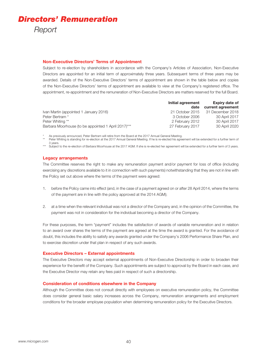## **Non-Executive Directors' Terms of Appointment**

Subject to re-election by shareholders in accordance with the Company's Articles of Association, Non-Executive Directors are appointed for an initial term of approximately three years. Subsequent terms of three years may be awarded. Details of the Non-Executive Directors' terms of appointment are shown in the table below and copies of the Non-Executive Directors' terms of appointment are available to view at the Company's registered office. The appointment, re-appointment and the remuneration of Non-Executive Directors are matters reserved for the full Board.

|                                                     | Initial agreement<br>date | <b>Expiry date of</b><br>current agreement |
|-----------------------------------------------------|---------------------------|--------------------------------------------|
| Ivan Martin (appointed 1 January 2016)              | 21 October 2015           | 31 December 2018                           |
| Peter Bertram *                                     | 3 October 2006            | 30 April 2017                              |
| Peter Whiting **                                    | 2 February 2012           | 30 April 2017                              |
| Barbara Moorhouse (to be appointed 1 April 2017)*** | 27 February 2017          | 30 April 2020                              |

As previously announced. Peter Bertram will retire from the Board at the 2017 Annual General Meeting. \*\* Peter Whiting is standing for re-election at the 2017 Annual General Meeting. If he is re-elected his agreement will be extended for a further term of

### **Legacy arrangements**

3 years.

The Committee reserves the right to make any remuneration payment and/or payment for loss of office (including exercising any discretions available to it in connection with such payments) notwithstanding that they are not in line with the Policy set out above where the terms of the payment were agreed:

Subject to the re-election of Barbara Moorhouse at the 2017 AGM. If she is re-elected her agreement will be extended for a further term of 3 years.

- 1. before the Policy came into effect (and, in the case of a payment agreed on or after 28 April 2014, where the terms of the payment are in line with the policy approved at the 2014 AGM);
- 2. at a time when the relevant individual was not a director of the Company and, in the opinion of the Committee, the payment was not in consideration for the individual becoming a director of the Company.

For these purposes, the term "payment" includes the satisfaction of awards of variable remuneration and in relation to an award over shares the terms of the payment are agreed at the time the award is granted. For the avoidance of doubt, this includes the ability to satisfy any awards granted under the Company's 2006 Performance Share Plan, and to exercise discretion under that plan in respect of any such awards.

### **Executive Directors – External appointments**

The Executive Directors may accept external appointments of Non-Executive Directorship in order to broaden their experience for the benefit of the Company. Such appointments are subject to approval by the Board in each case, and the Executive Director may retain any fees paid in respect of such a directorship.

### **Consideration of conditions elsewhere in the Company**

Although the Committee does not consult directly with employees on executive remuneration policy, the Committee does consider general basic salary increases across the Company, remuneration arrangements and employment conditions for the broader employee population when determining remuneration policy for the Executive Directors.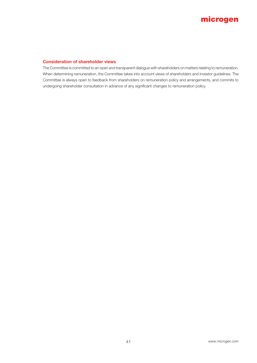## **Consideration of shareholder views**

The Committee is committed to an open and transparent dialogue with shareholders on matters relating to remuneration. When determining remuneration, the Committee takes into account views of shareholders and investor guidelines. The Committee is always open to feedback from shareholders on remuneration policy and arrangements, and commits to undergoing shareholder consultation in advance of any significant changes to remuneration policy.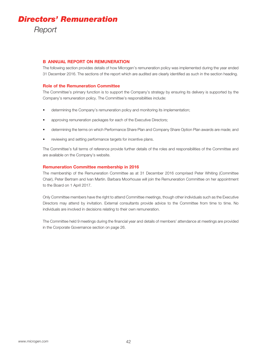## **B ANNUAL REPORT ON REMUNERATION**

The following section provides details of how Microgen's remuneration policy was implemented during the year ended 31 December 2016. The sections of the report which are audited are clearly identified as such in the section heading.

## **Role of the Remuneration Committee**

The Committee's primary function is to support the Company's strategy by ensuring its delivery is supported by the Company's remuneration policy. The Committee's responsibilities include:

- determining the Company's remuneration policy and monitoring its implementation;
- approving remuneration packages for each of the Executive Directors;
- determining the terms on which Performance Share Plan and Company Share Option Plan awards are made; and
- reviewing and setting performance targets for incentive plans.

The Committee's full terms of reference provide further details of the roles and responsibilities of the Committee and are available on the Company's website.

## **Remuneration Committee membership in 2016**

The membership of the Remuneration Committee as at 31 December 2016 comprised Peter Whiting (Committee Chair), Peter Bertram and Ivan Martin. Barbara Moorhouse will join the Remuneration Committee on her appointment to the Board on 1 April 2017.

Only Committee members have the right to attend Committee meetings, though other individuals such as the Executive Directors may attend by invitation. External consultants provide advice to the Committee from time to time. No individuals are involved in decisions relating to their own remuneration.

The Committee held 9 meetings during the financial year and details of members' attendance at meetings are provided in the Corporate Governance section on page 26.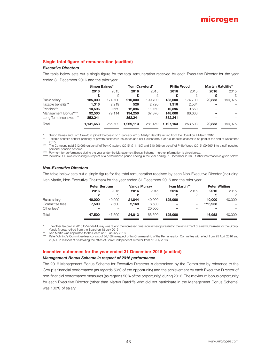## **Single total figure of remuneration (audited)**

## *Executive Directors*

The table below sets out a single figure for the total remuneration received by each Executive Director for the year ended 31 December 2016 and the prior year.

| Simon Baines* |                          |           | Tom Crawford*            |           | <b>Philip Wood</b> |                          | <b>Martyn Ratcliffe*</b> |  |
|---------------|--------------------------|-----------|--------------------------|-----------|--------------------|--------------------------|--------------------------|--|
| 2016          | 2015                     | 2016      | 2015                     | 2016      | 2015               | 2016                     | 2015                     |  |
| £             | ₽                        | £         | £                        | £         | ₽                  | £                        | £.                       |  |
| 185.000       | 174.700                  | 210,000   | 199,700                  | 185.000   | 174.700            | 20,833                   | 199,375                  |  |
| 1.316         | 2.219                    | 526       | 2.720                    | 1.316     | 2.534              |                          |                          |  |
| 10.596        | 9.669                    | 12.096    | 11.169                   | 10.596    | 9.669              |                          |                          |  |
| 92,500        | 79.114                   | 194.250   | 67,870                   | 148.000   | 66,600             | $\overline{\phantom{0}}$ |                          |  |
| 852,241       | $\overline{\phantom{a}}$ | 852,241   | $\overline{\phantom{0}}$ | 852.241   |                    | -                        |                          |  |
| 1,141,653     | 265,702                  | 1.269.113 | 281.459                  | 1.197.153 | 253,503            | 20,833                   | 199,375                  |  |
|               |                          |           |                          |           |                    |                          |                          |  |

Simon Baines and Tom Crawford joined the board on 1 January 2016. Martyn Ratcliffe retired from the Board on 4 March 2016. Taxable benefits consist primarily of private healthcare insurance and car fuel benefits. Car fuel benefits ceased to be paid at the end of December

2015. \*\*\* The Company paid £12,096 on behalf of Tom Crawford (2015: £11,169) and £10,596 on behalf of Philip Wood (2015: £9,669) into a self-invested personal pension scheme.

\*\*\*\* Payment for performance during the year under the Management Bonus Scheme – further information is given below.

\*\*\*\*\* Includes PSP awards vesting in respect of a performance period ending in the year ending 31 December 2016 – further information is given below.

## *Non-Executive Directors*

The table below sets out a single figure for the total remuneration received by each Non-Executive Director (including Ivan Martin, Non-Executive Chairman) for the year ended 31 December 2016 and the prior year:

|                | <b>Peter Bertram</b> |        | <b>Vanda Murray</b> |        | Ivan Martin**            |      | <b>Peter Whiting</b> |        |
|----------------|----------------------|--------|---------------------|--------|--------------------------|------|----------------------|--------|
|                | 2016                 | 2015   | 2016                | 2015   | 2016                     | 2015 | 2016                 | 2015   |
|                |                      | ᡗ      | £                   | £      |                          | c.   |                      | £.     |
| Basic salary   | 40,000               | 40,000 | 21.844              | 40,000 | 125,000                  | -    | 40,000               | 40,000 |
| Committee fees | 7.500                | 7.500  | 2.169               | 6.500  | $\overline{\phantom{0}}$ |      | ***6.958             |        |
| Other fees*    | -                    |        | $\qquad \qquad$     | 20,000 | -                        |      |                      |        |
| Total          | 47.500               | 47.500 | 24.013              | 66,500 | 125,000                  |      | 46.958               | 40,000 |

The other fee paid in 2015 to Vanda Murray was due to the increased time requirement pursuant to the recruitment of a new Chairman for the Group. Vanda Murray retired from the Board on 18 July 2016

Ivan Martin was appointed to the Board on 1 January 2016. Peter Whiting's Committee fees consist of £4,458 in respect of his Chairmanship of the Remuneration Committee with effect from 25 April 2016 and £2,500 in respect of his holding the office of Senior Independent Director from 18 July 2016.

## **Incentive outcomes for the year ended 31 December 2016 (audited)**

## *Management Bonus Scheme in respect of 2016 performance*

The 2016 Management Bonus Scheme for Executive Directors is determined by the Committee by reference to the Group's financial performance (as regards 50% of the opportunity) and the achievement by each Executive Director of non-financial performance measures (as regards 50% of the opportunity) during 2016. The maximum bonus opportunity for each Executive Director (other than Martyn Ratcliffe who did not participate in the Management Bonus Scheme) was 100% of salary.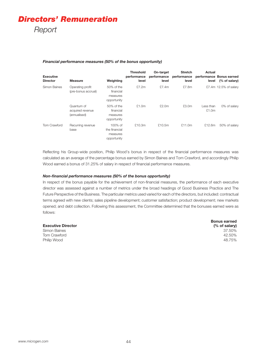## *Financial performance measures (50% of the bonus opportunity)*

| <b>Executive</b><br><b>Director</b> | <b>Measure</b>                                 | Weighting                                           | <b>Threshold</b><br>performance<br>level | On-target<br>performance<br>level | <b>Stretch</b><br>performance<br>level | Actual<br>level    | performance Bonus earned<br>(% of salary) |
|-------------------------------------|------------------------------------------------|-----------------------------------------------------|------------------------------------------|-----------------------------------|----------------------------------------|--------------------|-------------------------------------------|
| Simon Baines                        | Operating profit<br>(pre-bonus accrual)        | 50% of the<br>financial<br>measures<br>opportunity  | £7.2m                                    | £7.4m                             | £7.8m                                  |                    | £7.4m 12.5% of salary                     |
|                                     | Quantum of<br>acquired revenue<br>(annualised) | 50% of the<br>financial<br>measures<br>opportunity  | £1.0m                                    | £2.0m                             | £3.0m                                  | Less than<br>£1.0m | 0% of salary                              |
| Tom Crawford                        | Recurring revenue<br>base                      | 100% of<br>the financial<br>measures<br>opportunity | £10.3m                                   | £10.5m                            | £11.0m                                 | £12.6m             | 50% of salary                             |

Reflecting his Group-wide position, Philip Wood's bonus in respect of the financial performance measures was calculated as an average of the percentage bonus earned by Simon Baines and Tom Crawford, and accordingly Philip Wood earned a bonus of 31.25% of salary in respect of financial performance measures.

## *Non-financial performance measures (50% of the bonus opportunity)*

In respect of the bonus payable for the achievement of non-financial measures, the performance of each executive director was assessed against a number of metrics under the broad headings of Good Business Practice and The Future Perspective of the Business. The particular metrics used varied for each of the directors, but included: contractual terms agreed with new clients; sales pipeline development; customer satisfaction; product development; new markets opened; and debt collection. Following this assessment, the Committee determined that the bonuses earned were as follows:

| <b>Executive Director</b> | <b>Bonus earned</b><br>$%$ of salary) |
|---------------------------|---------------------------------------|
|                           |                                       |
| Simon Baines              | 37.50%                                |
| Tom Crawford              | 42.50%                                |
| Philip Wood               | 48.75%                                |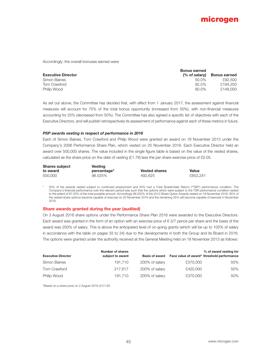

**Bonus earned**

Accordingly, the overall bonuses earned were

|                           | <b>Bonus earned</b>      |                     |
|---------------------------|--------------------------|---------------------|
| <b>Executive Director</b> | $\frac{1}{2}$ of salary) | <b>Bonus earned</b> |
| Simon Baines              | 50.0%                    | £92,500             |
| Tom Crawford              | 92.5%                    | £194.250            |
| Philip Wood               | 80.0%                    | £148.000            |

As set out above, the Committee has decided that, with effect from 1 January 2017, the assessment against financial measures will account for 75% of the total bonus opportunity (increased from 50%), with non-financial measures accounting for 25% (decreased from 50%). The Committee has also agreed a specific list of objectives with each of the Executive Directors, and will publish retrospectively its assessment of performance against each of these metrics in future.

### *PSP awards vesting in respect of performance in 2016*

Each of Simon Baines, Tom Crawford and Philip Wood were granted an award on 18 November 2013 under the Company's 2006 Performance Share Plan, which vested on 25 November 2016. Each Executive Director held an award over 500,000 shares. The value included in the single figure table is based on the value of the vested shares, calculated as the share price on the date of vesting (£1.78) less the per share exercise price of £0.05.

| <b>Shares subject</b> | Vesting     |                      |              |
|-----------------------|-------------|----------------------|--------------|
| to award              | percentage* | <b>Vested shares</b> | <b>Value</b> |
| 500,000               | 98.525%     | 492.625              | £852.241     |

\* 50% of the awards vested subject to continued employment and 50% had a Total Shareholder Return ("TSR") performance condition. The Company's financial performance over the relevant period was such that the options which were subject to the TSR performance condition vested to the extent of 97.05% of the total possible amount. Accordingly 98.525% of the 2013 Share Option Awards vested on 18 November 2016. 65% of the vested share options became capable of exercise on 20 November 2016 and the remaining 35% will become capable of exercise in November 2018.

### **Share awards granted during the year (audited)**

On 3 August 2016 share options under the Performance Share Plan 2016 were awarded to the Executive Directors. Each award was granted in the form of an option with an exercise price of 6 3/7 pence per share and the basis of the award was 200% of salary. This is above the anticipated level of on-going grants (which will be up to 100% of salary in accordance with the table on pages 33 to 34) due to the developments in both the Group and its Board in 2016. The options were granted under the authority received at the General Meeting held on 18 November 2013 as follows:

| <b>Executive Director</b> | <b>Number of shares</b><br>subject to award | <b>Basis of award</b> |          | % of award vesting for<br>Face value of award* threshold performance |
|---------------------------|---------------------------------------------|-----------------------|----------|----------------------------------------------------------------------|
| Simon Baines              | 191.710                                     | 200% of salary        | £370,000 | 50%                                                                  |
| Tom Crawford              | 217.617                                     | 200% of salary        | £420,000 | 50%                                                                  |
| Philip Wood               | 191.710                                     | 200% of salary        | £370,000 | 50%                                                                  |

\*Based on a share price on 2 August 2016 of £1.93.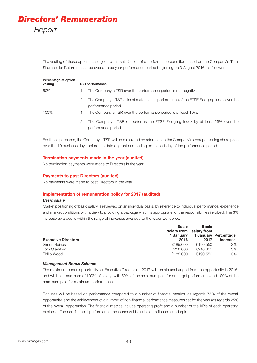The vesting of these options is subject to the satisfaction of a performance condition based on the Company's Total Shareholder Return measured over a three year performance period beginning on 3 August 2016, as follows:

| Percentage of option<br>vesting |     | <b>TSR performance</b>                                                                                         |
|---------------------------------|-----|----------------------------------------------------------------------------------------------------------------|
| 50%                             | (1) | The Company's TSR over the performance period is not negative.                                                 |
|                                 | (2) | The Company's TSR at least matches the performance of the FTSE Fledgling Index over the<br>performance period. |
| 100%                            | (1) | The Company's TSR over the performance period is at least 10%.                                                 |
|                                 | (2) | The Company's TSR outperforms the FTSE Fledgling Index by at least 25% over the<br>performance period.         |

For these purposes, the Company's TSR will be calculated by reference to the Company's average closing share price over the 10 business days before the date of grant and ending on the last day of the performance period.

## **Termination payments made in the year (audited)**

No termination payments were made to Directors in the year.

## **Payments to past Directors (audited)**

No payments were made to past Directors in the year.

## **Implementation of remuneration policy for 2017 (audited)**

#### *Basic salary*

Market positioning of basic salary is reviewed on an individual basis, by reference to individual performance, experience and market conditions with a view to providing a package which is appropriate for the responsibilities involved. The 3% increase awarded is within the range of increases awarded to the wider workforce.

|                            | <b>Basic</b> | <b>Basic</b>            |                      |
|----------------------------|--------------|-------------------------|----------------------|
|                            |              | salary from salary from |                      |
|                            | 1 Januarv    |                         | 1 January Percentage |
| <b>Executive Directors</b> | 2016         | 2017                    | increase             |
| Simon Baines               | £185,000     | £190.550                | 3%                   |
| Tom Crawford               | £210,000     | £216,300                | 3%                   |
| Philip Wood                | £185,000     | £190.550                | 3%                   |

### *Management Bonus Scheme*

The maximum bonus opportunity for Executive Directors in 2017 will remain unchanged from the opportunity in 2016, and will be a maximum of 100% of salary, with 50% of the maximum paid for on target performance and 100% of the maximum paid for maximum performance.

Bonuses will be based on performance compared to a number of financial metrics (as regards 75% of the overall opportunity) and the achievement of a number of non-financial performance measures set for the year (as regards 25% of the overall opportunity). The financial metrics include operating profit and a number of the KPIs of each operating business. The non-financial performance measures will be subject to financial underpin.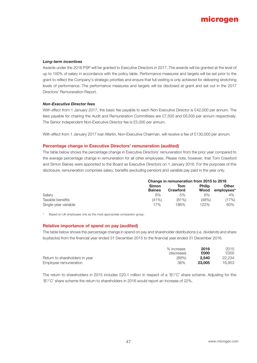## *Long-term incentives*

Awards under the 2016 PSP will be granted to Executive Directors in 2017. The awards will be granted at the level of up to 100% of salary in accordance with the policy table. Performance measures and targets will be set prior to the grant to reflect the Company's strategic priorities and ensure that full vesting is only achieved for delivering stretching levels of performance. The performance measures and targets will be disclosed at grant and set out in the 2017 Directors' Remuneration Report.

### *Non-Executive Director fees*

With effect from 1 January 2017, the basic fee payable to each Non-Executive Director is £42,000 per annum. The fees payable for chairing the Audit and Remuneration Committees are £7,500 and £6,500 per annum respectively. The Senior Independent Non-Executive Director fee is £5,000 per annum.

With effect from 1 January 2017 Ivan Martin, Non-Executive Chairman, will receive a fee of £130,000 per annum.

## **Percentage change in Executive Directors' remuneration (audited)**

The table below shows the percentage change in Executive Directors' remuneration from the prior year compared to the average percentage change in remuneration for all other employees. Please note, however, that Tom Crawford and Simon Baines were appointed to the Board as Executive Directors on 1 January 2016. For the purposes of this disclosure, remuneration comprises salary, benefits (excluding pension) and variable pay paid in the year only.

|                      | Change in remuneration from 2015 to 2016 |          |               |              |
|----------------------|------------------------------------------|----------|---------------|--------------|
|                      | <b>Simon</b>                             | Tom      | <b>Philip</b> | <b>Other</b> |
|                      | <b>Baines</b>                            | Crawford | Wood          | employees*   |
| Salarv               | 6%                                       | 5%       | 6%            | 4%           |
| Taxable benefits     | (41%)                                    | (81%)    | (48%)         | (17%)        |
| Single-year variable | 17%                                      | 186%     | 122%          | 60%          |

Based on UK employees only as the most appropriate comparator group.

## **Relative importance of spend on pay (audited)**

The table below shows the percentage change in spend on pay and shareholder distributions (i.e. dividends and share buybacks) from the financial year ended 31 December 2015 to the financial year ended 31 December 2016.

|                                | % increase | 2016   | 2015   |
|--------------------------------|------------|--------|--------|
|                                | (decrease) | £000   | £000   |
| Return to shareholders in year | (89%)      | 2.540  | 22.234 |
| Employee remuneration          | 36%        | 23,005 | 16.953 |

The return to shareholders in 2015 includes £20.1 million in respect of a 'B'/'C' share scheme. Adjusting for this 'B'/'C' share scheme the return to shareholders in 2016 would report an increase of 22%.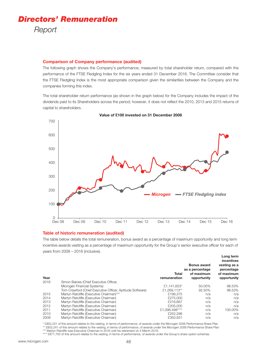## **Comparison of Company performance (audited)**

The following graph shows the Company's performance, measured by total shareholder return, compared with the performance of the FTSE Fledgling Index for the six years ended 31 December 2016. The Committee consider that the FTSE Fledgling Index is the most appropriate comparison given the similarities between the Company and the companies forming this index.

The total shareholder return performance (as shown in the graph below) for the Company includes the impact of the dividends paid to its Shareholders across the period; however, it does not reflect the 2010, 2013 and 2015 returns of capital to shareholders.





## **Table of historic remuneration (audited)**

The table below details the total remuneration, bonus award as a percentage of maximum opportunity and long term incentive awards vesting as a percentage of maximum opportunity for the Group's senior executive officer for each of years from 2009 – 2016 (inclusive).

| Year |                                                           | Total<br>remuneration | <b>Bonus award</b><br>as a percentage<br>of maximum<br>opportunity | Long term<br>incentives<br>vesting as a<br>percentage<br>of maximum<br>opportunity |
|------|-----------------------------------------------------------|-----------------------|--------------------------------------------------------------------|------------------------------------------------------------------------------------|
| 2016 | Simon Baines (Chief Executive Officer,                    |                       |                                                                    |                                                                                    |
|      | Microgen Financial Systems)                               | £1.141.653*           | 50.00%                                                             | 98.53%                                                                             |
|      | Tom Crawford (Chief Executive Officer, Aptitude Software) | £1.269.113**          | 92.50%                                                             | 98.53%                                                                             |
| 2015 | Martyn Ratcliffe (Executive Chairman)***                  | £199.375              | n/a                                                                | n/a                                                                                |
| 2014 | Martyn Ratcliffe (Executive Chairman)                     | £275,000              | n/a                                                                | n/a                                                                                |
| 2013 | Martyn Ratcliffe (Executive Chairman)                     | £216,667              | n/a                                                                | n/a                                                                                |
| 2012 | Martyn Ratcliffe (Executive Chairman)                     | £205,000              | n/a                                                                | n/a                                                                                |
| 2011 | Martyn Ratcliffe (Executive Chairman)                     | £1.096.498****        | n/a                                                                | 100.00%                                                                            |
| 2010 | Martyn Ratcliffe (Executive Chairman)                     | £252.296              | n/a                                                                | n/a                                                                                |
| 2009 | Martyn Ratcliffe (Executive Chairman)                     | £350.931              | n/a                                                                | n/a                                                                                |

\* £852,241 of this amount relates to the vesting, in terms of performance, of awards under the Microgen 2006 Performance Share Plan \*\* £852,241 of this amount relates to the vesting, in terms of performance, of awards under the Microgen 2006 Performance Share Plan

\*\*\* Martyn Ratcliffe was Executive Chairman in 2016 until his retirement on 4 March 2016.

\*\*\*\* £871,700 of this amount relates to the vesting, in terms of performance, of awards under the Group's share option schemes.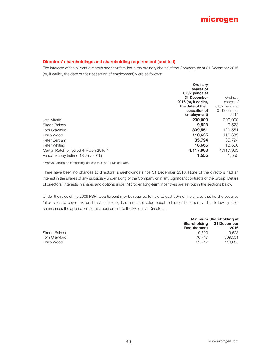

## **Directors' shareholdings and shareholding requirement (audited)**

The interests of the current directors and their families in the ordinary shares of the Company as at 31 December 2016 (or, if earlier, the date of their cessation of employment) were as follows:

|                                          | Ordinary              |                |
|------------------------------------------|-----------------------|----------------|
|                                          | shares of             |                |
|                                          | 6 3/7 pence at        |                |
|                                          | 31 December           | Ordinary       |
|                                          | 2016 (or, if earlier, | shares of      |
|                                          | the date of their     | 6 3/7 pence at |
|                                          | cessation of          | 31 December    |
|                                          | employment)           | 2015           |
| Ivan Martin                              | 200,000               | 200,000        |
| Simon Baines                             | 9,523                 | 9,523          |
| <b>Tom Crawford</b>                      | 309,551               | 129,551        |
| Philip Wood                              | 110,635               | 110,635        |
| Peter Bertram                            | 35,794                | 35,794         |
| Peter Whiting                            | 18,666                | 18,666         |
| Martyn Ratcliffe (retired 4 March 2016)* | 4,117,963             | 4,117,963      |
| Vanda Murray (retired 18 July 2016)      | 1,555                 | 1,555          |
|                                          |                       |                |

\* Martyn Ratcliffe's shareholding reduced to nil on 11 March 2016.

There have been no changes to directors' shareholdings since 31 December 2016. None of the directors had an interest in the shares of any subsidiary undertaking of the Company or in any significant contracts of the Group. Details of directors' interests in shares and options under Microgen long-term incentives are set out in the sections below.

Under the rules of the 2006 PSP, a participant may be required to hold at least 50% of the shares that he/she acquires (after sales to cover tax) until his/her holding has a market value equal to his/her base salary. The following table summarises the application of this requirement to the Executive Directors.

|              |                     | Minimum Shareholding at |  |
|--------------|---------------------|-------------------------|--|
|              | <b>Shareholding</b> | <b>31 December</b>      |  |
|              | Requirement         | 2016                    |  |
| Simon Baines | 9.523               | 9.523                   |  |
| Tom Crawford | 76.747              | 309.551                 |  |
| Philip Wood  | 32.217              | 110.635                 |  |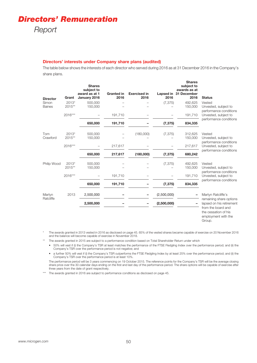## **Directors' interests under Company share plans (audited)**

The table below shows the interests of each director who served during 2016 as at 31 December 2016 in the Company's share plans.

|                 |         | <b>Shares</b><br>subject to   |                           |                             |             | <b>Shares</b><br>subject to<br>awards as at |                                                                             |
|-----------------|---------|-------------------------------|---------------------------|-----------------------------|-------------|---------------------------------------------|-----------------------------------------------------------------------------|
| <b>Director</b> | Grant   | award as at 1<br>January 2016 | <b>Granted in</b><br>2016 | <b>Exercised in</b><br>2016 | 2016        | Lapsed in 31 December<br>2016               | <b>Status</b>                                                               |
| Simon           | $2013*$ | 500,000                       |                           |                             | (7, 375)    | 492,625                                     | Vested                                                                      |
| <b>Baines</b>   | 2015**  | 150,000                       |                           |                             |             | 150,000                                     | Unvested, subject to<br>performance conditions                              |
|                 | 2016*** |                               | 191,710                   |                             |             | 191,710                                     | Unvested, subject to<br>performance conditions                              |
|                 |         | 650,000                       | 191,710                   |                             | (7, 375)    | 834,335                                     |                                                                             |
| Tom             | $2013*$ | 500,000                       |                           | (180,000)                   | (7, 375)    | 312,625                                     | Vested                                                                      |
| Crawford        | 2015**  | 150,000                       |                           |                             |             | 150,000                                     | Unvested, subject to<br>performance conditions                              |
|                 | 2016*** |                               | 217,617                   |                             |             | 217,617                                     | Unvested, subject to<br>performance conditions                              |
|                 |         | 650,000                       | 217,617                   | (180,000)                   | (7, 375)    | 680,242                                     |                                                                             |
| Philip Wood     | $2013*$ | 500,000                       |                           |                             | (7, 375)    | 492,625                                     | Vested                                                                      |
|                 | 2015**  | 150,000                       |                           |                             |             | 150,000                                     | Unvested, subject to<br>performance conditions                              |
|                 | 2016*** |                               | 191,710                   |                             |             | 191,710                                     | Unvested, subject to<br>performance conditions                              |
|                 |         | 650,000                       | 191,710                   |                             | (7, 375)    | 834,335                                     |                                                                             |
| Martyn          | 2013    | 2,500,000                     |                           |                             | (2,500,000) |                                             | Martyn Ratcliffe's                                                          |
| Ratcliffe       |         | 2,500,000                     |                           |                             | (2,500,000) |                                             | remaining share options<br>lapsed on his retirement                         |
|                 |         |                               |                           |                             |             |                                             | from the board and<br>the cessation of his<br>employment with the<br>Group. |

\* The awards granted in 2013 vested in 2016 as disclosed on page 45. 65% of the vested shares became capable of exercise on 20 November 2016 and the balance will become capable of exercise in November 2018.

\*\* The awards granted in 2015 are subject to a performance condition based on Total Shareholder Return under which

• 50% will vest if (i) the Company's TSR at least matches the performance of the FTSE Fledgling Index over the performance period; and (ii) the Company's TSR over the performance period is not negative; and

• a further 50% will vest if (i) the Company's TSR outperforms the FTSE Fledgling Index by at least 25% over the performance period; and (ii) the Company's TSR over the performance period is at least 10%.

The performance period will be 3 years commencing on 19 October 2015. The reference points for the Company's TSR will be the average closing share price over the 30 calendar days ending on the first and last day of the performance period. The share options will be capable of exercise after three years from the date of grant respectively.

\*\*\* The awards granted in 2016 are subject to performance conditions as disclosed on page 45.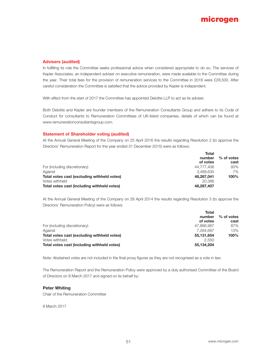## **Advisers (audited)**

In fulfilling its role the Committee seeks professional advice when considered appropriate to do so. The services of Kepler Associates, an independent adviser on executive remuneration, were made available to the Committee during the year. Their total fees for the provision of remuneration services to the Committee in 2016 were £28,500. After careful consideration the Committee is satisfied that the advice provided by Kepler is independent.

With effect from the start of 2017 the Committee has appointed Deloitte LLP to act as its adviser.

Both Deloitte and Kepler are founder members of the Remuneration Consultants Group and adhere to its Code of Conduct for consultants to Remuneration Committees of UK-listed companies, details of which can be found at www.remunerationconsultantsgroup.com.

## **Statement of Shareholder voting (audited)**

At the Annual General Meeting of the Company on 25 April 2016 the results regarding Resolution 2 (to approve the Directors' Remuneration Report for the year ended 31 December 2015) were as follows:

|                                             | Total      |              |
|---------------------------------------------|------------|--------------|
|                                             | number     | $%$ of votes |
|                                             | of votes   | cast         |
| For (including discretionary)               | 44.777.406 | 93%          |
| Against                                     | 3,489,635  | 7%           |
| Total votes cast (excluding withheld votes) | 48,267,041 | 100%         |
| Votes withheld                              | 20,366     |              |
| Total votes cast (including withheld votes) | 48,287,407 |              |

At the Annual General Meeting of the Company on 28 April 2014 the results regarding Resolution 3 (to approve the Directors' Remuneration Policy) were as follows:

|                                             | Total<br>number<br>of votes | $%$ of votes<br>cast |
|---------------------------------------------|-----------------------------|----------------------|
| For (including discretionary)               | 47,866,967                  | 87%                  |
| Against                                     | 7.264.687                   | 13%                  |
| Total votes cast (excluding withheld votes) | 55,131,654                  | 100%                 |
| Votes withheld                              | 2.550                       |                      |
| Total votes cast (including withheld votes) | 55,134,204                  |                      |

Note: Abstained votes are not included in the final proxy figures as they are not recognised as a vote in law.

The Remuneration Report and the Remuneration Policy were approved by a duly authorised Committee of the Board of Directors on 8 March 2017 and signed on its behalf by:

## **Peter Whiting**

Chair of the Remuneration Committee

8 March 2017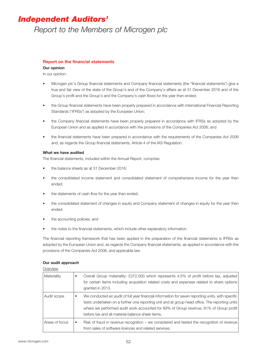## *Independent Auditors'*

*Report to the Members of Microgen plc*

## **Report on the financial statements**

**Our opinion**

In our opinion:

- Microgen plc's Group financial statements and Company financial statements (the "financial statements") give a true and fair view of the state of the Group's and of the Company's affairs as at 31 December 2016 and of the Group's profit and the Group's and the Company's cash flows for the year then ended;
- the Group financial statements have been properly prepared in accordance with International Financial Reporting Standards ("IFRSs") as adopted by the European Union;
- the Company financial statements have been properly prepared in accordance with IFRSs as adopted by the European Union and as applied in accordance with the provisions of the Companies Act 2006; and
- the financial statements have been prepared in accordance with the requirements of the Companies Act 2006 and, as regards the Group financial statements, Article 4 of the IAS Regulation.

## **What we have audited**

The financial statements, included within the Annual Report, comprise:

- the balance sheets as at 31 December 2016;
- the consolidated income statement and consolidated statement of comprehensive income for the year then ended;
- the statements of cash flow for the year then ended;
- the consolidated statement of changes in equity and Company statement of changes in equity for the year then ended;
- the accounting policies; and
- the notes to the financial statements, which include other explanatory information.

The financial reporting framework that has been applied in the preparation of the financial statements is IFRSs as adopted by the European Union and, as regards the Company financial statements, as applied in accordance with the provisions of the Companies Act 2006, and applicable law.

## **Our audit approach**

| Overview       |                                                                                                                                                                                                                                                                                                                                                  |
|----------------|--------------------------------------------------------------------------------------------------------------------------------------------------------------------------------------------------------------------------------------------------------------------------------------------------------------------------------------------------|
| Materiality    | Overall Group materiality: £372,000 which represents 4.5% of profit before tax, adjusted<br>for certain items including acquisition related costs and expenses related to share options<br>granted in 2013.                                                                                                                                      |
| Audit scope    | We conducted an audit of full year financial information for seven reporting units, with specific<br>tests undertaken on a further one reporting unit and at group head office. The reporting units<br>where we performed audit work accounted for 89% of Group revenue, 81% of Group profit<br>before tax and all material balance sheet items. |
| Areas of focus | Risk of fraud in revenue recognition – we considered and tested the recognition of revenue<br>from sales of software licences and related services.                                                                                                                                                                                              |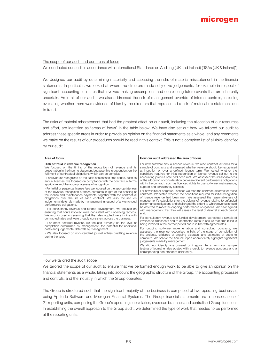#### The scope of our audit and our areas of focus

We conducted our audit in accordance with International Standards on Auditing (UK and Ireland) ("ISAs (UK & Ireland)").

We designed our audit by determining materiality and assessing the risks of material misstatement in the financial statements. In particular, we looked at where the directors made subjective judgements, for example in respect of significant accounting estimates that involved making assumptions and considering future events that are inherently uncertain. As in all of our audits we also addressed the risk of management override of internal controls, including evaluating whether there was evidence of bias by the directors that represented a risk of material misstatement due to fraud.

The risks of material misstatement that had the greatest effect on our audit, including the allocation of our resources and effort, are identified as "areas of focus" in the table below. We have also set out how we tailored our audit to address these specific areas in order to provide an opinion on the financial statements as a whole, and any comments we make on the results of our procedures should be read in this context. This is not a complete list of all risks identified by our audit.

| Area of focus                                                                                                                                                                                                                                                                                                                                                                                                                                                                                                                                                                                                                                                                                                                                                                                                                                                                                                                                                                                                                                                                                                                                                                                                                                                                                                                                                                                                                                 | How our audit addressed the area of focus                                                                                                                                                                                                                                                                                                                                                                                                                                                                                                                                                                                                                                                                                                                                                                                                                                                                                                                                                                                                                                                                                                                                                                                                                                                                                                                                                                                                                                                                                                                                                                                                                                                                                                                                                                                                                                                                                        |
|-----------------------------------------------------------------------------------------------------------------------------------------------------------------------------------------------------------------------------------------------------------------------------------------------------------------------------------------------------------------------------------------------------------------------------------------------------------------------------------------------------------------------------------------------------------------------------------------------------------------------------------------------------------------------------------------------------------------------------------------------------------------------------------------------------------------------------------------------------------------------------------------------------------------------------------------------------------------------------------------------------------------------------------------------------------------------------------------------------------------------------------------------------------------------------------------------------------------------------------------------------------------------------------------------------------------------------------------------------------------------------------------------------------------------------------------------|----------------------------------------------------------------------------------------------------------------------------------------------------------------------------------------------------------------------------------------------------------------------------------------------------------------------------------------------------------------------------------------------------------------------------------------------------------------------------------------------------------------------------------------------------------------------------------------------------------------------------------------------------------------------------------------------------------------------------------------------------------------------------------------------------------------------------------------------------------------------------------------------------------------------------------------------------------------------------------------------------------------------------------------------------------------------------------------------------------------------------------------------------------------------------------------------------------------------------------------------------------------------------------------------------------------------------------------------------------------------------------------------------------------------------------------------------------------------------------------------------------------------------------------------------------------------------------------------------------------------------------------------------------------------------------------------------------------------------------------------------------------------------------------------------------------------------------------------------------------------------------------------------------------------------------|
| Risk of fraud in revenue recognition<br>We focused on the timing of the recognition of revenue and its<br>presentation in the income statement because this is dependent on the<br>fulfilment of contractual obligations which can be complex.<br>- For revenues recognised on the basis of a defined time period, such as<br>annual licences, we focused on compliance with the contractual terms<br>applicable and the appropriateness of recognition.<br>- For initial or perpetual license fees we focused on the appropriateness<br>of the revenue recognition of these contracts in light of the phasing of<br>the license and maintenance payments, together with the contractual<br>obligations over the life of each contract. We also focused on<br>judgemental deferrals made by management in respect of any unfunded<br>performance obligations.<br>- For consultancy revenue and funded development, we focused on<br>ensuring that hours invoiced were consistent with underlying records.<br>We also focused on ensuring that the rates applied were in line with<br>contracted rates and were broadly consistent across the business.<br>- For other deferred revenue we focused primarily on the level of<br>completion determined by management, the potential for additional<br>costs and judgemental deferrals by management.<br>- We also focused on non-standard journal entries crediting revenue<br>during the year. | For new software annual licence revenue, we read contractual terms for a<br>sample of contracts and assessed whether revenue should be recognised<br>at inception or over a defined licence term. We tested whether the<br>conditions required for initial recognition of licence revenue set out in the<br>accounting policies note had been met. We assessed the reasonableness<br>of the allocation of consideration between different performance obligations<br>within the contract, such as licenced rights to use software, maintenance,<br>support and consultancy services.<br>For new initial or perpetual licenses we read the contractual terms for these<br>contracts. We tested whether the conditions required for initial recognition<br>of licence revenue had been met. We assessed the reasonableness of<br>management's calculations for the deferral of revenue relating to unfunded<br>performance obligations and challenged the extent to which revenue should<br>be deferred to meet the ongoing performance obligations. We have agreed<br>with management that they will assess the level of deferral at each period<br>end.<br>For consultancy revenue and funded development, we tested a sample of<br>invoices to timesheets and to contracted rates to ensure that time billed is<br>being invoiced in the correct period and is in line with agreed rates.<br>For ongoing software implementation and consulting contracts, we<br>assessed the revenue recognised in light of the stage of completion of<br>the projects, evidence of ongoing disputes, and estimates of costs to<br>complete. We believe the Annual Report appropriately highlights significant<br>judgements made by management.<br>We did not identify any unusual or irregular items from our sample<br>testing of journal entries posted with a credit to revenue accounts and a<br>corresponding non-standard debit entry. |

### How we tailored the audit scope

We tailored the scope of our audit to ensure that we performed enough work to be able to give an opinion on the financial statements as a whole, taking into account the geographic structure of the Group, the accounting processes and controls, and the industry in which the Group operates.

The Group is structured such that the significant majority of the business is comprised of two operating businesses, being Aptitude Software and Microgen Financial Systems. The Group financial statements are a consolidation of 21 reporting units, comprising the Group's operating subsidiaries, overseas branches and centralised Group functions. In establishing the overall approach to the Group audit, we determined the type of work that needed to be performed at the reporting units.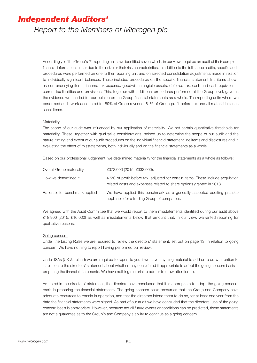## *Independent Auditors'*

## *Report to the Members of Microgen plc*

Accordingly, of the Group's 21 reporting units, we identified seven which, in our view, required an audit of their complete financial information, either due to their size or their risk characteristics. In addition to the full scope audits, specific audit procedures were performed on one further reporting unit and on selected consolidation adjustments made in relation to individually significant balances. These included procedures on the specific financial statement line items shown as non-underlying items, income tax expense, goodwill, intangible assets, deferred tax, cash and cash equivalents, current tax liabilities and provisions. This, together with additional procedures performed at the Group level, gave us the evidence we needed for our opinion on the Group financial statements as a whole. The reporting units where we performed audit work accounted for 89% of Group revenue, 81% of Group profit before tax and all material balance sheet items.

## **Materiality**

The scope of our audit was influenced by our application of materiality. We set certain quantitative thresholds for materiality. These, together with qualitative considerations, helped us to determine the scope of our audit and the nature, timing and extent of our audit procedures on the individual financial statement line items and disclosures and in evaluating the effect of misstatements, both individually and on the financial statements as a whole.

Based on our professional judgement, we determined materiality for the financial statements as a whole as follows:

| Overall Group materiality       | £372,000 (2015: £333,000).                                                                                                                               |
|---------------------------------|----------------------------------------------------------------------------------------------------------------------------------------------------------|
| How we determined it            | 4.5% of profit before tax, adjusted for certain items. These include acquisition<br>related costs and expenses related to share options granted in 2013. |
| Rationale for benchmark applied | We have applied this benchmark as a generally accepted auditing practice<br>applicable for a trading Group of companies.                                 |

We agreed with the Audit Committee that we would report to them misstatements identified during our audit above £18,900 (2015: £16,000) as well as misstatements below that amount that, in our view, warranted reporting for qualitative reasons.

### Going concern

Under the Listing Rules we are required to review the directors' statement, set out on page 13, in relation to going concern. We have nothing to report having performed our review.

Under ISAs (UK & Ireland) we are required to report to you if we have anything material to add or to draw attention to in relation to the directors' statement about whether they considered it appropriate to adopt the going concern basis in preparing the financial statements. We have nothing material to add or to draw attention to.

As noted in the directors' statement, the directors have concluded that it is appropriate to adopt the going concern basis in preparing the financial statements. The going concern basis presumes that the Group and Company have adequate resources to remain in operation, and that the directors intend them to do so, for at least one year from the date the financial statements were signed. As part of our audit we have concluded that the directors' use of the going concern basis is appropriate. However, because not all future events or conditions can be predicted, these statements are not a guarantee as to the Group's and Company's ability to continue as a going concern.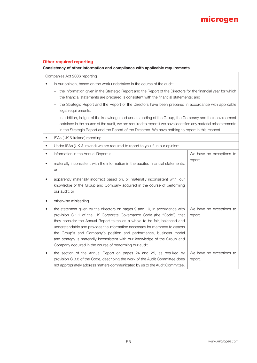## **Other required reporting**

## **Consistency of other information and compliance with applicable requirements**

|                        | Companies Act 2006 reporting                                                                                                                                                                                                                                                                                                                                                                                                                                                                                                     |                                     |  |  |  |  |  |
|------------------------|----------------------------------------------------------------------------------------------------------------------------------------------------------------------------------------------------------------------------------------------------------------------------------------------------------------------------------------------------------------------------------------------------------------------------------------------------------------------------------------------------------------------------------|-------------------------------------|--|--|--|--|--|
|                        | In our opinion, based on the work undertaken in the course of the audit:<br>the information given in the Strategic Report and the Report of the Directors for the financial year for which<br>—<br>the financial statements are prepared is consistent with the financial statements; and                                                                                                                                                                                                                                        |                                     |  |  |  |  |  |
|                        | the Strategic Report and the Report of the Directors have been prepared in accordance with applicable<br>legal requirements.<br>In addition, in light of the knowledge and understanding of the Group, the Company and their environment<br>obtained in the course of the audit, we are required to report if we have identified any material misstatements<br>in the Strategic Report and the Report of the Directors. We have nothing to report in this respect.                                                               |                                     |  |  |  |  |  |
| ٠                      | ISAs (UK & Ireland) reporting                                                                                                                                                                                                                                                                                                                                                                                                                                                                                                    |                                     |  |  |  |  |  |
| ٠                      | Under ISAs (UK & Ireland) we are required to report to you if, in our opinion:                                                                                                                                                                                                                                                                                                                                                                                                                                                   |                                     |  |  |  |  |  |
| $\bullet$<br>$\bullet$ | information in the Annual Report is:<br>materially inconsistent with the information in the audited financial statements;<br><b>or</b>                                                                                                                                                                                                                                                                                                                                                                                           | We have no exceptions to<br>report. |  |  |  |  |  |
|                        | apparently materially incorrect based on, or materially inconsistent with, our<br>knowledge of the Group and Company acquired in the course of performing<br>our audit; or                                                                                                                                                                                                                                                                                                                                                       |                                     |  |  |  |  |  |
|                        | otherwise misleading.                                                                                                                                                                                                                                                                                                                                                                                                                                                                                                            |                                     |  |  |  |  |  |
| $\bullet$              | the statement given by the directors on pages 9 and 10, in accordance with<br>provision C.1.1 of the UK Corporate Governance Code (the "Code"), that<br>they consider the Annual Report taken as a whole to be fair, balanced and<br>understandable and provides the information necessary for members to assess<br>the Group's and Company's position and performance, business model<br>and strategy is materially inconsistent with our knowledge of the Group and<br>Company acquired in the course of performing our audit. | We have no exceptions to<br>report. |  |  |  |  |  |
| ٠                      | the section of the Annual Report on pages 24 and 25, as required by<br>provision C.3.8 of the Code, describing the work of the Audit Committee does<br>not appropriately address matters communicated by us to the Audit Committee.                                                                                                                                                                                                                                                                                              | We have no exceptions to<br>report. |  |  |  |  |  |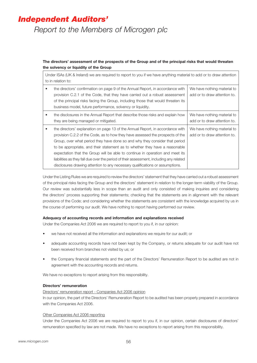## *Independent Auditors'*

*Report to the Members of Microgen plc*

## **The directors' assessment of the prospects of the Group and of the principal risks that would threaten the solvency or liquidity of the Group**

Under ISAs (UK & Ireland) we are required to report to you if we have anything material to add or to draw attention to in relation to:

| the directors' confirmation on page 9 of the Annual Report, in accordance with<br>provision C.2.1 of the Code, that they have carried out a robust assessment<br>of the principal risks facing the Group, including those that would threaten its<br>business model, future performance, solvency or liquidity.                                                                                                                                                                                                                                                                             | We have nothing material to<br>add or to draw attention to. |
|---------------------------------------------------------------------------------------------------------------------------------------------------------------------------------------------------------------------------------------------------------------------------------------------------------------------------------------------------------------------------------------------------------------------------------------------------------------------------------------------------------------------------------------------------------------------------------------------|-------------------------------------------------------------|
| the disclosures in the Annual Report that describe those risks and explain how<br>they are being managed or mitigated.                                                                                                                                                                                                                                                                                                                                                                                                                                                                      | We have nothing material to<br>add or to draw attention to. |
| the directors' explanation on page 13 of the Annual Report, in accordance with<br>provision C.2.2 of the Code, as to how they have assessed the prospects of the<br>Group, over what period they have done so and why they consider that period<br>to be appropriate, and their statement as to whether they have a reasonable<br>expectation that the Group will be able to continue in operation and meet its<br>liabilities as they fall due over the period of their assessment, including any related<br>disclosures drawing attention to any necessary qualifications or assumptions. | We have nothing material to<br>add or to draw attention to. |

Under the Listing Rules we are required to review the directors' statement that they have carried out a robust assessment of the principal risks facing the Group and the directors' statement in relation to the longer-term viability of the Group. Our review was substantially less in scope than an audit and only consisted of making inquiries and considering the directors' process supporting their statements; checking that the statements are in alignment with the relevant provisions of the Code; and considering whether the statements are consistent with the knowledge acquired by us in the course of performing our audit. We have nothing to report having performed our review.

## **Adequacy of accounting records and information and explanations received**

Under the Companies Act 2006 we are required to report to you if, in our opinion:

- we have not received all the information and explanations we require for our audit; or
- adequate accounting records have not been kept by the Company, or returns adequate for our audit have not been received from branches not visited by us; or
- the Company financial statements and the part of the Directors' Remuneration Report to be audited are not in agreement with the accounting records and returns.

We have no exceptions to report arising from this responsibility.

## **Directors' remuneration**

Directors' remuneration report - Companies Act 2006 opinion

In our opinion, the part of the Directors' Remuneration Report to be audited has been properly prepared in accordance with the Companies Act 2006.

## Other Companies Act 2006 reporting

Under the Companies Act 2006 we are required to report to you if, in our opinion, certain disclosures of directors' remuneration specified by law are not made. We have no exceptions to report arising from this responsibility.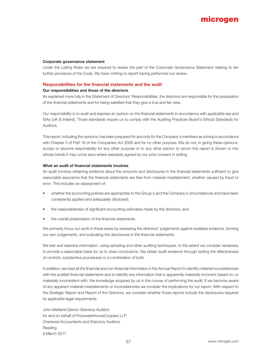### **Corporate governance statement**

Under the Listing Rules we are required to review the part of the Corporate Governance Statement relating to ten further provisions of the Code. We have nothing to report having performed our review.

### **Responsibilities for the financial statements and the audit**

#### **Our responsibilities and those of the directors**

As explained more fully in the Statement of Directors' Responsibilities, the directors are responsible for the preparation of the financial statements and for being satisfied that they give a true and fair view.

Our responsibility is to audit and express an opinion on the financial statements in accordance with applicable law and ISAs (UK & Ireland). Those standards require us to comply with the Auditing Practices Board's Ethical Standards for Auditors.

This report, including the opinions, has been prepared for and only for the Company's members as a body in accordance with Chapter 3 of Part 16 of the Companies Act 2006 and for no other purpose. We do not, in giving these opinions, accept or assume responsibility for any other purpose or to any other person to whom this report is shown or into whose hands it may come save where expressly agreed by our prior consent in writing.

#### **What an audit of financial statements involves**

An audit involves obtaining evidence about the amounts and disclosures in the financial statements sufficient to give reasonable assurance that the financial statements are free from material misstatement, whether caused by fraud or error. This includes an assessment of:

- whether the accounting policies are appropriate to the Group's and the Company's circumstances and have been consistently applied and adequately disclosed;
- the reasonableness of significant accounting estimates made by the directors; and
- the overall presentation of the financial statements.

We primarily focus our work in these areas by assessing the directors' judgements against available evidence, forming our own judgements, and evaluating the disclosures in the financial statements.

We test and examine information, using sampling and other auditing techniques, to the extent we consider necessary to provide a reasonable basis for us to draw conclusions. We obtain audit evidence through testing the effectiveness of controls, substantive procedures or a combination of both.

In addition, we read all the financial and non-financial information in the Annual Report to identify material inconsistencies with the audited financial statements and to identify any information that is apparently materially incorrect based on, or materially inconsistent with, the knowledge acquired by us in the course of performing the audit. If we become aware of any apparent material misstatements or inconsistencies we consider the implications for our report. With respect to the Strategic Report and Report of the Directors, we consider whether those reports include the disclosures required by applicable legal requirements.

John Maitland (Senior Statutory Auditor) for and on behalf of PricewaterhouseCoopers LLP Chartered Accountants and Statutory Auditors Reading 8 March 2017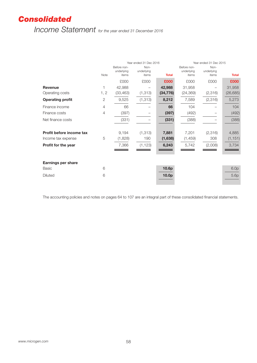## *Consolidated*

*Income Statement for the year ended 31 December 2016*

|                                           |      |                                    | Year ended 31 Dec 2016      |                   | Year ended 31 Dec 2015             |                             |                   |  |
|-------------------------------------------|------|------------------------------------|-----------------------------|-------------------|------------------------------------|-----------------------------|-------------------|--|
|                                           | Note | Before non-<br>underlying<br>items | Non-<br>underlying<br>items | <b>Total</b>      | Before non-<br>underlying<br>items | Non-<br>underlying<br>items | <b>Total</b>      |  |
|                                           |      | £000                               | £000                        | £000              | £000                               | £000                        | £000              |  |
| <b>Revenue</b>                            |      | 42,988                             |                             | 42,988            | 31,958                             |                             | 31,958            |  |
| Operating costs                           | 1, 2 | (33, 463)                          | (1, 313)                    | (34, 776)         | (24, 369)                          | (2,316)                     | (26, 685)         |  |
| <b>Operating profit</b>                   | 2    | 9,525                              | (1, 313)                    | 8,212             | 7,589                              | (2,316)                     | 5,273             |  |
| Finance income                            | 4    | 66                                 |                             | 66                | 104                                |                             | 104               |  |
| Finance costs                             | 4    | (397)                              |                             | (397)             | (492)                              |                             | (492)             |  |
| Net finance costs                         |      | (331)                              |                             | (331)             | (388)                              |                             | (388)             |  |
| Profit before income tax                  | 5    | 9,194                              | (1, 313)<br>190             | 7,881             | 7,201                              | (2,316)<br>308              | 4,885             |  |
| Income tax expense<br>Profit for the year |      | (1,828)<br>7,366                   | (1, 123)                    | (1,638)<br>6,243  | (1,459)<br>5,742                   | (2,008)                     | (1, 151)<br>3,734 |  |
|                                           |      |                                    |                             |                   |                                    |                             |                   |  |
| <b>Earnings per share</b>                 |      |                                    |                             |                   |                                    |                             |                   |  |
| <b>Basic</b>                              | 6    |                                    |                             | 10.6p             |                                    |                             | 6.0 <sub>p</sub>  |  |
| <b>Diluted</b>                            | 6    |                                    |                             | 10.0 <sub>p</sub> |                                    |                             | 5.6p              |  |

The accounting policies and notes on pages 64 to 107 are an integral part of these consolidated financial statements.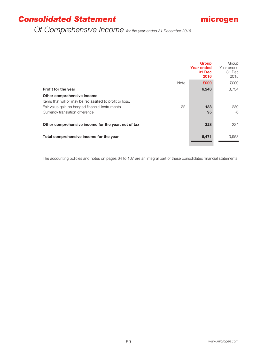## *Consolidated Statement*



*Of Comprehensive Income for the year ended 31 December 2016*

|                                                                                                                                            |    | <b>Group</b><br><b>Year ended</b><br>31 Dec<br>2016 | Group<br>Year ended<br>31 Dec<br>2015 |
|--------------------------------------------------------------------------------------------------------------------------------------------|----|-----------------------------------------------------|---------------------------------------|
| <b>Note</b>                                                                                                                                |    | £000                                                | £000                                  |
| <b>Profit for the year</b>                                                                                                                 |    | 6,243                                               | 3,734                                 |
| Other comprehensive income<br>Items that will or may be reclassified to profit or loss:<br>Fair value gain on hedged financial instruments | 22 | 133                                                 | 230                                   |
| Currency translation difference                                                                                                            |    | 95                                                  | (6)                                   |
| Other comprehensive income for the year, net of tax                                                                                        |    | 228                                                 | 224                                   |
| Total comprehensive income for the year                                                                                                    |    | 6,471                                               | 3,958                                 |

The accounting policies and notes on pages 64 to 107 are an integral part of these consolidated financial statements.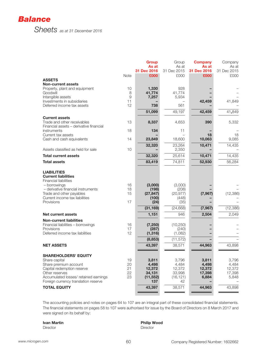

*Sheets as at 31 December 2016*

|                                                                                  |          | <b>Group</b>         | Group<br>As at     | <b>Company</b>       | Company<br>As at |
|----------------------------------------------------------------------------------|----------|----------------------|--------------------|----------------------|------------------|
|                                                                                  |          | As at<br>31 Dec 2016 | 31 Dec 2015        | As at<br>31 Dec 2016 | 31 Dec 2015      |
|                                                                                  | Note     | £000                 | £000               | £000                 | £000             |
| <b>ASSETS</b>                                                                    |          |                      |                    |                      |                  |
| <b>Non-current assets</b>                                                        |          |                      |                    |                      |                  |
| Property, plant and equipment<br>Goodwill                                        | 10<br>8  | 1,330<br>41,774      | 928<br>41,774      |                      |                  |
| Intangible assets                                                                | 9        | 7,257                | 5,934              |                      |                  |
| Investments in subsidiaries                                                      | 11       |                      |                    | 42,459               | 41,849           |
| Deferred income tax assets                                                       | 12       | 738                  | 561                |                      |                  |
|                                                                                  |          | 51,099               | 49,197             | 42,459               | 41,849           |
| <b>Current assets</b>                                                            |          |                      |                    |                      |                  |
| Trade and other receivables                                                      | 13       | 8,337                | 4,653              | 390                  | 5,332            |
| Financial assets - derivative financial                                          |          |                      |                    |                      |                  |
| instruments                                                                      | 18       | 134                  | 11                 | 18                   | 18               |
| Current tax assets<br>Cash and cash equivalents                                  | 14       | 23,849               | 18,600             | 10,063               | 9,085            |
|                                                                                  |          |                      |                    |                      |                  |
| Assets classified as held for sale                                               | 10       | 32,320               | 23,264<br>2,350    | 10,471               | 14,435           |
| <b>Total current assets</b>                                                      |          | 32,320               | 25,614             | 10,471               | 14,435           |
|                                                                                  |          |                      |                    |                      |                  |
| <b>Total assets</b>                                                              |          | 83,419               | 74,811             | 52,930               | 56,284           |
| <b>LIABILITIES</b><br><b>Current liabilities</b><br><b>Financial liabilities</b> |          |                      |                    |                      |                  |
| - borrowings                                                                     | 16       | (3,000)              | (3,000)            |                      |                  |
| - derivative financial instruments                                               | 18       | (198)                | (208)              |                      |                  |
| Trade and other payables<br>Current income tax liabilities                       | 15       | (27, 847)<br>(100)   | (20, 977)<br>(448) | (7, 967)             | (12, 386)        |
| Provisions                                                                       | 17       | (24)                 | (35)               |                      |                  |
|                                                                                  |          | (31, 169)            | (24, 668)          | (7, 967)             | (12, 386)        |
| <b>Net current assets</b>                                                        |          | 1,151                | 946                | 2,504                | 2,049            |
| <b>Non-current liabilities</b>                                                   |          |                      |                    |                      |                  |
| Financial liabilities - borrowings                                               | 16       | (7, 250)             | (10, 250)          |                      |                  |
| Provisions                                                                       | 17       | (287)                | (240)              |                      |                  |
| Deferred income tax liabilities                                                  | 12       | (1, 316)             | (1,082)            |                      |                  |
|                                                                                  |          | (8, 853)             | (11, 572)          |                      |                  |
| <b>NET ASSETS</b>                                                                |          | 43,397               | 38,571             | 44,963               | 43,898           |
|                                                                                  |          |                      |                    |                      |                  |
| <b>SHAREHOLDERS' EQUITY</b>                                                      |          |                      |                    |                      |                  |
| Share capital                                                                    | 19       | 3,811                | 3,796              | 3,811                | 3,796            |
| Share premium account                                                            | 20       | 4,498                | 4,484              | 4,498                | 4,484            |
| Capital redemption reserve<br>Other reserves                                     | 21<br>22 | 12,372<br>34,131     | 12,372<br>33,998   | 12,372<br>17,398     | 12,372<br>17,398 |
| Accumulated losses/ retained earnings                                            | 23       | (11, 552)            | (16, 121)          | 6,884                | 5,848            |
| Foreign currency translation reserve                                             |          | 137                  | 42                 |                      |                  |
| <b>TOTAL EQUITY</b>                                                              |          | 43,397               | 38,571             | 44,963               | 43,898           |
|                                                                                  |          |                      |                    |                      |                  |

The accounting policies and notes on pages 64 to 107 are an integral part of these consolidated financial statements. The financial statements on pages 58 to 107 were authorised for issue by the Board of Directors on 8 March 2017 and were signed on its behalf by:

Director Director

**Ivan Martin Philip Wood**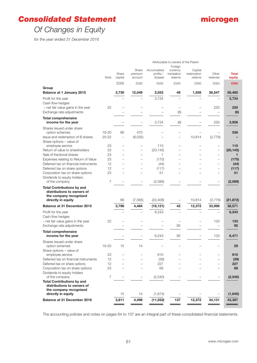## *Consolidated Statement*

## microgen

## *Of Changes in Equity*

*for the year ended 31 December 2016*

|                                                                 |                |                          |                  |                          | Attributable to owners of the Parent |                       |                          |              |
|-----------------------------------------------------------------|----------------|--------------------------|------------------|--------------------------|--------------------------------------|-----------------------|--------------------------|--------------|
|                                                                 |                |                          |                  |                          | Foreign                              |                       |                          |              |
|                                                                 |                | Share                    | Share<br>premium | Accumulated<br>profits / | currency<br>translation              | Capital<br>redemption | Other                    | <b>Total</b> |
|                                                                 | Note           | capital                  | account          | (losses)                 | reserve                              | reserve               | reserves                 | equity       |
|                                                                 |                | £000                     | £000             | £000                     | £000                                 | £000                  | £000                     | £000         |
| Group                                                           |                |                          |                  |                          |                                      |                       |                          |              |
| Balance at 1 January 2015                                       |                | 3,730                    | 12,049           | 2,553                    | 48                                   | 1,558                 | 36,547                   | 56,485       |
| Profit for the year                                             |                |                          |                  | 3,734                    |                                      |                       |                          | 3,734        |
| Cash flow hedges                                                |                |                          |                  |                          |                                      |                       |                          |              |
| - net fair value gains in the year                              | 22             |                          |                  |                          | $\overline{\phantom{0}}$             |                       | 230                      | 230          |
| Exchange rate adjustments                                       |                |                          |                  |                          | (6)                                  |                       |                          | (6)          |
| <b>Total comprehensive</b>                                      |                |                          |                  |                          |                                      |                       |                          |              |
| income for the year                                             |                |                          |                  | 3,734                    | (6)                                  |                       | 230                      | 3,958        |
| Shares issued under share                                       |                |                          |                  |                          |                                      |                       |                          |              |
| option schemes                                                  | 19-20          | 66                       | 470              |                          |                                      |                       |                          | 536          |
| Issue and redemption of B shares<br>Share options - value of    | $20 - 22$      | $\overline{\phantom{0}}$ | (8,035)          |                          | L.                                   | 10,814                | (2,779)                  |              |
| employee service                                                | 23             |                          |                  | 110                      |                                      |                       | $\qquad \qquad -$        | 110          |
| Return of value to shareholders                                 | 23             |                          |                  | (20, 145)                |                                      |                       |                          | (20, 145)    |
| Sale of fractional shares                                       | 23             |                          |                  | 1                        |                                      |                       |                          | $\mathbf{1}$ |
| Expenses relating to Return of Value                            | 23             |                          |                  | (175)                    |                                      |                       |                          | (175)        |
| Deferred tax on financial instruments                           | 12             |                          |                  | (44)                     |                                      |                       |                          | (44)         |
| Deferred tax on share options                                   | 12             |                          |                  | (117)                    |                                      |                       |                          | (117)        |
| Corporation tax on share options                                | 23             |                          |                  | 51                       |                                      |                       |                          | 51           |
| Dividends to equity holders                                     |                |                          |                  |                          |                                      |                       |                          |              |
| of the company                                                  | $\overline{7}$ |                          |                  | (2,089)                  |                                      |                       |                          | (2,089)      |
| <b>Total Contributions by and</b>                               |                |                          |                  |                          |                                      |                       |                          |              |
| distributions to owners of                                      |                |                          |                  |                          |                                      |                       |                          |              |
| the company recognised                                          |                |                          |                  |                          |                                      |                       |                          |              |
| directly in equity                                              |                | 66                       | (7, 565)         | (22, 408)                |                                      | 10,814                | (2,779)                  | (21, 872)    |
| Balance at 31 December 2015                                     |                | 3,796                    | 4,484            | (16, 121)                | 42                                   | 12,372                | 33,998                   | 38,571       |
| Profit for the year                                             |                |                          |                  | 6,243                    |                                      |                       |                          | 6,243        |
| Cash flow hedges                                                |                |                          |                  |                          |                                      |                       |                          |              |
| - net fair value gains in the year                              | 22             |                          |                  |                          | $\overline{\phantom{0}}$             |                       | 133                      | 133          |
| Exchange rate adjustments                                       |                |                          |                  |                          | 95                                   |                       | $\overline{\phantom{0}}$ | 95           |
| <b>Total comprehensive</b>                                      |                |                          |                  |                          |                                      |                       |                          |              |
| income for the year                                             |                |                          |                  | 6,243                    | 95                                   |                       | 133                      | 6,471        |
| Shares issued under share                                       |                |                          |                  |                          |                                      |                       |                          |              |
| option schemes                                                  | 19-20          | 15                       | 14               |                          |                                      |                       |                          | 29           |
| Share options - value of                                        |                |                          |                  |                          |                                      |                       |                          |              |
| employee service                                                | 23             |                          |                  | 610                      |                                      |                       |                          | 610          |
| Deferred tax on financial instruments                           | 12             |                          |                  | (39)                     |                                      |                       |                          | (39)         |
| Deferred tax on share options                                   | 12             |                          |                  | 227                      |                                      |                       |                          | 227          |
| Corporation tax on share options                                | 23             |                          |                  | 68                       |                                      |                       |                          | 68           |
| Dividends to equity holders                                     |                |                          |                  |                          |                                      |                       |                          |              |
| of the company                                                  | $\overline{7}$ |                          |                  | (2,540)                  |                                      |                       |                          | (2, 540)     |
| <b>Total Contributions by and</b><br>distributions to owners of |                |                          |                  |                          |                                      |                       |                          |              |
| the company recognised                                          |                |                          |                  |                          |                                      |                       |                          |              |
| directly in equity                                              |                | 15                       | 14               | (1,674)                  |                                      |                       |                          | (1,645)      |
| <b>Balance at 31 December 2016</b>                              |                | 3,811                    | 4,498            | (11, 552)                | 137                                  | 12,372                | 34,131                   | 43,397       |
|                                                                 |                |                          |                  |                          |                                      |                       |                          |              |

The accounting policies and notes on pages 64 to 107 are an integral part of these consolidated financial statements.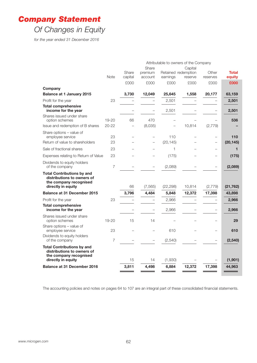## *Company Statement*

# *Of Changes in Equity*

*for the year ended 31 December 2016*

|                                                                                                                 |                |                          |                  |           | Attributable to owners of the Company |                          |              |
|-----------------------------------------------------------------------------------------------------------------|----------------|--------------------------|------------------|-----------|---------------------------------------|--------------------------|--------------|
|                                                                                                                 |                | Share                    | Share<br>premium |           | Capital<br>Retained redemption        | Other                    | <b>Total</b> |
|                                                                                                                 | Note           | capital                  | account          | earnings  | reserve                               | reserves                 | equity       |
|                                                                                                                 |                | £000                     | £000             | £000      | £000                                  | £000                     | £000         |
| Company                                                                                                         |                |                          |                  |           |                                       |                          |              |
| <b>Balance at 1 January 2015</b>                                                                                |                | 3,730                    | 12,049           | 25,645    | 1,558                                 | 20,177                   | 63,159       |
| Profit for the year                                                                                             | 23             |                          |                  | 2,501     |                                       |                          | 2,501        |
| <b>Total comprehensive</b><br>income for the year                                                               |                |                          |                  | 2,501     |                                       |                          | 2,501        |
| Shares issued under share<br>option schemes                                                                     | $19 - 20$      | 66                       | 470              |           |                                       |                          | 536          |
| Issue and redemption of B shares                                                                                | $20 - 22$      | $\overline{\phantom{a}}$ | (8,035)          |           | 10,814                                | (2,779)                  |              |
| Share options - value of<br>employee service                                                                    | 23             |                          |                  | 110       |                                       | $\overline{\phantom{0}}$ | 110          |
| Return of value to shareholders                                                                                 | 23             |                          |                  | (20, 145) |                                       | $\overline{\phantom{0}}$ | (20, 145)    |
| Sale of fractional shares                                                                                       | 23             |                          |                  | 1         |                                       |                          | 1            |
| Expenses relating to Return of Value                                                                            | 23             |                          |                  | (175)     |                                       |                          | (175)        |
| Dividends to equity holders<br>of the company                                                                   | $\overline{7}$ |                          |                  | (2,089)   |                                       | $\equiv$                 | (2,089)      |
| <b>Total Contributions by and</b><br>distributions to owners of<br>the company recognised<br>directly in equity |                | 66                       | (7, 565)         | (22, 298) | 10,814                                | (2,779)                  | (21, 762)    |
| <b>Balance at 31 December 2015</b>                                                                              |                | 3,796                    | 4,484            | 5,848     | 12,372                                | 17,398                   | 43,898       |
| Profit for the year                                                                                             | 23             |                          |                  | 2,966     |                                       |                          | 2,966        |
| <b>Total comprehensive</b><br>income for the year                                                               |                |                          |                  | 2,966     |                                       |                          | 2,966        |
| Shares issued under share<br>option schemes                                                                     | 19-20          | 15                       | 14               |           |                                       |                          | 29           |
| Share options - value of<br>employee service                                                                    | 23             |                          |                  | 610       |                                       |                          | 610          |
| Dividends to equity holders<br>of the company                                                                   | $\overline{7}$ |                          |                  | (2, 540)  |                                       |                          | (2,540)      |
| <b>Total Contributions by and</b><br>distributions to owners of<br>the company recognised<br>directly in equity |                | 15                       | 14               | (1,930)   |                                       |                          | (1,901)      |
| <b>Balance at 31 December 2016</b>                                                                              |                | 3,811                    | 4,498            | 6,884     | 12,372                                | 17,398                   | 44,963       |
|                                                                                                                 |                |                          |                  |           |                                       |                          |              |

The accounting policies and notes on pages 64 to 107 are an integral part of these consolidated financial statements.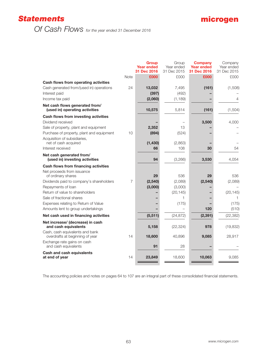## *Statements*

## *Of Cash Flows for the year ended 31 December 2016*

|                                                                    |             | <b>Group</b><br><b>Year ended</b><br>31 Dec 2016 | Group<br>Year ended<br>31 Dec 2015 | Company<br><b>Year ended</b><br>31 Dec 2016 | Company<br>Year ended<br>31 Dec 2015 |
|--------------------------------------------------------------------|-------------|--------------------------------------------------|------------------------------------|---------------------------------------------|--------------------------------------|
|                                                                    | <b>Note</b> | £000                                             | £000                               | £000                                        | £000                                 |
| Cash flows from operating activities                               |             |                                                  |                                    |                                             |                                      |
| Cash generated from/(used in) operations                           | 24          | 13,032                                           | 7.495                              | (161)                                       | (1,508)                              |
| Interest paid                                                      |             | (397)                                            | (492)                              |                                             |                                      |
| Income tax paid                                                    |             | (2,060)                                          | (1, 189)                           |                                             | 4                                    |
| Net cash flows generated from/<br>(used in) operating activities   |             | 10,575                                           | 5,814                              | (161)                                       | (1,504)                              |
| Cash flows from investing activities                               |             |                                                  |                                    |                                             |                                      |
| Dividend received                                                  |             |                                                  |                                    | 3,500                                       | 4,000                                |
| Sale of property, plant and equipment                              |             | 2,352                                            | 13                                 |                                             |                                      |
| Purchase of property, plant and equipment                          | 10          | (894)                                            | (524)                              |                                             |                                      |
| Acquisition of subsidiaries,<br>net of cash acquired               |             | (1,430)                                          | (2,863)                            |                                             |                                      |
| Interest received                                                  |             | 66                                               | 108                                | 30                                          | 54                                   |
| Net cash generated from/<br>(used in) investing activities         |             | 94                                               | (3,266)                            | 3,530                                       | 4,054                                |
| Cash flows from financing activities                               |             |                                                  |                                    |                                             |                                      |
| Net proceeds from issuance<br>of ordinary shares                   |             | 29                                               | 536                                | 29                                          | 536                                  |
| Dividends paid to company's shareholders                           | 7           | (2,540)                                          | (2,089)                            | (2,540)                                     | (2,089)                              |
| Repayments of loan                                                 |             | (3,000)                                          | (3,000)                            |                                             |                                      |
| Return of value to shareholders                                    |             |                                                  | (20, 145)                          |                                             | (20, 145)                            |
| Sale of fractional shares                                          |             |                                                  | 1                                  |                                             |                                      |
| Expenses relating to Return of Value                               |             |                                                  | (175)                              |                                             | (175)                                |
| Amounts lent to group undertakings                                 |             |                                                  |                                    | 120                                         | (510)                                |
| Net cash used in financing activities                              |             | (5, 511)                                         | (24, 872)                          | (2, 391)                                    | (22, 382)                            |
| Net increase/ (decrease) in cash<br>and cash equivalents           |             | 5,158                                            | (22, 324)                          | 978                                         | (19, 832)                            |
| Cash, cash equivalents and bank<br>overdrafts at beginning of year | 14          | 18,600                                           | 40,896                             | 9,085                                       | 28,917                               |
| Exchange rate gains on cash<br>and cash equivalents                |             | 91                                               | 28                                 |                                             |                                      |
| Cash and cash equivalents<br>at end of year                        | 14          | 23,849                                           | 18,600                             | 10,063                                      | 9,085                                |

The accounting policies and notes on pages 64 to 107 are an integral part of these consolidated financial statements.

63 *www.microgen.com*

microgen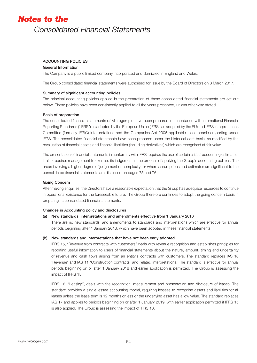## *Notes to the Consolidated Financial Statements*

## ACCOUNTING POLICIES

## General Information

The Company is a public limited company incorporated and domiciled in England and Wales.

The Group consolidated financial statements were authorised for issue by the Board of Directors on 8 March 2017.

## Summary of significant accounting policies

The principal accounting policies applied in the preparation of these consolidated financial statements are set out below. These policies have been consistently applied to all the years presented, unless otherwise stated.

## Basis of preparation

The consolidated financial statements of Microgen plc have been prepared in accordance with International Financial Reporting Standards ("IFRS") as adopted by the European Union (IFRSs as adopted by the EU) and IFRS Interpretations Committee (formerly IFRIC) interpretations and the Companies Act 2006 applicable to companies reporting under IFRS. The consolidated financial statements have been prepared under the historical cost basis, as modified by the revaluation of financial assets and financial liabilities (including derivatives) which are recognised at fair value.

The presentation of financial statements in conformity with IFRS requires the use of certain critical accounting estimates. It also requires management to exercise its judgement in the process of applying the Group's accounting policies. The areas involving a higher degree of judgement or complexity, or where assumptions and estimates are significant to the consolidated financial statements are disclosed on pages 75 and 76.

### Going Concern

After making enquiries, the Directors have a reasonable expectation that the Group has adequate resources to continue in operational existence for the foreseeable future. The Group therefore continues to adopt the going concern basis in preparing its consolidated financial statements.

### Changes in Accounting policy and disclosures

### (a) New standards, interpretations and amendments effective from 1 January 2016

There are no new standards, and amendments to standards and interpretations which are effective for annual periods beginning after 1 January 2016, which have been adopted in these financial statements.

### (b) New standards and interpretations that have not been early adopted.

IFRS 15, "Revenue from contracts with customers" deals with revenue recognition and establishes principles for reporting useful information to users of financial statements about the nature, amount, timing and uncertainty of revenue and cash flows arising from an entity's contracts with customers. The standard replaces IAS 18 'Revenue' and IAS 11 'Construction contracts' and related interpretations. The standard is effective for annual periods beginning on or after 1 January 2018 and earlier application is permitted. The Group is assessing the impact of IFRS 15.

IFRS 16, "Leasing", deals with the recognition, measurement and presentation and disclosure of leases. The standard provides a single lessee accounting model, requiring lessees to recognise assets and liabilities for all leases unless the lease term is 12 months or less or the underlying asset has a low value. The standard replaces IAS 17 and applies to periods beginning on or after 1 January 2019, with earlier application permitted if IFRS 15 is also applied. The Group is assessing the impact of IFRS 16.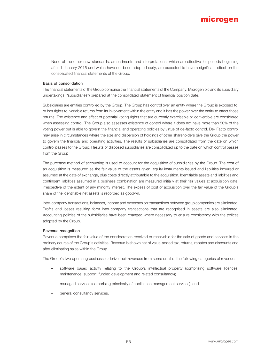None of the other new standards, amendments and interpretations, which are effective for periods beginning after 1 January 2016 and which have not been adopted early, are expected to have a significant effect on the consolidated financial statements of the Group.

### Basis of consolidation

The financial statements of the Group comprise the financial statements of the Company, Microgen plc and its subsidiary undertakings ("subsidiaries") prepared at the consolidated statement of financial position date.

Subsidiaries are entities controlled by the Group. The Group has control over an entity where the Group is exposed to, or has rights to, variable returns from its involvement within the entity and it has the power over the entity to effect those returns. The existence and effect of potential voting rights that are currently exercisable or convertible are considered when assessing control. The Group also assesses existence of control where it does not have more than 50% of the voting power but is able to govern the financial and operating policies by virtue of de-facto control. De- Facto control may arise in circumstances where the size and dispersion of holdings of other shareholders give the Group the power to govern the financial and operating activities. The results of subsidiaries are consolidated from the date on which control passes to the Group. Results of disposed subsidiaries are consolidated up to the date on which control passes from the Group.

The purchase method of accounting is used to account for the acquisition of subsidiaries by the Group. The cost of an acquisition is measured as the fair value of the assets given, equity instruments issued and liabilities incurred or assumed at the date of exchange, plus costs directly attributable to the acquisition. Identifiable assets and liabilities and contingent liabilities assumed in a business combination are measured initially at their fair values at acquisition date, irrespective of the extent of any minority interest. The excess of cost of acquisition over the fair value of the Group's share of the identifiable net assets is recorded as goodwill.

Inter-company transactions, balances, income and expenses on transactions between group companies are eliminated. Profits and losses resulting form inter-company transactions that are recognised in assets are also eliminated. Accounting policies of the subsidiaries have been changed where necessary to ensure consistency with the polices adopted by the Group.

#### Revenue recognition

Revenue comprises the fair value of the consideration received or receivable for the sale of goods and services in the ordinary course of the Group's activities. Revenue is shown net of value-added tax, returns, rebates and discounts and after eliminating sales within the Group.

The Group's two operating businesses derive their revenues from some or all of the following categories of revenue:-

- software based activity relating to the Group's intellectual property (comprising software licences, maintenance, support, funded development and related consultancy);
- managed services (comprising principally of application management services); and
- general consultancy services.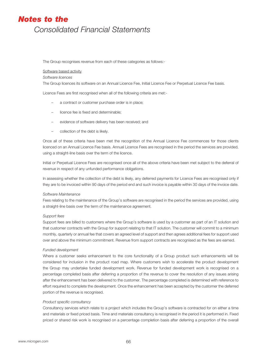## *Notes to the Consolidated Financial Statements*

The Group recognises revenue from each of these categories as follows:-

### Software based activity

### *Software licences*

The Group licences its software on an Annual Licence Fee, Initial Licence Fee or Perpetual Licence Fee basis.

Licence Fees are first recognised when all of the following criteria are met:-

- a contract or customer purchase order is in place;
- licence fee is fixed and determinable;
- evidence of software delivery has been received; and
- collection of the debt is likely.

Once all of these criteria have been met the recognition of the Annual Licence Fee commences for those clients licenced on an Annual Licence Fee basis. Annual Licence Fees are recognised in the period the services are provided, using a straight-line basis over the term of the licence.

Initial or Perpetual Licence Fees are recognised once all of the above criteria have been met subject to the deferral of revenue in respect of any unfunded performance obligations.

In assessing whether the collection of the debt is likely, any deferred payments for Licence Fees are recognised only if they are to be invoiced within 90 days of the period end and such invoice is payable within 30 days of the invoice date.

### *Software Maintenance*

Fees relating to the maintenance of the Group's software are recognised in the period the services are provided, using a straight-line basis over the term of the maintenance agreement.

### *Support fees*

Support fees are billed to customers where the Group's software is used by a customer as part of an IT solution and that customer contracts with the Group for support relating to that IT solution. The customer will commit to a minimum monthly, quarterly or annual fee that covers an agreed level of support and then agrees additional fees for support used over and above the minimum commitment. Revenue from support contracts are recognised as the fees are earned.

### *Funded development*

Where a customer seeks enhancement to the core functionality of a Group product such enhancements will be considered for inclusion in the product road map. Where customers wish to accelerate the product development the Group may undertake funded development work. Revenue for funded development work is recognised on a percentage completed basis after deferring a proportion of the revenue to cover the resolution of any issues arising after the enhancement has been delivered to the customer. The percentage completed is determined with reference to effort required to complete the development. Once the enhancement has been accepted by the customer the deferred portion of the revenue is recognised.

### *Product specific consultancy*

Consultancy services which relate to a project which includes the Group's software is contracted for on either a time and materials or fixed priced basis. Time and materials consultancy is recognised in the period it is performed in. Fixed priced or shared risk work is recognised on a percentage completion basis after deferring a proportion of the overall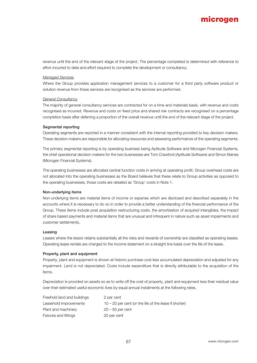revenue until the end of the relevant stage of the project. The percentage completed is determined with reference to effort incurred to date and effort required to complete the development or consultancy.

### *Managed Services*

Where the Group provides application management services to a customer for a third party software product or solution revenue from these services are recognised as the services are performed.

#### *General Consultancy*

The majority of general consultancy services are contracted for on a time and materials basis, with revenue and costs recognised as incurred. Revenue and costs on fixed price and shared risk contracts are recognised on a percentage completion basis after deferring a proportion of the overall revenue until the end of the relevant stage of the project.

#### Segmental reporting

Operating segments are reported in a manner consistent with the internal reporting provided to key decision makers. These decision makers are responsible for allocating resources and assessing performance of the operating segments.

The primary segmental reporting is by operating business being Aptitude Software and Microgen Financial Systems, the chief operational decision makers for the two businesses are Tom Crawford (Aptitude Software) and Simon Baines (Microgen Financial Systems).

The operating businesses are allocated central function costs in arriving at operating profit. Group overhead costs are not allocated into the operating businesses as the Board believes that these relate to Group activities as opposed to the operating businesses, those costs are detailed as 'Group' costs in Note 1.

### Non-underlying items

Non-underlying items are material items of income or expense which are disclosed and described separately in the accounts where it is necessary to do so in order to provide a better understanding of the financial performance of the Group. These items include post acquisition restructuring costs, the amortisation of acquired intangibles, the impact of share based payments and material items that are unusual and infrequent in nature such as asset impairments and customer settlements.

#### Leasing

Leases where the lessor retains substantially all the risks and rewards of ownership are classified as operating leases. Operating lease rentals are charged to the income statement on a straight line basis over the life of the lease.

#### Property, plant and equipment

Property, plant and equipment is shown at historic purchase cost less accumulated depreciation and adjusted for any impairment. Land is not depreciated. Costs include expenditure that is directly attributable to the acquisition of the items.

Depreciation is provided on assets so as to write off the cost of property, plant and equipment less their residual value over their estimated useful economic lives by equal annual instalments at the following rates.

| Freehold land and buildings | 2 per cent                                               |
|-----------------------------|----------------------------------------------------------|
| Leasehold improvements      | $10 - 20$ per cent (or the life of the lease if shorter) |
| Plant and machinery         | $20 - 50$ per cent                                       |
| Fixtures and fittings       | 20 per cent                                              |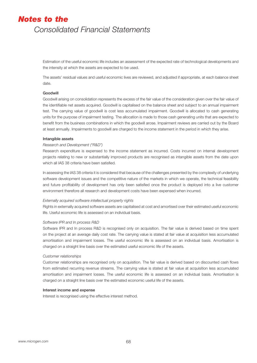## *Notes to the Consolidated Financial Statements*

Estimation of the useful economic life includes an assessment of the expected rate of technological developments and the intensity at which the assets are expected to be used.

The assets' residual values and useful economic lives are reviewed, and adjusted if appropriate, at each balance sheet date.

### Goodwill

Goodwill arising on consolidation represents the excess of the fair value of the consideration given over the fair value of the identifiable net assets acquired. Goodwill is capitalised on the balance sheet and subject to an annual impairment test. The carrying value of goodwill is cost less accumulated impairment. Goodwill is allocated to cash generating units for the purpose of impairment testing. The allocation is made to those cash generating units that are expected to benefit from the business combinations in which the goodwill arose. Impairment reviews are carried out by the Board at least annually. Impairments to goodwill are charged to the income statement in the period in which they arise.

#### Intangible assets

### *Research and Development ("R&D")*

Research expenditure is expensed to the income statement as incurred. Costs incurred on internal development projects relating to new or substantially improved products are recognised as intangible assets from the date upon which all IAS 38 criteria have been satisfied.

In assessing the IAS 38 criteria it is considered that because of the challenges presented by the complexity of underlying software development issues and the competitive nature of the markets in which we operate, the technical feasibility and future profitability of development has only been satisfied once the product is deployed into a live customer environment therefore all research and development costs have been expensed when incurred.

#### *Externally acquired software intellectual property rights*

Rights in externally acquired software assets are capitalised at cost and amortised over their estimated useful economic life. Useful economic life is assessed on an individual basis.

#### *Software IPR and In process R&D*

Software IPR and In process R&D is recognised only on acquisition. The fair value is derived based on time spent on the project at an average daily cost rate. The carrying value is stated at fair value at acquisition less accumulated amortisation and impairment losses. The useful economic life is assessed on an individual basis. Amortisation is charged on a straight line basis over the estimated useful economic life of the assets.

#### *Customer relationships*

Customer relationships are recognised only on acquisition. The fair value is derived based on discounted cash flows from estimated recurring revenue streams. The carrying value is stated at fair value at acquisition less accumulated amortisation and impairment losses. The useful economic life is assessed on an individual basis. Amortisation is charged on a straight line basis over the estimated economic useful life of the assets.

### Interest income and expense

Interest is recognised using the effective interest method.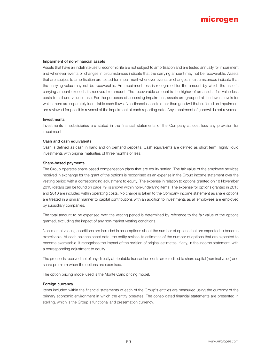### Impairment of non-financial assets

Assets that have an indefinite useful economic life are not subject to amortisation and are tested annually for impairment and whenever events or changes in circumstances indicate that the carrying amount may not be recoverable. Assets that are subject to amortisation are tested for impairment whenever events or changes in circumstances indicate that the carrying value may not be recoverable. An impairment loss is recognised for the amount by which the asset's carrying amount exceeds its recoverable amount. The recoverable amount is the higher of an asset's fair value less costs to sell and value in use. For the purposes of assessing impairment, assets are grouped at the lowest levels for which there are separately identifiable cash flows. Non-financial assets other than goodwill that suffered an impairment are reviewed for possible reversal of the impairment at each reporting date. Any impairment of goodwill is not reversed.

#### Investments

Investments in subsidiaries are stated in the financial statements of the Company at cost less any provision for impairment.

#### Cash and cash equivalents

Cash is defined as cash in hand and on demand deposits. Cash equivalents are defined as short term, highly liquid investments with original maturities of three months or less.

#### Share-based payments

The Group operates share-based compensation plans that are equity settled. The fair value of the employee services received in exchange for the grant of the options is recognised as an expense in the Group income statement over the vesting period with a corresponding adjustment to equity. The expense in relation to options granted on 18 November 2013 (details can be found on page 79) is shown within non-underlying items. The expense for options granted in 2015 and 2016 are included within operating costs. No charge is taken to the Company income statement as share options are treated in a similar manner to capital contributions with an addition to investments as all employees are employed by subsidiary companies.

The total amount to be expensed over the vesting period is determined by reference to the fair value of the options granted, excluding the impact of any non-market vesting conditions.

Non-market vesting conditions are included in assumptions about the number of options that are expected to become exercisable. At each balance sheet date, the entity revises its estimates of the number of options that are expected to become exercisable. It recognises the impact of the revision of original estimates, if any, in the income statement, with a corresponding adjustment to equity.

The proceeds received net of any directly attributable transaction costs are credited to share capital (nominal value) and share premium when the options are exercised.

The option pricing model used is the Monte Carlo pricing model.

#### Foreign currency

Items included within the financial statements of each of the Group's entities are measured using the currency of the primary economic environment in which the entity operates. The consolidated financial statements are presented in sterling, which is the Group's functional and presentation currency.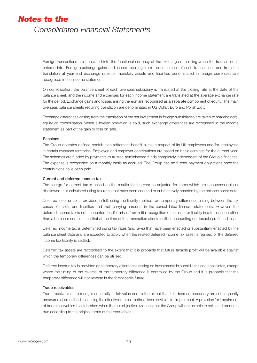## *Notes to the Consolidated Financial Statements*

Foreign transactions are translated into the functional currency at the exchange rate ruling when the transaction is entered into. Foreign exchange gains and losses resulting from the settlement of such transactions and from the translation at year-end exchange rates of monetary assets and liabilities denominated in foreign currencies are recognised in the income statement.

On consolidation, the balance sheet of each overseas subsidiary is translated at the closing rate at the date of the balance sheet, and the income and expenses for each income statement are translated at the average exchange rate for the period. Exchange gains and losses arising thereon are recognised as a separate component of equity. The main overseas balance sheets requiring translation are denominated in US Dollar, Euro and Polish Zloty.

Exchange differences arising from the translation of the net investment in foreign subsidiaries are taken to shareholders' equity on consolidation. When a foreign operation is sold, such exchange differences are recognised in the income statement as part of the gain or loss on sale.

### Pensions

The Group operates defined contribution retirement benefit plans in respect of its UK employees and for employees in certain overseas territories. Employee and employer contributions are based on basic earnings for the current year. The schemes are funded by payments to trustee-administered funds completely independent of the Group's finances. The expense is recognised on a monthly basis as accrued. The Group has no further payment obligations once the contributions have been paid.

## Current and deferred income tax

The charge for current tax is based on the results for the year as adjusted for items which are non-assessable or disallowed. It is calculated using tax rates that have been enacted or substantively enacted by the balance sheet date.

Deferred income tax is provided in full, using the liability method, on temporary differences arising between the tax bases of assets and liabilities and their carrying amounts in the consolidated financial statements. However, the deferred income tax is not accounted for, if it arises from initial recognition of an asset or liability in a transaction other than a business combination that at the time of the transaction affects neither accounting nor taxable profit and loss.

Deferred income tax is determined using tax rates (and laws) that have been enacted or substantially enacted by the balance sheet date and are expected to apply when the related deferred income tax asset is realised or the deferred income tax liability is settled.

Deferred tax assets are recognised to the extent that it is probable that future taxable profit will be available against which the temporary differences can be utilised.

Deferred income tax is provided on temporary differences arising on investments in subsidiaries and associates, except where the timing of the reversal of the temporary difference is controlled by the Group and it is probable that the temporary difference will not reverse in the foreseeable future.

### Trade receivables

Trade receivables are recognised initially at fair value and to the extent that it is deemed necessary are subsequently measured at amortised cost using the effective interest method, less provision for impairment. A provision for impairment of trade receivables is established when there is objective evidence that the Group will not be able to collect all amounts due according to the original terms of the receivables.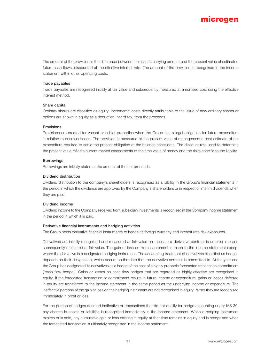

The amount of the provision is the difference between the asset's carrying amount and the present value of estimated future cash flows, discounted at the effective interest rate. The amount of the provision is recognised in the income statement within other operating costs.

#### Trade payables

Trade payables are recognised initially at fair value and subsequently measured at amortised cost using the effective interest method.

#### Share capital

Ordinary shares are classified as equity. Incremental costs directly attributable to the issue of new ordinary shares or options are shown in equity as a deduction, net of tax, from the proceeds.

#### Provisions

Provisions are created for vacant or sublet properties when the Group has a legal obligation for future expenditure in relation to onerous leases. The provision is measured at the present value of management's best estimate of the expenditure required to settle the present obligation at the balance sheet date. The discount rate used to determine the present value reflects current market assessments of the time value of money and the risks specific to the liability.

#### **Borrowings**

Borrowings are initially stated at the amount of the net proceeds.

#### Dividend distribution

Dividend distribution to the company's shareholders is recognised as a liability in the Group's financial statements in the period in which the dividends are approved by the Company's shareholders or in respect of interim dividends when they are paid.

#### Dividend income

Dividend income to the Company received from subsidiary investments is recognised in the Company income statement in the period in which it is paid.

#### Derivative financial instruments and hedging activities

The Group holds derivative financial instruments to hedge its foreign currency and interest rate risk exposures.

Derivatives are initially recognised and measured at fair value on the date a derivative contract is entered into and subsequently measured at fair value. The gain or loss on re-measurement is taken to the income statement except where the derivative is a designated hedging instrument. The accounting treatment of derivatives classified as hedges depends on their designation, which occurs on the date that the derivative contract is committed to. At the year-end the Group has designated its derivatives as a hedge of the cost of a highly probable forecasted transaction commitment ('cash flow hedge'). Gains or losses on cash flow hedges that are regarded as highly effective are recognised in equity. If the forecasted transaction or commitment results in future income or expenditure, gains or losses deferred in equity are transferred to the income statement in the same period as the underlying income or expenditure. The ineffective portions of the gain or loss on the hedging instrument are not recognised in equity, rather they are recognised immediately in profit or loss.

For the portion of hedges deemed ineffective or transactions that do not qualify for hedge accounting under IAS 39, any change in assets or liabilities is recognised immediately in the income statement. When a hedging instrument expires or is sold, any cumulative gain or loss existing in equity at that time remains in equity and is recognised when the forecasted transaction is ultimately recognised in the income statement.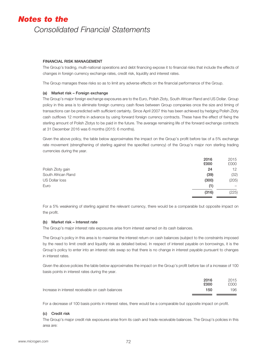### FINANCIAL RISK MANAGEMENT

The Group's trading, multi-national operations and debt financing expose it to financial risks that include the effects of changes in foreign currency exchange rates, credit risk, liquidity and interest rates.

The Group manages these risks so as to limit any adverse effects on the financial performance of the Group.

### (a) Market risk – Foreign exchange

The Group's major foreign exchange exposures are to the Euro, Polish Zloty, South African Rand and US Dollar. Group policy in this area is to eliminate foreign currency cash flows between Group companies once the size and timing of transactions can be predicted with sufficient certainty. Since April 2007 this has been achieved by hedging Polish Zloty cash outflows 12 months in advance by using forward foreign currency contracts. These have the effect of fixing the sterling amount of Polish Zlotys to be paid in the future. The average remaining life of the forward exchange contracts at 31 December 2016 was 6 months (2015: 6 months).

Given the above policy, the table below approximates the impact on the Group's profit before tax of a 5% exchange rate movement (strengthening of sterling against the specified currency) of the Group's major non sterling trading currencies during the year.

|                    | 2016<br>£000 | 2015<br>£000      |
|--------------------|--------------|-------------------|
| Polish Zloty gain  | 24           | $12 \overline{ }$ |
| South African Rand | (39)         | (32)              |
| US Dollar loss     | (300)        | (205)             |
| Euro               | (1)          |                   |
|                    | (316)        | (225)             |

For a 5% weakening of sterling against the relevant currency, there would be a comparable but opposite impact on the profit.

#### (b) Market risk – Interest rate

The Group's major interest rate exposures arise from interest earned on its cash balances.

The Group's policy in this area is to maximise the interest return on cash balances (subject to the constraints imposed by the need to limit credit and liquidity risk as detailed below). In respect of interest payable on borrowings, it is the Group's policy to enter into an interest rate swap so that there is no change in interest payable pursuant to changes in interest rates.

Given the above policies the table below approximates the impact on the Group's profit before tax of a increase of 100 basis points in interest rates during the year.

|                                                  | 2016<br>£000 | 2015<br>£000 |
|--------------------------------------------------|--------------|--------------|
| Increase in interest receivable on cash balances | 150          | 196          |

For a decrease of 100 basis points in interest rates, there would be a comparable but opposite impact on profit.

### (c) Credit risk

The Group's major credit risk exposures arise from its cash and trade receivable balances. The Group's policies in this area are: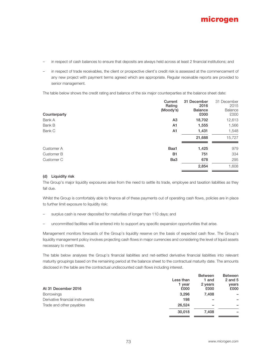

- in respect of cash balances to ensure that deposits are always held across at least 2 financial institutions; and
- in respect of trade receivables, the client or prospective client's credit risk is assessed at the commencement of any new project with payment terms agreed which are appropriate. Regular receivable reports are provided to senior management.

The table below shows the credit rating and balance of the six major counterparties at the balance sheet date:

| Rating<br>2016<br>(Moody's)<br><b>Balance</b><br>£000<br>Counterparty | 2015<br>Balance<br>£000<br>12,613 |
|-----------------------------------------------------------------------|-----------------------------------|
|                                                                       |                                   |
| 18,702<br>Bank A<br>A3                                                |                                   |
| Bank B<br>1,555<br>A1                                                 | 1,566                             |
| Bank C<br>A <sub>1</sub><br>1,431                                     | 1,548                             |
| 21,688                                                                | 15,727                            |
| 1,425<br>Customer A<br>Baa1                                           | 979                               |
| 751<br>Customer B<br>B1                                               | 334                               |
| Ba3<br>Customer C<br>678                                              | 295                               |
| 2,854                                                                 | 1,608                             |

#### (d) Liquidity risk

The Group's major liquidity exposures arise from the need to settle its trade, employee and taxation liabilities as they fall due.

Whilst the Group is comfortably able to finance all of these payments out of operating cash flows, policies are in place to further limit exposure to liquidity risk:

- surplus cash is never deposited for maturities of longer than 110 days; and
- uncommitted facilities will be entered into to support any specific expansion opportunities that arise.

Management monitors forecasts of the Group's liquidity reserve on the basis of expected cash flow. The Group's liquidity management policy involves projecting cash flows in major currencies and considering the level of liquid assets necessary to meet these.

The table below analyses the Group's financial liabilities and net-settled derivative financial liabilities into relevant maturity groupings based on the remaining period at the balance sheet to the contractual maturity date. The amounts disclosed in the table are the contractual undiscounted cash flows including interest.

|                                  |           | <b>Between</b> | <b>Between</b> |
|----------------------------------|-----------|----------------|----------------|
|                                  | Less than | 1 and          | $2$ and 5      |
|                                  | 1 year    | 2 years        | years          |
| At 31 December 2016              | £000      | £000           | £000           |
| <b>Borrowings</b>                | 3,296     | 7,408          |                |
| Derivative financial instruments | 198       |                |                |
| Trade and other payables         | 26.524    |                |                |
|                                  | 30,018    | 7.408          |                |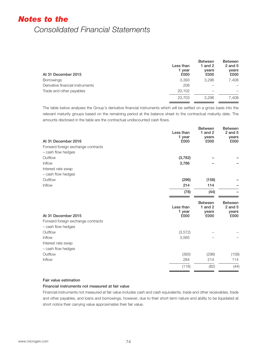## *Notes to the*

# *Consolidated Financial Statements*

| At 31 December 2015              | Less than<br>1 year<br>£000 | <b>Between</b><br>1 and $2$<br>years<br>£000 | <b>Between</b><br>$2$ and $5$<br>years<br>£000 |
|----------------------------------|-----------------------------|----------------------------------------------|------------------------------------------------|
| <b>Borrowings</b>                | 3,393                       | 3.296                                        | 7,408                                          |
| Derivative financial instruments | 208                         |                                              |                                                |
| Trade and other payables         | 20,102                      |                                              |                                                |
|                                  | 23,703                      | 3.296                                        | 7,408                                          |

The table below analyses the Group's derivative financial instruments which will be settled on a gross basis into the relevant maturity groups based on the remaining period at the balance sheet to the contractual maturity date. The amounts disclosed in the table are the contractual undiscounted cash flows.

| At 31 December 2016                | Less than<br>1 year<br>£000 | <b>Between</b><br>1 and $2$<br>years<br>£000 | <b>Between</b><br>$2$ and $5$<br>years<br>£000 |
|------------------------------------|-----------------------------|----------------------------------------------|------------------------------------------------|
| Forward foreign exchange contracts |                             |                                              |                                                |
| - cash flow hedges                 |                             |                                              |                                                |
| Outflow                            | (3, 782)                    |                                              |                                                |
| Inflow                             | 3,786                       |                                              |                                                |
| Interest rate swap                 |                             |                                              |                                                |
| - cash flow hedges                 |                             |                                              |                                                |
| Outflow                            | (296)                       | (158)                                        |                                                |
| Inflow                             | 214                         | 114                                          |                                                |
|                                    | (78)                        | (44)                                         |                                                |
| At 31 December 2015                | Less than<br>1 year<br>£000 | <b>Between</b><br>1 and $2$<br>years<br>£000 | <b>Between</b><br>$2$ and $5$<br>years<br>£000 |
| Forward foreign exchange contracts |                             |                                              |                                                |
| - cash flow hedges                 |                             |                                              |                                                |
| Outflow                            | (3, 572)                    |                                              |                                                |
| Inflow                             | 3,565                       |                                              |                                                |
| Interest rate swap                 |                             |                                              |                                                |
| - cash flow hedges                 |                             |                                              |                                                |
| Outflow                            | (393)                       | (296)                                        | (158)                                          |
| Inflow                             | 284                         | 214                                          | 114                                            |
|                                    | (116)                       | (82)                                         | (44)                                           |
|                                    |                             |                                              |                                                |

### Fair value estimation

### Financial instruments not measured at fair value

Financial instruments not measured at fair value includes cash and cash equivalents, trade and other receivables, trade and other payables, and loans and borrowings, however, due to their short term nature and ability to be liquidated at short notice their carrying value approximates their fair value.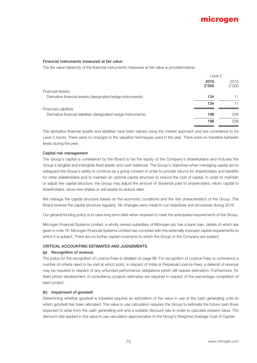#### Financial instruments measured at fair value

The fair value hierarchy of the financial instruments measures at fair value is provided below.

|                                                                 | Level 2       |               |
|-----------------------------------------------------------------|---------------|---------------|
|                                                                 | 2016<br>£'000 | 2015<br>£'000 |
| <b>Financial Assets</b>                                         |               |               |
| Derivative financial assets (designated hedge instruments)      | 134           | 11            |
|                                                                 | 134           | 11            |
| <b>Financial Liabilities</b>                                    |               |               |
| Derivative financial liabilities (designated hedge instruments) | 198           | 208           |
|                                                                 | 198           | 208           |

The derivative financial assets and liabilities have been valued using the market approach and are considered to be Level 2 inputs. There were no changes to the valuation techniques used in the year. There were no transfers between levels during the year.

#### Capital risk management

The Group's capital is considered by the Board to be the equity of the Company's shareholders and includes the Group's tangible and intangible fixed assets and cash balances. The Group's objectives when managing capital are to safeguard the Group's ability to continue as a going concern in order to provide returns for shareholders and benefits for other stakeholders and to maintain an optimal capital structure to reduce the cost of capital. In order to maintain or adjust the capital structure, the Group may adjust the amount of dividends paid to shareholders, return capital to shareholders, issue new shares or sell assets to reduce debt.

We manage the capital structure based on the economic conditions and the risk characteristics of the Group. The Board reviews the capital structure regularly. No changes were made to our objectives and processes during 2016.

Our general funding policy is to raise long term debt when required to meet the anticipated requirements of the Group.

Microgen Financial Systems Limited, a wholly owned subsidiary of Microgen plc has a bank loan, details of which are given in note 16. Microgen Financial Systems Limited has complied with the externally imposed capital requirements to which it is subject. There are no further capital covenants to which the Group or the Company are subject.

#### CRITICAL ACCOUNTING ESTIMATES AND JUDGEMENTS

#### (a) Recognition of revenue

The policy for the recognition of Licence Fees is detailed on page 66. For recognition of Licence Fees to commence a number of criteria need to be met at which point, in respect of Initial or Perpetual Licence Fees, a deferral of revenue may be required in respect of any unfunded performance obligations which will require estimation. Furthermore, for fixed priced development of consultancy projects estimates are required in respect of the percentage completion of each project.

#### (b) Impairment of goodwill

Determining whether goodwill is impaired requires an estimation of the value in use of the cash generating units to which goodwill has been allocated. The value in use calculation requires the Group to estimate the future cash flows expected to arise from the cash generating unit and a suitable discount rate in order to calculate present value. The discount rate applied in the value in use calculation approximates to the Group's Weighted Average Cost of Capital.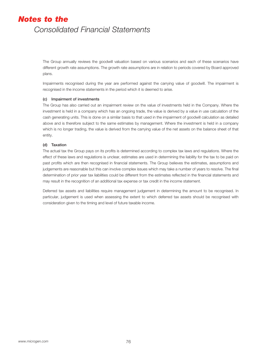The Group annually reviews the goodwill valuation based on various scenarios and each of these scenarios have different growth rate assumptions. The growth rate assumptions are in relation to periods covered by Board approved plans.

Impairments recognised during the year are performed against the carrying value of goodwill. The impairment is recognised in the income statements in the period which it is deemed to arise.

### (c) Impairment of investments

The Group has also carried out an impairment review on the value of investments held in the Company. Where the investment is held in a company which has an ongoing trade, the value is derived by a value in use calculation of the cash generating units. This is done on a similar basis to that used in the impairment of goodwill calculation as detailed above and is therefore subject to the same estimates by management. Where the investment is held in a company which is no longer trading, the value is derived from the carrying value of the net assets on the balance sheet of that entity.

#### (d) Taxation

The actual tax the Group pays on its profits is determined according to complex tax laws and regulations. Where the effect of these laws and regulations is unclear, estimates are used in determining the liability for the tax to be paid on past profits which are then recognised in financial statements. The Group believes the estimates, assumptions and judgements are reasonable but this can involve complex issues which may take a number of years to resolve. The final determination of prior year tax liabilities could be different from the estimates reflected in the financial statements and may result in the recognition of an additional tax expense or tax credit in the income statement.

Deferred tax assets and liabilities require management judgement in determining the amount to be recognised. In particular, judgement is used when assessing the extent to which deferred tax assets should be recognised with consideration given to the timing and level of future taxable income.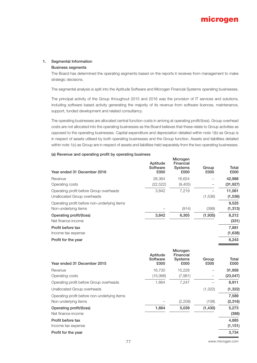# microgen

### 1. Segmental Information

#### Business segments

The Board has determined the operating segments based on the reports it receives from management to make strategic decisions.

The segmental analysis is split into the Aptitude Software and Microgen Financial Systems operating businesses.

The principal activity of the Group throughout 2015 and 2016 was the provision of IT services and solutions, including software based activity generating the majority of its revenue from software licences, maintenance, support, funded development and related consultancy.

The operating businesses are allocated central function costs in arriving at operating profit/(loss). Group overhead costs are not allocated into the operating businesses as the Board believes that these relate to Group activities as opposed to the operating businesses. Capital expenditure and depreciation detailed within note 1(b) as Group is in respect of assets utilised by both operating businesses and the Group function. Assets and liabilities detailed within note 1(c) as Group are in respect of assets and liabilities held separately from the two operating businesses.

Microgen

### (a) Revenue and operating profit by operating business

| Aptitude<br>Software<br>£000 | <b>IVIICIOGEII</b><br>Financial<br><b>Systems</b><br>£000 | Group<br>£000 | Total<br>£000  |
|------------------------------|-----------------------------------------------------------|---------------|----------------|
| 26.364                       | 16,624                                                    |               | 42,988         |
| (22, 522)                    | (9,405)                                                   |               | (31, 927)      |
| 3,842                        | 7,219                                                     |               | 11,061         |
|                              |                                                           | (1,536)       | (1,536)        |
|                              |                                                           |               | 9,525          |
|                              | (914)                                                     | (399)         | (1, 313)       |
| 3,842                        | 6,305                                                     | (1,935)       | 8,212<br>(331) |
|                              |                                                           |               | 7,881          |
|                              |                                                           |               | (1,638)        |
|                              |                                                           |               | 6,243          |
|                              |                                                           |               |                |

| Year ended 31 December 2015                  | Aptitude<br>Software<br>£000 | Microgen<br>Financial<br><b>Systems</b><br>£000 | Group<br>£000 | Total<br>£000 |
|----------------------------------------------|------------------------------|-------------------------------------------------|---------------|---------------|
| Revenue                                      | 16,730                       | 15,228                                          |               | 31,958        |
| Operating costs                              | (15,066)                     | (7,981)                                         |               | (23, 047)     |
| Operating profit before Group overheads      | 1.664                        | 7.247                                           |               | 8,911         |
| Unallocated Group overheads                  |                              |                                                 | (1, 322)      | (1, 322)      |
| Operating profit before non-underlying items |                              |                                                 |               | 7,589         |
| Non-underlying items                         |                              | (2,208)                                         | (108)         | (2,316)       |
| Operating profit/(loss)                      | 1,664                        | 5,039                                           | (1,430)       | 5,273         |
| Net finance income                           |                              |                                                 |               | (388)         |
| Profit before tax                            |                              |                                                 |               | 4,885         |
| Income tax expense                           |                              |                                                 |               | (1, 151)      |
| Profit for the year                          |                              |                                                 |               | 3,734         |
|                                              |                              |                                                 |               |               |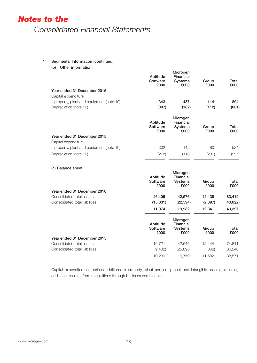## 1 Segmental Information (continued)

(b) Other information

|                                           | Aptitude<br>Software<br>£000 | Microgen<br>Financial<br><b>Systems</b><br>£000 | Group<br>£000 | Total<br>£000 |
|-------------------------------------------|------------------------------|-------------------------------------------------|---------------|---------------|
| Year ended 31 December 2016               |                              |                                                 |               |               |
| Capital expenditure                       |                              |                                                 |               |               |
| - property, plant and equipment (note 10) | 343                          | 437                                             | 114           | 894           |
| Depreciation (note 10)                    | (307)                        | (182)                                           | (112)         | (601)         |
|                                           | Aptitude<br>Software<br>£000 | Microgen<br>Financial<br><b>Systems</b><br>£000 | Group<br>£000 | Total<br>£000 |
| Year ended 31 December 2015               |                              |                                                 |               |               |
| Capital expenditure                       |                              |                                                 |               |               |
| - property, plant and equipment (note 10) | 302                          | 142                                             | 80            | 524           |
| Depreciation (note 10)                    | (278)                        | (118)                                           | (201)         | (597)         |
| (c) Balance sheet                         |                              |                                                 |               |               |
|                                           | Aptitude<br>Software<br>£000 | Microgen<br>Financial<br><b>Systems</b><br>£000 | Group<br>£000 | Total<br>£000 |
| Year ended 31 December 2016               |                              |                                                 |               |               |
| Consolidated total assets                 | 26,405                       | 42,576                                          | 14,438        | 83,419        |
| Consolidated total liabilities            | (15, 331)                    | (22, 594)                                       | (2,097)       | (40, 022)     |
|                                           | 11,074                       | 19,982                                          | 12,341        | 43,397        |
|                                           | Aptitude<br>Software<br>£000 | Microgen<br>Financial<br><b>Systems</b><br>£000 | Group<br>£000 | Total<br>£000 |
| Year ended 31 December 2015               |                              |                                                 |               |               |
| Consolidated total assets                 | 19,721                       | 42,646                                          | 12,444        | 74,811        |
| Consolidated total liabilities            | (9,482)                      | (25, 896)                                       | (862)         | (36, 240)     |
|                                           | 10,239                       | 16,750                                          | 11,582        | 38,571        |

Capital expenditure comprises additions to property, plant and equipment and intangible assets, excluding additions resulting from acquisitions through business combinations.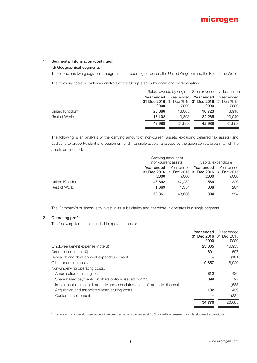### 1 Segmental Information (continued)

### (d) Geographical segments

The Group has two geographical segments for reporting purposes, the United Kingdom and the Rest of the World.

The following table provides an analysis of the Group's sales by origin and by destination.

|        |        |            | Year ended                                                                                                                       |
|--------|--------|------------|----------------------------------------------------------------------------------------------------------------------------------|
|        |        |            |                                                                                                                                  |
| £000   | £000   | £000       | £000                                                                                                                             |
| 25,886 | 18.065 | 10.723     | 8.918                                                                                                                            |
| 17.102 | 13.893 | 32.265     | 23,040                                                                                                                           |
| 42.988 | 31.958 | 42.988     | 31,958                                                                                                                           |
|        |        | Year ended | Sales revenue by origin Sales revenue by destination<br>Year ended Year ended<br>31 Dec 2016 31 Dec 2015 31 Dec 2016 31 Dec 2015 |

The following is an analysis of the carrying amount of non-current assets (excluding deferred tax assets) and additions to property, plant and equipment and intangible assets, analysed by the geographical area in which the assets are located.

|                                 |                    | Carrying amount of<br>Capital expenditure<br>non-current assets |                                                                                  |                    |
|---------------------------------|--------------------|-----------------------------------------------------------------|----------------------------------------------------------------------------------|--------------------|
|                                 | Year ended<br>£000 | £000                                                            | Year ended Year ended<br>31 Dec 2016 31 Dec 2015 31 Dec 2016 31 Dec 2015<br>£000 | Year ended<br>£000 |
| United Kingdom<br>Rest of World | 48.692<br>1.669    | 47.282<br>1.354                                                 | 586<br>308                                                                       | 320<br>204         |
|                                 | 50.361             | 48.636                                                          | 894                                                                              | 524                |

The Company's business is to invest in its subsidiaries and, therefore, it operates in a single segment.

#### 2 Operating profit

The following items are included in operating costs:

|                                                                           | Year ended                      | Year ended |
|---------------------------------------------------------------------------|---------------------------------|------------|
|                                                                           | 31 Dec 2016 31 Dec 2015<br>£000 | £000       |
| Employee benefit expense (note 3)                                         | 23,005                          | 16,953     |
| Depreciation (note 10)                                                    | 601                             | 597        |
| Research and development expenditure credit *                             |                                 | (101)      |
| Other operating costs                                                     | 9,857                           | 6,920      |
| Non-underlying operating costs:                                           |                                 |            |
| Amortisation of intangibles                                               | 812                             | 429        |
| Share based payments on share options issued in 2013                      | 399                             | 97         |
| Impairment of freehold property and associated costs of property disposal |                                 | 1,585      |
| Acquisition and associated restructuring costs                            | 102                             | 439        |
| Customer settlement                                                       |                                 | (234)      |
|                                                                           | 34,776                          | 26,685     |

\* The research and development expenditure credit scheme is calculated at 10% of qualifying research and development expenditure.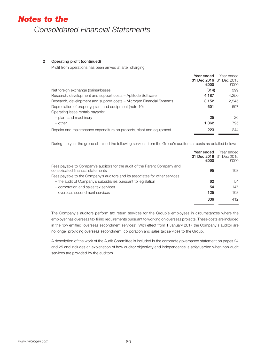### 2 Operating profit (continued)

Profit from operations has been arrived at after charging:

|                                                                      | Year ended                      | Year ended |
|----------------------------------------------------------------------|---------------------------------|------------|
|                                                                      | 31 Dec 2016 31 Dec 2015<br>£000 | £000       |
|                                                                      |                                 |            |
| Net foreign exchange (gains)/losses                                  | (314)                           | 399        |
| Research, development and support costs – Aptitude Software          | 4,187                           | 4.250      |
| Research, development and support costs - Microgen Financial Systems | 3,152                           | 2.545      |
| Depreciation of property, plant and equipment (note 10)              | 601                             | 597        |
| Operating lease rentals payable:                                     |                                 |            |
| - plant and machinery                                                | 25                              | 26         |
| $-$ other                                                            | 1,062                           | 795        |
| Repairs and maintenance expenditure on property, plant and equipment | 223                             | 244        |
|                                                                      |                                 |            |

During the year the group obtained the following services from the Group's auditors at costs as detailed below:

|                                                                                                                 | Year ended<br>£000 | Year ended<br>31 Dec 2016 31 Dec 2015<br>£000 |
|-----------------------------------------------------------------------------------------------------------------|--------------------|-----------------------------------------------|
| Fees payable to Company's auditors for the audit of the Parent Company and<br>consolidated financial statements | 95                 | 103                                           |
| Fees payable to the Company's auditors and its associates for other services:                                   |                    |                                               |
| - the audit of Company's subsidiaries pursuant to legislation                                                   | 62                 | 54                                            |
| - corporation and sales tax services                                                                            | 54                 | 147                                           |
| - overseas secondment services                                                                                  | 125                | 108                                           |
|                                                                                                                 | 336                | 412                                           |

The Company's auditors perform tax return services for the Group's employees in circumstances where the employer has overseas tax filling requirements pursuant to working on overseas projects. These costs are included in the row entitled 'overseas secondment services'. With effect from 1 January 2017 the Company's auditor are no longer providing overseas secondment, corporation and sales tax services to the Group.

A description of the work of the Audit Committee is included in the corporate governance statement on pages 24 and 25 and includes an explanation of how auditor objectivity and independence is safeguarded when non-audit services are provided by the auditors.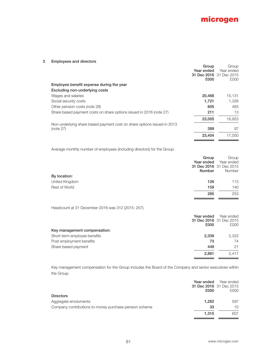

#### 3 Employees and directors

|                                                                         | Group<br>Year ended<br>31 Dec 2016 31 Dec 2015<br>£000 | Group<br>Year ended<br>£000 |
|-------------------------------------------------------------------------|--------------------------------------------------------|-----------------------------|
| Employee benefit expense during the year                                |                                                        |                             |
| Excluding non-underlying costs                                          |                                                        |                             |
| Wages and salaries                                                      | 20.468                                                 | 15,131                      |
| Social security costs                                                   | 1,721                                                  | 1,326                       |
| Other pension costs (note 28)                                           | 605                                                    | 483                         |
| Share based payment costs on share options issued in 2016 (note 27)     | 211                                                    | 13                          |
|                                                                         | 23,005                                                 | 16.953                      |
| Non-underlying share based payment cost on share options issued in 2013 |                                                        |                             |
| (note 27)                                                               | 399                                                    | 97                          |
|                                                                         | 23,404                                                 | 17,050                      |
|                                                                         |                                                        |                             |

Average monthly number of employees (including directors) for the Group:

|                      | Group<br>Year ended<br>31 Dec 2016 31 Dec 2015 | Group<br>Year ended |
|----------------------|------------------------------------------------|---------------------|
|                      | <b>Number</b>                                  | Number              |
| By location:         |                                                |                     |
| United Kingdom       | 126                                            | 113                 |
| <b>Rest of World</b> | 159                                            | 140                 |
|                      | 285                                            | 253                 |
|                      |                                                |                     |

Headcount at 31 December 2016 was 312 (2015: 257).

|                              | Year ended | Year ended              |
|------------------------------|------------|-------------------------|
|                              |            | 31 Dec 2016 31 Dec 2015 |
|                              | £000       | £000                    |
| Key management compensation: |            |                         |
| Short-term employee benefits | 2,339      | 2.322                   |
| Post employment benefits     | 73         | 74                      |
| Share based payment          | 449        | 21                      |
|                              | 2.861      | 2.417                   |
|                              |            |                         |

Key management compensation for the Group includes the Board of the Company and senior executives within the Group.

|                                                        | Year ended<br>31 Dec 2016 31 Dec 2015<br>£000 | Year ended<br>£000 |
|--------------------------------------------------------|-----------------------------------------------|--------------------|
| <b>Directors</b>                                       |                                               |                    |
| Aggregate emoluments                                   | 1.282                                         | 597                |
| Company contributions to money purchase pension scheme | 33                                            | 10                 |
|                                                        | 1.315                                         | 607                |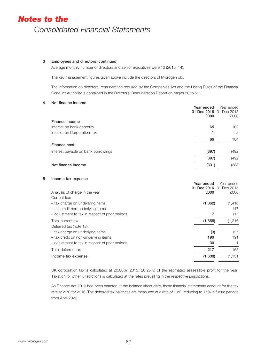#### 3 Employees and directors (continued)

Average monthly number of directors and senior executives were 12 (2015: 14).

The key management figures given above include the directors of Microgen plc.

The information on directors' remuneration required by the Companies Act and the Listing Rules of the Financial Conduct Authority is contained in the Directors' Remuneration Report on pages 30 to 51.

#### 4 Net finance income

|                                     | Year ended | Year ended              |
|-------------------------------------|------------|-------------------------|
|                                     |            | 31 Dec 2016 31 Dec 2015 |
|                                     | £000       | £000                    |
| Finance income                      |            |                         |
| Interest on bank deposits           | 65         | 102                     |
| Interest on Corporation Tax         |            | $\overline{2}$          |
|                                     | 66         | 104                     |
| Finance cost                        |            |                         |
| Interest payable on bank borrowings | (397)      | (492)                   |
|                                     | (397)      | (492)                   |
| Net finance income                  | (331)      | (388)                   |
|                                     |            |                         |

#### 5 Income tax expense

| <b>INTO THE LABS CAPS IN</b><br>Analysis of charge in the year | Year ended<br>£000 | Year ended<br><b>31 Dec 2016</b> 31 Dec 2015<br>£000 |
|----------------------------------------------------------------|--------------------|------------------------------------------------------|
| Current tax:                                                   |                    |                                                      |
| - tax charge on underlying items                               | (1,862)            | (1, 416)                                             |
| - tax credit non-underlying items                              |                    | 117                                                  |
| - adjustment to tax in respect of prior periods                |                    | (17)                                                 |
| Total current tax                                              | (1, 855)           | (1,316)                                              |
| Deferred tax (note 12):                                        |                    |                                                      |
| - tax charge on underlying items                               | (3)                | (27)                                                 |
| - tax credit on non-underlying items                           | 190                | 191                                                  |
| - adjustment to tax in respect of prior periods                | 30                 |                                                      |
| Total deferred tax                                             | 217                | 165                                                  |
| Income tax expense                                             | (1,638)            | (1, 151)                                             |

UK corporation tax is calculated at 20.00% (2015: 20.25%) of the estimated assessable profit for the year. Taxation for other jurisdictions is calculated at the rates prevailing in the respective jurisdictions.

As Finance Act 2016 had been enacted at the balance sheet date, these financial statements account for the tax rate at 20% for 2016. The deferred tax balances are measured at a rate of 19%, reducing to 17% in future periods from April 2020.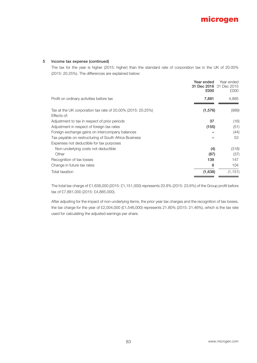## microgen

#### 5 Income tax expense (continued)

The tax for the year is higher (2015: higher) than the standard rate of corporation tax in the UK of 20.00% (2015: 20.25%). The differences are explained below:

| Year ended<br>£000                                                                    | Year ended<br>31 Dec 2016 31 Dec 2015<br>£000 |
|---------------------------------------------------------------------------------------|-----------------------------------------------|
| Profit on ordinary activities before tax<br>7,881                                     | 4,885                                         |
| Tax at the UK corporation tax rate of 20.00% (2015: 20.25%)<br>(1,576)<br>Effects of: | (989)                                         |
| 37<br>Adjustment to tax in respect of prior periods                                   | (16)                                          |
| Adjustment in respect of foreign tax rates<br>(155)                                   | (51)                                          |
| Foreign exchange gains on intercompany balances                                       | (44)                                          |
| Tax payable on restructuring of South Africa Business                                 | 53                                            |
| Expenses not deductible for tax purposes                                              |                                               |
| (4)<br>Non-underlying costs not deductible                                            | (318)                                         |
| Other<br>(87)                                                                         | (37)                                          |
| 139<br>Recognition of tax losses                                                      | 147                                           |
| 8<br>Change in future tax rates                                                       | 104                                           |
| (1,638)<br>Total taxation                                                             | (1, 151)                                      |

The total tax charge of £1,638,000 (2015: £1,151,000) represents 20.8% (2015: 23.6%) of the Group profit before tax of £7,881,000 (2015: £4,885,000).

After adjusting for the impact of non-underlying items, the prior year tax charges and the recognition of tax losses, the tax charge for the year of £2,004,000 (£1,546,000) represents 21.80% (2015: 21.46%), which is the tax rate used for calculating the adjusted earnings per share.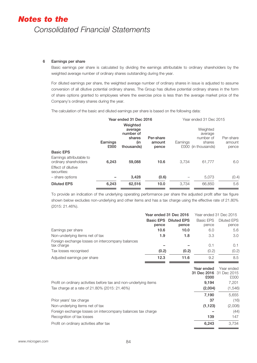#### 6 Earnings per share

Basic earnings per share is calculated by dividing the earnings attributable to ordinary shareholders by the weighted average number of ordinary shares outstanding during the year.

For diluted earnings per share, the weighted average number of ordinary shares in issue is adjusted to assume conversion of all dilutive potential ordinary shares. The Group has dilutive potential ordinary shares in the form of share options granted to employees where the exercise price is less than the average market price of the Company's ordinary shares during the year.

The calculation of the basic and diluted earnings per share is based on the following data:

|                                                   | Year ended 31 Dec 2016 |                                                                 |                              | Year ended 31 Dec 2015 |                                                                   |                              |
|---------------------------------------------------|------------------------|-----------------------------------------------------------------|------------------------------|------------------------|-------------------------------------------------------------------|------------------------------|
|                                                   | Earnings<br>£000       | Weighted<br>average<br>number of<br>shares<br>(in<br>thousands) | Per-share<br>amount<br>pence | Earnings               | Weighted<br>average<br>number of<br>shares<br>£000 (in thousands) | Per-share<br>amount<br>pence |
| <b>Basic EPS</b>                                  |                        |                                                                 |                              |                        |                                                                   |                              |
| Earnings attributable to<br>ordinary shareholders | 6.243                  | 59,088                                                          | 10.6                         | 3.734                  | 61.777                                                            | 6.0                          |
| Effect of dilutive<br>securities:                 |                        |                                                                 |                              |                        |                                                                   |                              |
| - share options                                   |                        | 3,428                                                           | (0.6)                        |                        | 5.073                                                             | (0.4)                        |
| <b>Diluted EPS</b>                                | 6,243                  | 62,516                                                          | 10.0                         | 3.734                  | 66,850                                                            | 5.6                          |

To provide an indication of the underlying operating performance per share the adjusted profit after tax figure shown below excludes non-underlying and other items and has a tax charge using the effective rate of 21.80% (2015: 21.46%).

|                                                                | Year ended 31 Dec 2016                 |       |           | Year ended 31 Dec 2015 |
|----------------------------------------------------------------|----------------------------------------|-------|-----------|------------------------|
|                                                                | <b>Diluted EPS</b><br><b>Basic EPS</b> |       | Basic EPS | Diluted EPS            |
|                                                                | pence                                  | pence | pence     | pence                  |
| Earnings per share                                             | 10.6                                   | 10.0  | 6.0       | 5.6                    |
| Non-underlying items net of tax                                | 1.9                                    | 1.8   | 3.3       | 3.0                    |
| Foreign exchange losses on intercompany balances<br>tax charge |                                        |       | 0.1       | 0.1                    |
| Tax losses recognised                                          | (0.2)                                  | (0.2) | (0.2)     | (0.2)                  |
| Adjusted earnings per share                                    | 12.3                                   | 11.6  | 9.2       | 8.5                    |

|                                                                   | Year ended<br>£000 | Year ended<br>31 Dec 2016 31 Dec 2015<br>£000 |
|-------------------------------------------------------------------|--------------------|-----------------------------------------------|
| Profit on ordinary activities before tax and non-underlying items | 9,194              | 7,201                                         |
| Tax charge at a rate of 21.80% (2015: 21.46%)                     | (2,004)            | (1,546)                                       |
|                                                                   | 7,190              | 5,655                                         |
| Prior years' tax charge                                           | 37                 | (16)                                          |
| Non-underlying items net of tax                                   | (1, 123)           | (2,008)                                       |
| Foreign exchange losses on intercompany balances tax charge       |                    | (44)                                          |
| Recognition of tax losses                                         | 139                | 147                                           |
| Profit on ordinary activities after tax                           | 6,243              | 3.734                                         |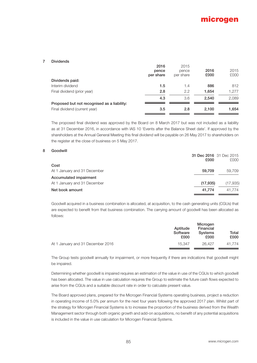

#### 7 Dividends

|                                             | 2016      | 2015      |       |       |
|---------------------------------------------|-----------|-----------|-------|-------|
|                                             | pence     | pence     | 2016  | 2015  |
|                                             | per share | per share | £000  | £000  |
| Dividends paid:                             |           |           |       |       |
| Interim dividend                            | 1.5       | 1.4       | 886   | 812   |
| Final dividend (prior year)                 | 2.8       | 2.2       | 1.654 | 1.277 |
|                                             | 4.3       | 3.6       | 2.540 | 2.089 |
| Proposed but not recognised as a liability: |           |           |       |       |
| Final dividend (current year)               | 3.5       | 2.8       | 2.100 | 1,654 |
|                                             |           |           |       |       |

The proposed final dividend was approved by the Board on 8 March 2017 but was not included as a liability as at 31 December 2016, in accordance with IAS 10 'Events after the Balance Sheet date'. If approved by the shareholders at the Annual General Meeting this final dividend will be payable on 26 May 2017 to shareholders on the register at the close of business on 5 May 2017.

#### 8 Goodwill

|                              | £000      | 31 Dec 2016 31 Dec 2015<br>£000 |
|------------------------------|-----------|---------------------------------|
| Cost                         |           |                                 |
| At 1 January and 31 December | 59.709    | 59.709                          |
| Accumulated impairment       |           |                                 |
| At 1 January and 31 December | (17, 935) | (17, 935)                       |
| Net book amount              | 41.774    | 41.774                          |

Goodwill acquired in a business combination is allocated, at acquisition, to the cash generating units (CGUs) that are expected to benefit from that business combination. The carrying amount of goodwill has been allocated as follows:

|                                   | Aptitude<br>Software<br>£000 | Microgen<br>Financial<br>Systems<br>£000 | Total<br>£000 |
|-----------------------------------|------------------------------|------------------------------------------|---------------|
| At 1 January and 31 December 2016 | 15.347                       | 26.427                                   | 41.774        |

The Group tests goodwill annually for impairment, or more frequently if there are indications that goodwill might be impaired.

Determining whether goodwill is impaired requires an estimation of the value in use of the CGUs to which goodwill has been allocated. The value in use calculation requires the Group to estimate the future cash flows expected to arise from the CGUs and a suitable discount rate in order to calculate present value.

The Board approved plans, prepared for the Microgen Financial Systems operating business, project a reduction in operating income of 5.0% per annum for the next four years following the approved 2017 plan. Whilst part of the strategy for Microgen Financial Systems is to increase the proportion of the business derived from the Wealth Management sector through both organic growth and add-on acquisitions, no benefit of any potential acquisitions is included in the value in use calculation for Microgen Financial Systems.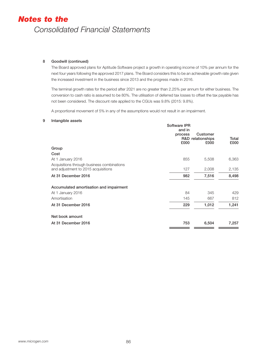### 8 Goodwill (continued)

The Board approved plans for Aptitude Software project a growth in operating income of 10% per annum for the next four years following the approved 2017 plans. The Board considers this to be an achievable growth rate given the increased investment in the business since 2013 and the progress made in 2016.

The terminal growth rates for the period after 2021 are no greater than 2.25% per annum for either business. The conversion to cash ratio is assumed to be 80%. The utilisation of deferred tax losses to offset the tax payable has not been considered. The discount rate applied to the CGUs was 9.8% (2015: 9.8%).

A proportional movement of 5% in any of the assumptions would not result in an impairment.

#### 9 Intangible assets

|                                                                                   | <b>Software IPR</b><br>and in<br>process<br>£000 | Customer<br>R&D relationships<br>£000 | Total<br>£000 |
|-----------------------------------------------------------------------------------|--------------------------------------------------|---------------------------------------|---------------|
| Group                                                                             |                                                  |                                       |               |
| Cost                                                                              |                                                  |                                       |               |
| At 1 January 2016                                                                 | 855                                              | 5,508                                 | 6,363         |
| Acquisitions through business combinations<br>and adjustment to 2015 acquisitions | 127                                              | 2,008                                 | 2,135         |
| At 31 December 2016                                                               | 982                                              | 7,516                                 | 8,498         |
| Accumulated amortisation and impairment                                           |                                                  |                                       |               |
| At 1 January 2016                                                                 | 84                                               | 345                                   | 429           |
| Amortisation                                                                      | 145                                              | 667                                   | 812           |
| At 31 December 2016                                                               | 229                                              | 1,012                                 | 1,241         |
| Net book amount                                                                   |                                                  |                                       |               |
| At 31 December 2016                                                               | 753                                              | 6,504                                 | 7,257         |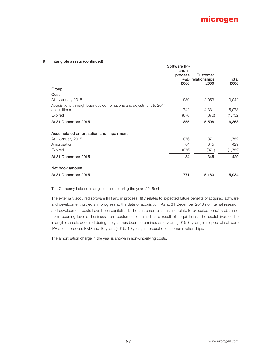

### 9 Intangible assets (continued)

| m                                                                 | Software IPR<br>and in<br>process<br>£000 | Customer<br>R&D relationships<br>£000 | Total<br>£000 |
|-------------------------------------------------------------------|-------------------------------------------|---------------------------------------|---------------|
| Group                                                             |                                           |                                       |               |
| Cost                                                              |                                           |                                       |               |
| At 1 January 2015                                                 | 989                                       | 2,053                                 | 3,042         |
| Acquisitions through business combinations and adjustment to 2014 | 742                                       | 4,331                                 |               |
| acquisitions                                                      |                                           |                                       | 5,073         |
| Expired                                                           | (876)                                     | (876)                                 | (1, 752)      |
| At 31 December 2015                                               | 855                                       | 5,508                                 | 6,363         |
| Accumulated amortisation and impairment                           |                                           |                                       |               |
| At 1 January 2015                                                 | 876                                       | 876                                   | 1,752         |
| Amortisation                                                      | 84                                        | 345                                   | 429           |
| <b>Expired</b>                                                    | (876)                                     | (876)                                 | (1, 752)      |
| At 31 December 2015                                               | 84                                        | 345                                   | 429           |
| Net book amount                                                   |                                           |                                       |               |
| At 31 December 2015                                               | 771                                       | 5,163                                 | 5,934         |
|                                                                   |                                           |                                       |               |

The Company held no intangible assets during the year (2015: nil).

The externally acquired software IPR and in process R&D relates to expected future benefits of acquired software and development projects in progress at the date of acquisition. As at 31 December 2016 no internal research and development costs have been capitalised. The customer relationships relate to expected benefits obtained from recurring level of business from customers obtained as a result of acquisitions. The useful lives of the intangible assets acquired during the year has been determined as 6 years (2015: 6 years) in respect of software IPR and in process R&D and 10 years (2015: 10 years) in respect of customer relationships.

The amortisation charge in the year is shown in non-underlying costs.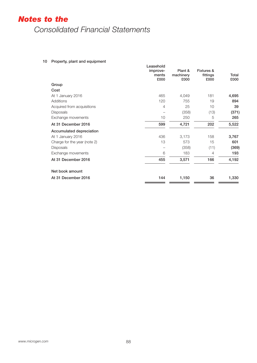## 10 Property, plant and equipment

|                              | Leasehold<br>improve-<br>ments<br>£000 | Plant &<br>machinery<br>£000 | <b>Fixtures &amp;</b><br>fittings<br>£000 | Total<br>£000 |
|------------------------------|----------------------------------------|------------------------------|-------------------------------------------|---------------|
| Group                        |                                        |                              |                                           |               |
| Cost                         |                                        |                              |                                           |               |
| At 1 January 2016            | 465                                    | 4,049                        | 181                                       | 4,695         |
| <b>Additions</b>             | 120                                    | 755                          | 19                                        | 894           |
| Acquired from acquisitions   | 4                                      | 25                           | 10                                        | 39            |
| <b>Disposals</b>             |                                        | (358)                        | (13)                                      | (371)         |
| Exchange movements           | 10                                     | 250                          | 5                                         | 265           |
| At 31 December 2016          | 599                                    | 4,721                        | 202                                       | 5,522         |
| Accumulated depreciation     |                                        |                              |                                           |               |
| At 1 January 2016            | 436                                    | 3,173                        | 158                                       | 3,767         |
| Charge for the year (note 2) | 13                                     | 573                          | 15                                        | 601           |
| Disposals                    |                                        | (358)                        | (11)                                      | (369)         |
| Exchange movements           | 6                                      | 183                          | 4                                         | 193           |
| At 31 December 2016          | 455                                    | 3,571                        | 166                                       | 4,192         |
| Net book amount              |                                        |                              |                                           |               |
| At 31 December 2016          | 144                                    | 1,150                        | 36                                        | 1,330         |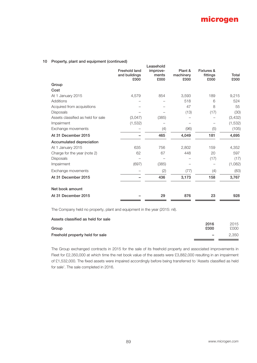#### 10 Property, plant and equipment (continued)

| r roporty, plant and equipment (continued) |                                        | Leasehold                 |                              |                                |               |
|--------------------------------------------|----------------------------------------|---------------------------|------------------------------|--------------------------------|---------------|
|                                            | Freehold land<br>and buildings<br>£000 | improve-<br>ments<br>£000 | Plant &<br>machinery<br>£000 | Fixtures &<br>fittings<br>£000 | Total<br>£000 |
| Group                                      |                                        |                           |                              |                                |               |
| Cost                                       |                                        |                           |                              |                                |               |
| At 1 January 2015                          | 4,579                                  | 854                       | 3,593                        | 189                            | 9,215         |
| <b>Additions</b>                           |                                        |                           | 518                          | 6                              | 524           |
| Acquired from acquisitions                 |                                        |                           | 47                           | 8                              | 55            |
| <b>Disposals</b>                           |                                        |                           | (13)                         | (17)                           | (30)          |
| Assets classified as held for sale         | (3,047)                                | (385)                     |                              |                                | (3,432)       |
| Impairment                                 | (1, 532)                               |                           |                              |                                | (1, 532)      |
| Exchange movements                         |                                        | (4)                       | (96)                         | (5)                            | (105)         |
| At 31 December 2015                        |                                        | 465                       | 4,049                        | 181                            | 4,695         |
| Accumulated depreciation                   |                                        |                           |                              |                                |               |
| At 1 January 2015                          | 635                                    | 756                       | 2,802                        | 159                            | 4,352         |
| Charge for the year (note 2)               | 62                                     | 67                        | 448                          | 20                             | 597           |
| <b>Disposals</b>                           |                                        |                           |                              | (17)                           | (17)          |
| Impairment                                 | (697)                                  | (385)                     |                              |                                | (1,082)       |
| Exchange movements                         |                                        | (2)                       | (77)                         | (4)                            | (83)          |
| At 31 December 2015                        |                                        | 436                       | 3,173                        | 158                            | 3,767         |
| Net book amount                            |                                        |                           |                              |                                |               |
| At 31 December 2015                        |                                        | 29                        | 876                          | 23                             | 928           |

The Company held no property, plant and equipment in the year (2015: nil).

| Assets classified as held for sale |                          |       |
|------------------------------------|--------------------------|-------|
|                                    | 2016                     | 2015  |
| Group                              | £000                     | £000  |
| Freehold property held for sale    | $\overline{\phantom{a}}$ | 2.350 |

The Group exchanged contracts in 2015 for the sale of its freehold property and associated improvements in Fleet for £2,350,000 at which time the net book value of the assets were £3,882,000 resulting in an impairment of £1,532,000. The fixed assets were impaired accordingly before being transferred to 'Assets classified as held for sale'. The sale completed in 2016.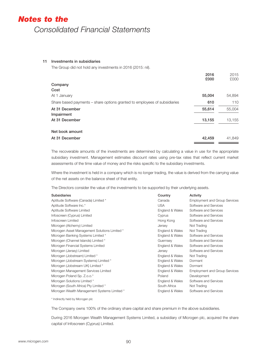#### 11 Investments in subsidiaries

The Group did not hold any investments in 2016 (2015: nil).

|                                                                           | 2016<br>£000 | 2015<br>£000 |
|---------------------------------------------------------------------------|--------------|--------------|
| Company                                                                   |              |              |
| Cost                                                                      |              |              |
| At 1 January                                                              | 55,004       | 54,894       |
| Share based payments – share options granted to employees of subsidiaries | 610          | 110          |
| At 31 December                                                            | 55,614       | 55,004       |
| Impairment                                                                |              |              |
| At 31 December                                                            | 13,155       | 13,155       |
| Net book amount                                                           |              |              |
| At 31 December                                                            | 42,459       | 41,849       |

The recoverable amounts of the investments are determined by calculating a value in use for the appropriate subsidiary investment. Management estimates discount rates using pre-tax rates that reflect current market assessments of the time value of money and the risks specific to the subsidiary investments.

Where the investment is held in a company which is no longer trading, the value is derived from the carrying value of the net assets on the balance sheet of that entity.

The Directors consider the value of the investments to be supported by their underlying assets.

| <b>Subsidiaries</b>                           | Country         | Activity                             |
|-----------------------------------------------|-----------------|--------------------------------------|
| Aptitude Software (Canada) Limited *          | Canada          | <b>Employment and Group Services</b> |
| Aptitude Software Inc.*                       | <b>USA</b>      | Software and Services                |
| Aptitude Software Limited                     | England & Wales | Software and Services                |
| Infoscreen (Cyprus) Limited                   | Cyprus          | Software and Services                |
| Infoscreen Limited                            | Hong Kong       | Software and Services                |
| Microgen (Alchemy) Limited                    | Jersey          | Not Trading                          |
| Microgen Asset Management Solutions Limited * | England & Wales | Not Trading                          |
| Microgen Banking Systems Limited *            | England & Wales | Software and Services                |
| Microgen (Channel Islands) Limited *          | Guernsey        | Software and Services                |
| Microgen Financial Systems Limited            | England & Wales | Software and Services                |
| Microgen (Jersey) Limited                     | Jersey          | Software and Services                |
| Microgen (Jobstream) Limited *                | England & Wales | Not Trading                          |
| Microgen (Jobstream Systems) Limited *        | England & Wales | Dormant                              |
| Microgen (Jobstream UK) Limited *             | England & Wales | Dormant                              |
| Microgen Management Services Limited          | England & Wales | <b>Employment and Group Services</b> |
| Microgen Poland Sp. Z.o.o.*                   | Poland          | Development                          |
| Microgen Solutions Limited *                  | England & Wales | Software and Services                |
| Microgen (South Africa) Pty Limited *         | South Africa    | Not Trading                          |
| Microgen Wealth Management Systems Limited *  | England & Wales | Software and Services                |

\* Indirectly held by Microgen plc

The Company owns 100% of the ordinary share capital and share premium in the above subsidiaries.

During 2016 Microgen Wealth Management Systems Limited, a subsidiary of Microgen plc, acquired the share capital of Infoscreen (Cyprus) Limited.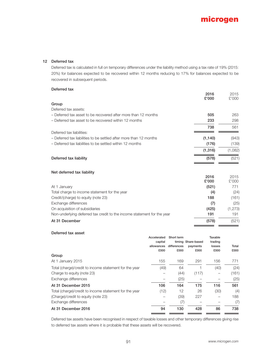# microgen

#### 12 Deferred tax

Deferred tax is calculated in full on temporary differences under the liability method using a tax rate of 19% (2015: 20%) for balances expected to be recovered within 12 months reducing to 17% for balances expected to be recovered in subsequent periods.

| Deferred tax                                                            |               |               |
|-------------------------------------------------------------------------|---------------|---------------|
|                                                                         | 2016<br>£'000 | 2015<br>£'000 |
| Group                                                                   |               |               |
| Deferred tax assets:                                                    |               |               |
| - Deferred tax asset to be recovered after more than 12 months          | 505           | 263           |
| - Deferred tax asset to be recovered within 12 months                   | 233           | 298           |
|                                                                         | 738           | 561           |
| Deferred tax liabilities:                                               |               |               |
| - Deferred tax liabilities to be settled after more than 12 months      | (1, 140)      | (943)         |
| - Deferred tax liabilities to be settled within 12 months               | (176)         | (139)         |
|                                                                         | (1, 316)      | (1,082)       |
| Deferred tax liability                                                  | (578)         | (521)         |
| Net deferred tax liability                                              |               |               |
|                                                                         | 2016          | 2015          |
|                                                                         | £'000         | £'000         |
| At 1 January                                                            | (521)         | 771           |
| Total charge to income statement for the year                           | (4)           | (24)          |
| Credit/(charge) to equity (note 23)                                     | 188           | (161)         |
| Exchange differences                                                    | (7)           | (25)          |
| On acquisition of subsidiaries                                          | (425)         | (1, 273)      |
| Non-underlying deferred tax credit to the income statement for the year | 191           | 191           |
| At 31 December                                                          | (578)         | (521)         |

| Group<br>At 1 January 2015                                                                                                                                          | Accelerated<br>capital<br>allowances<br>£000<br>155 | Short term<br>differences<br>£000<br>169 | timing Share-based<br>payments<br>£000<br>291 | Taxable<br>trading<br>losses<br>£000<br>156 | Total<br>£000<br>771            |
|---------------------------------------------------------------------------------------------------------------------------------------------------------------------|-----------------------------------------------------|------------------------------------------|-----------------------------------------------|---------------------------------------------|---------------------------------|
| Total (charge)/credit to income statement for the year<br>Charge to equity (note 23)<br>Exchange differences                                                        | (49)                                                | 64<br>(44)<br>(25)                       | (117)                                         | (40)                                        | (24)<br>(161)<br>(25)           |
| At 31 December 2015<br>Total (charge)/credit to income statement for the year<br>(Charge)/credit to equity (note 23)<br>Exchange differences<br>At 31 December 2016 | 106<br>(12)<br>94                                   | 164<br>12<br>(39)<br>(7)<br>130          | 175<br>26<br>227<br>428                       | 116<br>(30)<br>86                           | 561<br>(4)<br>188<br>(7)<br>738 |

Deferred tax assets have been recognised in respect of taxable losses and other temporary differences giving rise to deferred tax assets where it is probable that these assets will be recovered.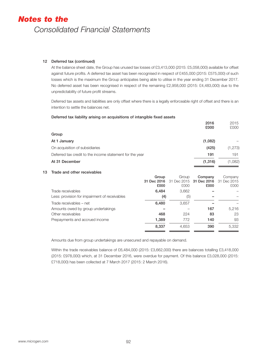### 12 Deferred tax (continued)

At the balance sheet date, the Group has unused tax losses of £3,413,000 (2015: £5,058,000) available for offset against future profits. A deferred tax asset has been recognised in respect of £455,000 (2015: £575,000) of such losses which is the maximum the Group anticipates being able to utilise in the year ending 31 December 2017. No deferred asset has been recognised in respect of the remaining £2,958,000 (2015: £4,483,000) due to the unpredictability of future profit streams.

Deferred tax assets and liabilities are only offset where there is a legally enforceable right of offset and there is an intention to settle the balances net.

#### Deferred tax liability arising on acquisitions of intangible fixed assets

|     |                                                          |             | 2016<br>£000            | 2015<br>£000 |
|-----|----------------------------------------------------------|-------------|-------------------------|--------------|
|     | Group                                                    |             |                         |              |
|     | At 1 January                                             |             | (1,082)                 |              |
|     | On acquisition of subsidiaries                           |             | (425)                   | (1,273)      |
|     | Deferred tax credit to the income statement for the year |             | 191                     | 191          |
|     | At 31 December                                           |             | (1,316)                 | (1,082)      |
| 13. | Trade and other receivables                              |             |                         |              |
|     | Group                                                    | Group       | Company                 | Company      |
|     | 31 Dec 2016                                              | 31 Dec 2015 | 31 Dec 2016 31 Dec 2015 |              |
|     | <b>FOOO</b>                                              | <b>FUUU</b> | <b>FOOO</b>             | <b>FUUU</b>  |

|                                               | £000  | £000  | £000 | £000  |
|-----------------------------------------------|-------|-------|------|-------|
| Trade receivables                             | 6.484 | 3,662 |      |       |
| Less: provision for impairment of receivables | (4)   | (5)   |      |       |
| Trade receivables - net                       | 6.480 | 3.657 |      |       |
| Amounts owed by group undertakings            |       |       | 167  | 5.216 |
| Other receivables                             | 468   | 224   | 83   | 23    |
| Prepayments and accrued income                | 1.389 | 772   | 140  | 93    |
|                                               | 8,337 | 4.653 | 390  | 5.332 |

Amounts due from group undertakings are unsecured and repayable on demand.

Within the trade receivables balance of £6,484,000 (2015: £3,662,000) there are balances totalling £3,418,000 (2015: £978,000) which, at 31 December 2016, were overdue for payment. Of this balance £3,028,000 (2015: £718,000) has been collected at 7 March 2017 (2015: 2 March 2016).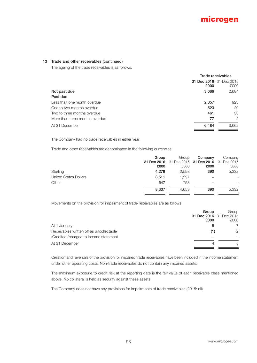

#### 13 Trade and other receivables (continued)

The ageing of the trade receivables is as follows:

|                                | Trade receivables |                                        |
|--------------------------------|-------------------|----------------------------------------|
|                                | £000              | <b>31 Dec 2016</b> 31 Dec 2015<br>£000 |
| Not past due                   | 3,066             | 2,684                                  |
| Past due                       |                   |                                        |
| Less than one month overdue    | 2,357             | 923                                    |
| One to two months overdue      | 523               | 20                                     |
| Two to three months overdue    | 461               | 33                                     |
| More than three months overdue | 77                | $\overline{2}$                         |
| At 31 December                 | 6,484             | 3,662                                  |

The Company had no trade receivables in either year.

Trade and other receivables are denominated in the following currencies:

|                              | Group | Group | Company                                         | Company |
|------------------------------|-------|-------|-------------------------------------------------|---------|
|                              |       |       | 31 Dec 2016 31 Dec 2015 31 Dec 2016 31 Dec 2015 |         |
|                              | £000  | £000  | £000                                            | £000    |
| Sterling                     | 4.279 | 2.598 | 390                                             | 5,332   |
| <b>United States Dollars</b> | 3.511 | 1,297 | -                                               |         |
| Other                        | 547   | 758   | -                                               |         |
|                              | 8.337 | 4.653 | 390                                             | 5,332   |

Movements on the provision for impairment of trade receivables are as follows:

|                                          | Group | Group                   |
|------------------------------------------|-------|-------------------------|
|                                          |       | 31 Dec 2016 31 Dec 2015 |
|                                          | £000  | £000                    |
| At 1 January                             | 5     |                         |
| Receivables written off as uncollectable | (1)   | (2)                     |
| (Credited)/charged to income statement   |       |                         |
| At 31 December                           |       | 5                       |

Creation and reversals of the provision for impaired trade receivables have been included in the income statement under other operating costs. Non-trade receivables do not contain any impaired assets.

The maximum exposure to credit risk at the reporting date is the fair value of each receivable class mentioned above. No collateral is held as security against these assets.

The Company does not have any provisions for impairments of trade receivables (2015: nil).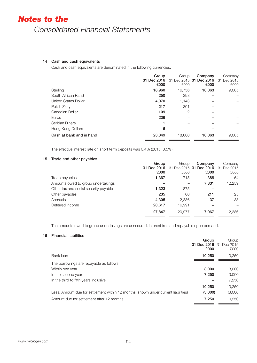### 14 Cash and cash equivalents

Cash and cash equivalents are denominated in the following currencies:

|                             | Group<br>31 Dec 2016<br>£000 | Group<br>£000 | Company<br>31 Dec 2015 31 Dec 2016<br>£000 | Company<br>31 Dec 2015<br>£000 |
|-----------------------------|------------------------------|---------------|--------------------------------------------|--------------------------------|
| Sterling                    | 18,960                       | 16,756        | 10,063                                     | 9,085                          |
| South African Rand          | 250                          | 398           |                                            |                                |
| <b>United States Dollar</b> | 4,070                        | 1.143         |                                            |                                |
| Polish Zloty                | 217                          | 301           |                                            |                                |
| Canadian Dollar             | 109                          | 2             |                                            |                                |
| Euros                       | 236                          |               |                                            |                                |
| Serbian Dinars              |                              |               |                                            |                                |
| Hong Kong Dollars           | 6                            |               |                                            |                                |
| Cash at bank and in hand    | 23,849                       | 18,600        | 10,063                                     | 9.085                          |

The effective interest rate on short term deposits was 0.4% (2015: 0.5%).

### 15 Trade and other payables

|                                       | Group       | Group  | Company                        | Company     |
|---------------------------------------|-------------|--------|--------------------------------|-------------|
|                                       | 31 Dec 2016 |        | 31 Dec 2015 <b>31 Dec 2016</b> | 31 Dec 2015 |
|                                       | £000        | £000   | £000                           | £000        |
| Trade payables                        | 1,367       | 715    | 388                            | 64          |
| Amounts owed to group undertakings    |             |        | 7,331                          | 12,259      |
| Other tax and social security payable | 1,323       | 875    |                                |             |
| Other payables                        | 235         | 60     | 211                            | 25          |
| Accruals                              | 4,305       | 2,336  | 37                             | 38          |
| Deferred income                       | 20,617      | 16.991 |                                |             |
|                                       | 27,847      | 20,977 | 7,967                          | 12,386      |

The amounts owed to group undertakings are unsecured, interest free and repayable upon demand.

## 16 Financial liabilities

|                                                                                    | Group<br>31 Dec 2016 31 Dec 2015<br>£000 | Group<br>£000 |
|------------------------------------------------------------------------------------|------------------------------------------|---------------|
| Bank loan                                                                          | 10.250                                   | 13.250        |
| The borrowings are repayable as follows:                                           |                                          |               |
| Within one year                                                                    | 3.000                                    | 3,000         |
| In the second year                                                                 | 7.250                                    | 3.000         |
| In the third to fifth years inclusive                                              |                                          | 7.250         |
|                                                                                    | 10,250                                   | 13.250        |
| Less: Amount due for settlement within 12 months (shown under current liabilities) | (3,000)                                  | (3,000)       |
| Amount due for settlement after 12 months                                          | 7.250                                    | 10.250        |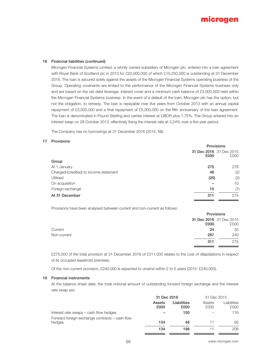# microgen

#### 16 Financial liabilities (continued)

Microgen Financial Systems Limited, a wholly owned subsidiary of Microgen plc, entered into a loan agreement with Royal Bank of Scotland plc in 2013 for £20,000,000 of which £10,250,000 is outstanding at 31 December 2016. The loan is secured solely against the assets of the Microgen Financial Systems operating business of the Group. Operating covenants are limited to the performance of the Microgen Financial Systems business only and are based on the net debt leverage, interest cover and a minimum cash balance of £3,000,000 held within the Microgen Financial Systems business. In the event of a default of the loan, Microgen plc has the option, but not the obligation, to remedy. The loan is repayable over five years from October 2013 with an annual capital repayment of £3,000,000 and a final repayment of £5,000,000 on the fifth anniversary of the loan agreement. The loan is denominated in Pound Sterling and carries interest at LIBOR plus 1.75%. The Group entered into an interest swap on 28 October 2013, effectively fixing the interest rate at 3.24% over a five year period.

The Company has no borrowings at 31 December 2016 (2015: Nil).

#### 17 Provisions

|                                        | <b>Provisions</b> |                         |
|----------------------------------------|-------------------|-------------------------|
|                                        |                   | 31 Dec 2016 31 Dec 2015 |
|                                        | £000              | £000                    |
| Group                                  |                   |                         |
| At 1 January                           | 275               | 276                     |
| Charged/(credited) to income statement | 46                | (2)                     |
| Utilised                               | (20)              | (2)                     |
| On acquisition                         |                   | 10                      |
| Foreign exchange                       | 10                | (7)                     |
| At 31 December                         | 311               | 275                     |

Provisions have been analysed between current and non-current as follows:

|             |                                 | <b>Provisions</b> |  |
|-------------|---------------------------------|-------------------|--|
|             | 31 Dec 2016 31 Dec 2015<br>£000 | £000              |  |
| Current     | 24                              | 35                |  |
| Non-current | 287                             | 240               |  |
|             | 311                             | 275               |  |

£275,000 of the total provision at 31 December 2016 of £311,000 relates to the cost of dilapidations in respect of its occupied leasehold premises.

Of the non-current provision, £240,000 is expected to unwind within 2 to 5 years (2015: £240,000).

#### 18 Financial instruments

At the balance sheet date, the total notional amount of outstanding forward foreign exchange and the interest rate swap are:

|                                                          | 31 Dec 2016    |                     | 31 Dec 2015    |                     |
|----------------------------------------------------------|----------------|---------------------|----------------|---------------------|
|                                                          | Assets<br>£000 | Liabilities<br>£000 | Assets<br>£000 | Liabilities<br>£000 |
| Interest rate swaps – cash flow hedges                   |                | 150                 |                | 116                 |
| Forward foreign exchange contracts – cash flow<br>hedges | 134            | 48                  | 11             | 92                  |
|                                                          | 134            | 198                 |                | 208                 |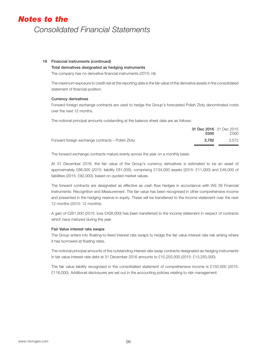### 18 Financial instruments (continued)

#### Total derivatives designated as hedging instruments

The company has no derivative financial instruments (2015: nil).

The maximum exposure to credit risk at the reporting date is the fair value of the derivative assets in the consolidated statement of financial position.

#### Currency derivatives

Forward foreign exchange contracts are used to hedge the Group's forecasted Polish Zloty denominated costs over the next 12 months.

The notional principal amounts outstanding at the balance sheet date are as follows:

|                                                   |       | 31 Dec 2016 31 Dec 2015 |
|---------------------------------------------------|-------|-------------------------|
|                                                   | £000  | £000                    |
| Forward foreign exchange contracts – Polish Zloty | 3.782 | 3.572                   |

The forward exchange contracts mature evenly across the year on a monthly basis.

At 31 December 2016, the fair value of the Group's currency derivatives is estimated to be an asset of approximately £86,000 (2015: liability £81,000), comprising £134,000 assets (2015: £11,000) and £48,000 of liabilities (2015: £92,000), based on quoted market values.

The forward contracts are designated as effective as cash flow hedges in accordance with IAS 39 Financial Instruments: Recognition and Measurement. The fair value has been recognised in other comprehensive income and presented in the hedging reserve in equity. These will be transferred to the income statement over the next 12 months (2015: 12 months).

A gain of £261,000 (2015: loss £408,000) has been transferred to the income statement in respect of contracts which have matured during the year.

#### Fair Value interest rate swaps

The Group enters into floating-to-fixed interest rate swaps to hedge the fair value interest rate risk arising where it has borrowed at floating rates.

The notional principal amounts of the outstanding interest rate swap contracts designated as hedging instruments in fair value interest rate debt at 31 December 2016 amounts to £10,250,000 (2015: £13,250,000).

The fair value liability recognised in the consolidated statement of comprehensive income is £150,000 (2015: £116,000). Additional disclosures are set out in the accounting policies relating to risk management.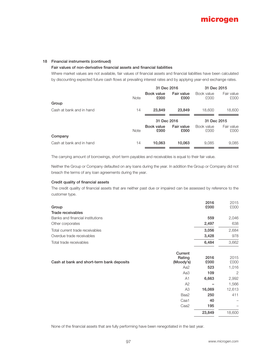### 18 Financial instruments (continued)

## Fair values of non-derivative financial assets and financial liabilities

Where market values are not available, fair values of financial assets and financial liabilities have been calculated by discounting expected future cash flows at prevailing interest rates and by applying year-end exchange rates.

|                          |             | 31 Dec 2016        |                    | 31 Dec 2015        |                    |
|--------------------------|-------------|--------------------|--------------------|--------------------|--------------------|
|                          | <b>Note</b> | Book value<br>£000 | Fair value<br>£000 | Book value<br>£000 | Fair value<br>£000 |
| Group                    |             |                    |                    |                    |                    |
| Cash at bank and in hand | 14          | 23,849             | 23,849             | 18,600             | 18,600             |
|                          |             |                    |                    |                    |                    |
|                          |             | 31 Dec 2016        |                    | 31 Dec 2015        |                    |
|                          | <b>Note</b> | Book value<br>£000 | Fair value<br>£000 | Book value<br>£000 | Fair value<br>£000 |
| Company                  |             |                    |                    |                    |                    |

The carrying amount of borrowings, short term payables and receivables is equal to their fair value.

Neither the Group or Company defaulted on any loans during the year. In addition the Group or Company did not breach the terms of any loan agreements during the year.

### Credit quality of financial assets

The credit quality of financial assets that are neither past due or impaired can be assessed by reference to the customer type.

|                                                                  | 2016         | 2015           |
|------------------------------------------------------------------|--------------|----------------|
| Group                                                            | £000         | <b>COOO</b>    |
| <b>Trade receivables</b>                                         |              |                |
| Banks and financial institutions                                 | 559          | 2,046          |
| Other corporates                                                 | 2,497        | 638            |
| Total current trade receivables                                  | 3,056        | 2,684          |
| Overdue trade receivables                                        | 3,428        | 978            |
| Total trade receivables                                          | 6,484        | 3,662          |
| Current                                                          |              |                |
| Rating<br>Cash at bank and short-term bank deposits<br>(Moody's) | 2016<br>£000 | 2015<br>£000   |
| Aa2                                                              | 523          | 1,016          |
| Aa3                                                              | 109          | $\overline{2}$ |
| A <sub>1</sub>                                                   | 6,663        | 2,992          |
| A <sub>2</sub>                                                   |              | 1,566          |
| A <sub>3</sub>                                                   | 16,069       | 12,613         |
| Baa2                                                             | 250          | 411            |
| Caa1                                                             | 40           |                |
| Caa <sub>2</sub>                                                 | 195          |                |
|                                                                  | 23,849       | 18,600         |

None of the financial assets that are fully performing have been renegotiated in the last year.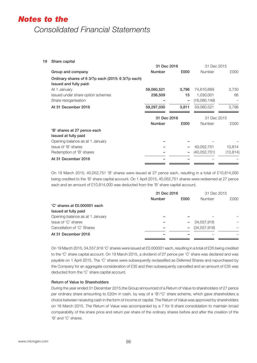| 19 | Share capital                                      |               |       |               |           |
|----|----------------------------------------------------|---------------|-------|---------------|-----------|
|    |                                                    | 31 Dec 2016   |       | 31 Dec 2015   |           |
|    | Group and company                                  | <b>Number</b> | £000  | <b>Number</b> | £000      |
|    | Ordinary shares of 6 3/7p each (2015: 6 3/7p each) |               |       |               |           |
|    | Issued and fully paid:                             |               |       |               |           |
|    | At 1 January                                       | 59,060,521    | 3,796 | 74,610,669    | 3,730     |
|    | Issued under share option schemes                  | 236,509       | 15    | 1,030,001     | 66        |
|    | Share reorganisation                               |               | -     | (16,580,149)  |           |
|    | At 31 December 2016                                | 59,297,030    | 3,811 | 59,060,521    | 3,796     |
|    |                                                    | 31 Dec 2016   |       | 31 Dec 2015   |           |
|    |                                                    | <b>Number</b> | £000  | Number        | £000      |
|    | 'B' shares at 27 pence each                        |               |       |               |           |
|    | Issued at fully paid                               |               |       |               |           |
|    | Opening balance as at 1 January                    |               |       |               |           |
|    | Issue of 'B' shares                                |               |       | 40,052,751    | 10,814    |
|    | Redemption of 'B' shares                           |               |       | (40,052,751)  | (10, 814) |
|    | At 31 December 2016                                |               |       |               |           |
|    |                                                    |               |       |               |           |

On 19 March 2015, 40,052,751 'B' shares were issued at 27 pence each, resulting in a total of £10,814,000 being credited to the 'B' share capital account. On 1 April 2015, 40,052,751 shares were redeemed at 27 pence each and an amount of £10,814,000 was deducted from the 'B' share capital account.

|                                 | 31 Dec 2016   |      | 31 Dec 2015    |      |
|---------------------------------|---------------|------|----------------|------|
|                                 | <b>Number</b> | £000 | <b>Number</b>  | £000 |
| 'C' shares at £0,000001 each    |               |      |                |      |
| Issued at fully paid            |               |      |                |      |
| Opening balance as at 1 January |               |      |                |      |
| Issue of 'C' shares             |               |      | 34,557,918     |      |
| Cancellation of 'C' Shares      |               | н.   | (34, 557, 918) |      |
| At 31 December 2016             |               |      |                |      |
|                                 |               |      |                |      |

On 19 March 2015, 34,557,918 'C' shares were issued at £0.000001 each, resulting in a total of £35 being credited to the 'C' share capital account. On 19 March 2015, a dividend of 27 pence per 'C' share was declared and was payable on 1 April 2015. The 'C' shares were subsequently reclassified as Deferred Shares and repurchased by the Company for an aggregate consideration of £35 and then subsequently cancelled and an amount of £35 was deducted from the 'C' share capital account.

#### Return of Value to Shareholders

During the year ended 31 December 2015,the Group announced of a Return of Value to shareholders of 27 pence per ordinary share amounting to £20m in cash, by way of a 'B'/'C' share scheme, which gave shareholders a choice between receiving cash in the form of income or capital. The Return of Value was approved by shareholders on 18 March 2015. The Return of Value was accompanied by a 7 for 9 share consolidation to maintain broad comparability of the share price and return per share of the ordinary shares before and after the creation of the 'B' and 'C' shares.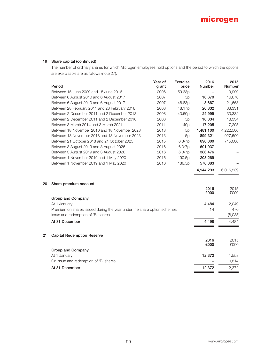# microgen

#### 19 Share capital (continued)

The number of ordinary shares for which Microgen employees hold options and the period to which the options are exercisable are as follows (note 27):

|    | Period                                                                  | Year of<br>grant | Exercise<br>price | 2016<br><b>Number</b> | 2015<br><b>Number</b> |
|----|-------------------------------------------------------------------------|------------------|-------------------|-----------------------|-----------------------|
|    | Between 15 June 2009 and 15 June 2016                                   | 2006             | 59.33p            |                       | 9,999                 |
|    | Between 6 August 2010 and 6 August 2017                                 | 2007             | 5p                | 16,670                | 16,670                |
|    | Between 6 August 2010 and 6 August 2017                                 | 2007             | 46.83p            | 8,667                 | 21,668                |
|    | Between 28 February 2011 and 28 February 2018                           | 2008             | 48.17p            | 20,832                | 33,331                |
|    | Between 2 December 2011 and 2 December 2018                             | 2008             | 43.50p            | 24,999                | 33,332                |
|    | Between 2 December 2011 and 2 December 2018                             | 2008             | 5p                | 18,334                | 18,334                |
|    | Between 3 March 2014 and 3 March 2021                                   | 2011             | 140 <sub>p</sub>  | 17,205                | 17,205                |
|    | Between 18 November 2016 and 18 November 2023                           | 2013             | 5p                | 1,481,100             | 4,222,500             |
|    | Between 18 November 2018 and 18 November 2023                           | 2013             | 5p                | 899,321               | 927,500               |
|    | Between 21 October 2018 and 21 October 2025                             | 2015             | 63/7p             | 690,000               | 715,000               |
|    | Between 3 August 2019 and 3 August 2026                                 | 2016             | 63/7p             | 601,037               |                       |
|    | Between 3 August 2019 and 3 August 2026                                 | 2016             | 63/7p             | 386,476               |                       |
|    | Between 1 November 2019 and 1 May 2020                                  | 2016             | 190.5p            | 203,269               |                       |
|    | Between 1 November 2019 and 1 May 2020                                  | 2016             | 186.5p            | 576,383               |                       |
|    |                                                                         |                  |                   | 4,944,293             | 6,015,539             |
| 20 | Share premium account                                                   |                  |                   |                       |                       |
|    |                                                                         |                  |                   | 2016<br>£000          | 2015<br>£000          |
|    | <b>Group and Company</b>                                                |                  |                   |                       |                       |
|    | At 1 January                                                            |                  |                   | 4,484                 | 12,049                |
|    | Premium on shares issued during the year under the share option schemes |                  |                   | 14                    | 470                   |
|    | Issue and redemption of 'B' shares                                      |                  |                   |                       | (8,035)               |
|    | At 31 December                                                          |                  |                   | 4,498                 | 4,484                 |
| 21 | <b>Capital Redemption Reserve</b>                                       |                  |                   |                       |                       |
|    |                                                                         |                  |                   | 2016                  | 2015                  |
|    |                                                                         |                  |                   | £000                  | £000                  |
|    | <b>Group and Company</b>                                                |                  |                   |                       |                       |
|    | At 1 January                                                            |                  |                   | 12,372                | 1,558                 |
|    | On issue and redemption of 'B' shares                                   |                  |                   |                       | 10,814                |
|    | At 31 December                                                          |                  |                   | 12,372                | 12,372                |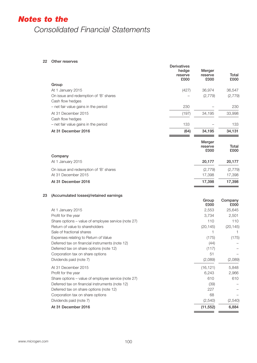#### 22 Other reserves

|    | <b>ULIEL IGSELVES</b>                               | <b>Derivatives</b><br>hedge<br>reserve<br>£000 | Merger<br>reserve<br>£000 | Total<br>£000   |
|----|-----------------------------------------------------|------------------------------------------------|---------------------------|-----------------|
|    | Group                                               |                                                |                           |                 |
|    | At 1 January 2015                                   | (427)                                          | 36,974                    | 36,547          |
|    | On issue and redemption of 'B' shares               |                                                | (2,779)                   | (2,779)         |
|    | Cash flow hedges                                    |                                                |                           |                 |
|    | - net fair value gains in the period                | 230                                            |                           | 230             |
|    | At 31 December 2015                                 | (197)                                          | 34,195                    | 33,998          |
|    | Cash flow hedges                                    |                                                |                           |                 |
|    | - net fair value gains in the period                | 133                                            |                           | 133             |
|    | At 31 December 2016                                 | (64)                                           | 34,195                    | 34,131          |
|    |                                                     |                                                | Merger<br>reserve<br>£000 | Total<br>£000   |
|    | Company                                             |                                                |                           |                 |
|    | At 1 January 2015                                   |                                                | 20,177                    | 20,177          |
|    | On issue and redemption of 'B' shares               |                                                | (2,779)                   | (2,779)         |
|    | At 31 December 2015                                 |                                                | 17,398                    | 17,398          |
|    | At 31 December 2016                                 |                                                | 17,398                    | 17,398          |
| 23 | (Accumulated losses)/retained earnings              |                                                |                           |                 |
|    |                                                     |                                                | Group<br>£000             | Company<br>£000 |
|    | At 1 January 2015                                   |                                                | 2,553                     | 25,645          |
|    | Profit for the year                                 |                                                | 3,734                     | 2,501           |
|    | Share options - value of employee service (note 27) |                                                | 110                       | 110             |
|    | Return of value to shareholders                     |                                                | (20, 145)                 | (20, 145)       |
|    | Sale of fractional shares                           |                                                | 1                         | 1               |
|    | Expenses relating to Return of Value                |                                                | (175)                     | (175)           |
|    | Deferred tax on financial instruments (note 12)     |                                                | (44)                      |                 |
|    | Deferred tax on share options (note 12)             |                                                | (117)                     |                 |
|    | Corporation tax on share options                    |                                                | 51                        |                 |
|    | Dividends paid (note 7)                             |                                                | (2,089)                   | (2,089)         |
|    | At 31 December 2015                                 |                                                | (16, 121)                 | 5,848           |
|    | Profit for the year                                 |                                                | 6,243                     | 2,966           |
|    | Share options - value of employee service (note 27) |                                                | 610                       | 610             |
|    | Deferred tax on financial instruments (note 12)     |                                                | (39)                      |                 |
|    | Deferred tax on share options (note 12)             |                                                | 227                       |                 |
|    | Corporation tax on share options                    |                                                | 68                        |                 |
|    | Dividends paid (note 7)                             |                                                | (2,540)                   | (2,540)         |
|    | At 31 December 2016                                 |                                                | (11, 552)                 | 6,884           |
|    |                                                     |                                                |                           |                 |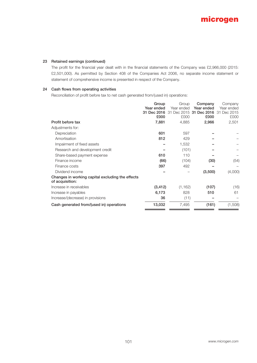# microgen

#### 23 Retained earnings (continued)

The profit for the financial year dealt with in the financial statements of the Company was £2,966,000 (2015: £2,501,000). As permitted by Section 408 of the Companies Act 2006, no separate income statement or statement of comprehensive income is presented in respect of the Company.

#### 24 Cash flows from operating activities

Reconciliation of profit before tax to net cash generated from/(used in) operations:

|                                                                     | Group<br>Year ended<br>31 Dec 2016 | Group<br>Year ended | Company<br>Year ended<br>31 Dec 2015 <b>31 Dec 2016</b> | Company<br>Year ended<br>31 Dec 2015 |
|---------------------------------------------------------------------|------------------------------------|---------------------|---------------------------------------------------------|--------------------------------------|
|                                                                     | £000                               | £000                | £000                                                    | £000                                 |
| Profit before tax                                                   | 7,881                              | 4,885               | 2,966                                                   | 2,501                                |
| Adjustments for:                                                    |                                    |                     |                                                         |                                      |
| Depreciation                                                        | 601                                | 597                 |                                                         |                                      |
| Amortisation                                                        | 812                                | 429                 |                                                         |                                      |
| Impairment of fixed assets                                          |                                    | 1,532               |                                                         |                                      |
| Research and development credit                                     |                                    | (101)               |                                                         |                                      |
| Share-based payment expense                                         | 610                                | 110                 |                                                         |                                      |
| Finance income                                                      | (66)                               | (104)               | (30)                                                    | (54)                                 |
| Finance costs                                                       | 397                                | 492                 |                                                         |                                      |
| Dividend income                                                     |                                    |                     | (3,500)                                                 | (4,000)                              |
| Changes in working capital excluding the effects<br>of acquisition: |                                    |                     |                                                         |                                      |
| Increase in receivables                                             | (3, 412)                           | (1, 162)            | (107)                                                   | (16)                                 |
| Increase in payables                                                | 6,173                              | 828                 | 510                                                     | 61                                   |
| Increase/(decrease) in provisions                                   | 36                                 | (11)                |                                                         |                                      |
| Cash generated from/(used in) operations                            | 13,032                             | 7,495               | (161)                                                   | (1,508)                              |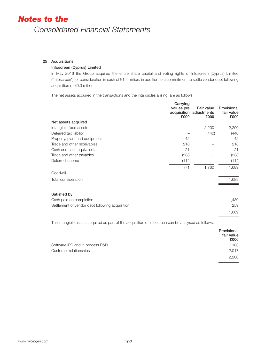### 25 Acquisitions

#### Infoscreen (Cyprus) Limited

In May 2016 the Group acquired the entire share capital and voting rights of Infoscreen (Cyprus) Limited ("Infoscreen") for consideration in cash of £1.4 million, in addition to a commitment to settle vendor debt following acquisition of £0.3 million.

The net assets acquired in the transactions and the intangibles arising, are as follows:

|                               | Carrying<br>values pre<br>£000 | Fair value<br>acquisition adjustments<br>£000 | Provisional<br>fair value<br>£000 |
|-------------------------------|--------------------------------|-----------------------------------------------|-----------------------------------|
| Net assets acquired           |                                |                                               |                                   |
| Intangible fixed assets       |                                | 2,200                                         | 2,200                             |
| Deferred tax liability        |                                | (440)                                         | (440)                             |
| Property, plant and equipment | 42                             |                                               | 42                                |
| Trade and other receivables   | 218                            |                                               | 218                               |
| Cash and cash equivalents     | 21                             |                                               | 21                                |
| Trade and other payables      | (238)                          |                                               | (238)                             |
| Deferred income               | (114)                          |                                               | (114)                             |
|                               | (71)                           | 1,760                                         | 1,689                             |
| Goodwill                      |                                |                                               |                                   |
| Total consideration           |                                |                                               | 1,689                             |
|                               |                                |                                               |                                   |

#### Satisfied by

| Cash paid on completion                         | 1.430 |
|-------------------------------------------------|-------|
| Settlement of vendor debt following acquisition | 259   |
|                                                 | 1.689 |

The intangible assets acquired as part of the acquisition of Infoscreen can be analysed as follows:

|                                 | Provisional<br>fair value<br>£000 |
|---------------------------------|-----------------------------------|
| Software IPR and in process R&D | 183                               |
| Customer relationships          | 2.017                             |
|                                 | 2,200                             |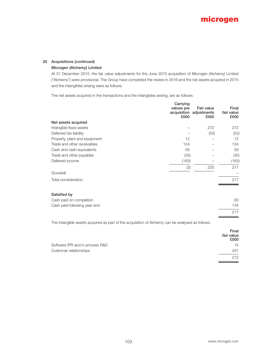# microgen

## 25 Acquisitions (continued)

#### Microgen (Alchemy) Limited

At 31 December 2015, the fair value adjustments for the June 2015 acquisition of Microgen (Alchemy) Limited ("Alchemy") were provisional. The Group have completed the review in 2016 and the net assets acquired in 2015 and the intangibles arising were as follows:

The net assets acquired in the transactions and the intangibles arising, are as follows:

|                               | Carrying<br>values pre<br>£000 | Fair value<br>acquisition adjustments<br>£000 | Final<br>fair value<br>£000 |
|-------------------------------|--------------------------------|-----------------------------------------------|-----------------------------|
| Net assets acquired           |                                |                                               |                             |
| Intangible fixed assets       |                                | 272                                           | 272                         |
| Deferred tax liability        |                                | (52)                                          | (52)                        |
| Property, plant and equipment | 12                             |                                               | 12                          |
| Trade and other receivables   | 124                            |                                               | 124                         |
| Cash and cash equivalents     | 59                             |                                               | 59                          |
| Trade and other payables      | (35)                           |                                               | (35)                        |
| Deferred income               | (163)                          |                                               | (163)                       |
|                               | (3)                            | 220                                           | 217                         |
| Goodwill                      |                                |                                               |                             |
| Total consideration           |                                |                                               | 217                         |
|                               |                                |                                               |                             |

#### Satisfied by

| Cash paid on completion      | 83  |
|------------------------------|-----|
| Cash paid following year end | 134 |
|                              | 217 |
|                              |     |

The intangible assets acquired as part of the acquisition of Alchemy can be analysed as follows:

|                                 | Final<br>fair value<br>£000 |
|---------------------------------|-----------------------------|
| Software IPR and in process R&D | 15                          |
| Customer relationships          | 257                         |
|                                 | 272                         |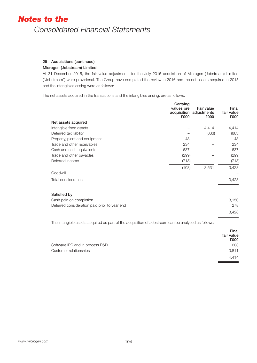## 25 Acquisitions (continued)

## Microgen (Jobstream) Limited

At 31 December 2015, the fair value adjustments for the July 2015 acquisition of Microgen (Jobstream) Limited ("Jobstream") were provisional. The Group have completed the review in 2016 and the net assets acquired in 2015 and the intangibles arising were as follows:

The net assets acquired in the transactions and the intangibles arising, are as follows:

|                                               | Carrying<br>values pre<br>£000 | <b>Fair value</b><br>acquisition adjustments<br>£000 | Final<br>fair value<br>£000 |
|-----------------------------------------------|--------------------------------|------------------------------------------------------|-----------------------------|
| Net assets acquired                           |                                |                                                      |                             |
| Intangible fixed assets                       |                                | 4,414                                                | 4,414                       |
| Deferred tax liability                        |                                | (883)                                                | (883)                       |
| Property, plant and equipment                 | 43                             |                                                      | 43                          |
| Trade and other receivables                   | 234                            |                                                      | 234                         |
| Cash and cash equivalents                     | 637                            |                                                      | 637                         |
| Trade and other payables                      | (299)                          |                                                      | (299)                       |
| Deferred income                               | (718)                          |                                                      | (718)                       |
|                                               | (103)                          | 3,531                                                | 3,428                       |
| Goodwill                                      |                                |                                                      |                             |
| Total consideration                           |                                |                                                      | 3,428                       |
| Satisfied by                                  |                                |                                                      |                             |
| Cash paid on completion                       |                                |                                                      | 3,150                       |
| Deferred consideration paid prior to year end |                                |                                                      | 278                         |

The intangible assets acquired as part of the acquisition of Jobstream can be analysed as follows:

|                                 | Final<br>fair value<br>£000 |
|---------------------------------|-----------------------------|
| Software IPR and in process R&D | 603                         |
| Customer relationships          | 3,811                       |
|                                 | 4.414                       |

3,428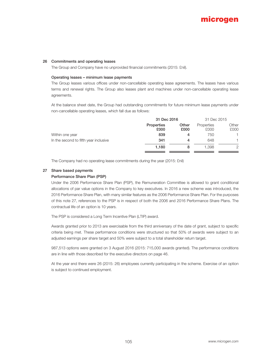#### 26 Commitments and operating leases

The Group and Company have no unprovided financial commitments (2015: £nil).

#### Operating leases – minimum lease payments

The Group leases various offices under non-cancellable operating lease agreements. The leases have various terms and renewal rights. The Group also leases plant and machines under non-cancellable operating lease agreements.

At the balance sheet date, the Group had outstanding commitments for future minimum lease payments under non-cancellable operating leases, which fall due as follows:

|                                       | 31 Dec 2016               |               | 31 Dec 2015        |                |
|---------------------------------------|---------------------------|---------------|--------------------|----------------|
|                                       | <b>Properties</b><br>£000 | Other<br>£000 | Properties<br>£000 | Other<br>£000  |
| Within one year                       | 839                       | 4             | 750                |                |
| In the second to fifth year inclusive | 341                       | 4             | 648                |                |
|                                       | 1.180                     |               | 1.398              | $\overline{2}$ |

The Company had no operating lease commitments during the year (2015: £nil)

#### 27 Share based payments

#### Performance Share Plan (PSP)

Under the 2006 Performance Share Plan (PSP), the Remuneration Committee is allowed to grant conditional allocations of par value options in the Company to key executives. In 2016 a new scheme was introduced, the 2016 Performance Share Plan, with many similar features as the 2006 Performance Share Plan. For the purposes of this note 27, references to the PSP is in respect of both the 2006 and 2016 Performance Share Plans. The contractual life of an option is 10 years.

The PSP is considered a Long Term Incentive Plan (LTIP) award.

Awards granted prior to 2013 are exercisable from the third anniversary of the date of grant, subject to specific criteria being met. These performance conditions were structured so that 50% of awards were subject to an adjusted earnings per share target and 50% were subject to a total shareholder return target.

987,513 options were granted on 3 August 2016 (2015: 715,000 awards granted). The performance conditions are in line with those described for the executive directors on page 46.

At the year end there were 26 (2015: 26) employees currently participating in the scheme. Exercise of an option is subject to continued employment.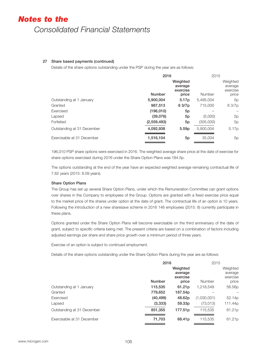#### 27 Share based payments (continued)

Details of the share options outstanding under the PSP during the year are as follows:

|                            | 2016          |                                 | 2015      |                                 |
|----------------------------|---------------|---------------------------------|-----------|---------------------------------|
|                            |               | Weighted<br>average<br>exercise |           | Weighted<br>average<br>exercise |
|                            | <b>Number</b> | price                           | Number    | price                           |
| Outstanding at 1 January   | 5,900,004     | 5.17 <sub>p</sub>               | 5,495,004 | 5p                              |
| Granted                    | 987,513       | 63/7p                           | 715,000   | 63/7p                           |
| Exercised                  | (196, 010)    | 5p                              |           |                                 |
| Lapsed                     | (39,076)      | 5p                              | (5,000)   | 5p                              |
| Forfeited                  | (2,559,493)   | 5p                              | (305,000) | 5p                              |
| Outstanding at 31 December | 4,092,938     | 5.59 <sub>p</sub>               | 5.900.004 | 5.17p                           |
| Exercisable at 31 December | 1,516,104     | 5p                              | 35,004    | 5p                              |
|                            |               |                                 |           |                                 |

196,010 PSP share options were exercised in 2016. The weighted average share price at the date of exercise for share options exercised during 2016 under the Share Option Plans was 184.5p.

The options outstanding at the end of the year have an expected weighted average remaining contractual life of 7.82 years (2015: 8.09 years).

#### Share Option Plans

The Group has set up several Share Option Plans, under which the Remuneration Committee can grant options over shares in the Company to employees of the Group. Options are granted with a fixed exercise price equal to the market price of the shares under option at the date of grant. The contractual life of an option is 10 years. Following the introduction of a new sharesave scheme in 2016 146 employees (2015: 8) currently participate in these plans.

Options granted under the Share Option Plans will become exercisable on the third anniversary of the date of grant, subject to specific criteria being met. The present criteria are based on a combination of factors including adjusted earnings per share and share price growth over a minimum period of three years.

Exercise of an option is subject to continued employment.

Details of the share options outstanding under the Share Option Plans during the year are as follows:

|                            | 2016          |                                 | 2015        |                                 |
|----------------------------|---------------|---------------------------------|-------------|---------------------------------|
|                            |               | Weighted<br>average<br>exercise |             | Weighted<br>average<br>exercise |
|                            | <b>Number</b> | price                           | Number      | price                           |
| Outstanding at 1 January   | 115,535       | 61.21 <sub>p</sub>              | 1,218,549   | 56.56p                          |
| Granted                    | 779,652       | 187.54p                         |             |                                 |
| Exercised                  | (40, 499)     | 48.62p                          | (1,030,001) | 52.14p                          |
| Lapsed                     | (3,333)       | 59.33 <sub>p</sub>              | (73,013)    | 111.44p                         |
| Outstanding at 31 December | 851,355       | 177.51 <sub>p</sub>             | 115,535     | 61.21 <sub>p</sub>              |
| Exercisable at 31 December | 71,703        | 68.41 <sub>p</sub>              | 115,535     | 61.21 <sub>p</sub>              |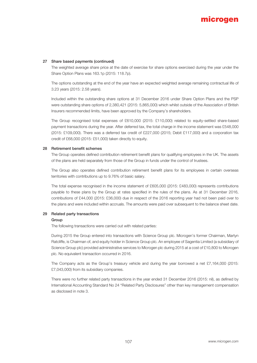# microgen

#### 27 Share based payments (continued)

The weighted average share price at the date of exercise for share options exercised during the year under the Share Option Plans was 163.1p (2015: 118.7p).

The options outstanding at the end of the year have an expected weighted average remaining contractual life of 3.23 years (2015: 2.58 years).

Included within the outstanding share options at 31 December 2016 under Share Option Plans and the PSP were outstanding share options of 2,380,421 (2015: 5,865,000) which whilst outside of the Association of British Insurers recommended limits, have been approved by the Company's shareholders.

The Group recognised total expenses of £610,000 (2015: £110,000) related to equity-settled share-based payment transactions during the year. After deferred tax, the total charge in the income statement was £548,000 (2015: £109,000). There was a deferred tax credit of £227,000 (2015; Debit £117,000) and a corporation tax credit of £68,000 (2015: £51,000) taken directly to equity.

#### 28 Retirement benefit schemes

The Group operates defined contribution retirement benefit plans for qualifying employees in the UK. The assets of the plans are held separately from those of the Group in funds under the control of trustees.

The Group also operates defined contribution retirement benefit plans for its employees in certain overseas territories with contributions up to 9.76% of basic salary.

The total expense recognised in the income statement of £605,000 (2015: £483,000) represents contributions payable to these plans by the Group at rates specified in the rules of the plans. As at 31 December 2016, contributions of £44,000 (2015: £36,000) due in respect of the 2016 reporting year had not been paid over to the plans and were included within accruals. The amounts were paid over subsequent to the balance sheet date.

#### 29 Related party transactions

#### **Group**

The following transactions were carried out with related parties:

During 2015 the Group entered into transactions with Science Group plc. Microgen's former Chairman, Martyn Ratcliffe, is Chairman of, and equity holder in Science Group plc. An employee of Sagentia Limited (a subsidiary of Science Group plc) provided administrative services to Microgen plc during 2015 at a cost of £10,800 to Microgen plc. No equivalent transaction occurred in 2016.

The Company acts as the Group's treasury vehicle and during the year borrowed a net £7,164,000 (2015: £7,043,000) from its subsidiary companies.

There were no further related party transactions in the year ended 31 December 2016 (2015: nil), as defined by International Accounting Standard No 24 "Related Party Disclosures" other than key management compensation as disclosed in note 3.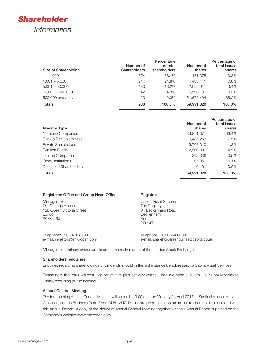

| Size of Shareholding | Number of<br><b>Shareholders</b> | Percentage<br>of total<br>shareholders | Number of<br>shares | Percentage of<br>total issued<br>shares |
|----------------------|----------------------------------|----------------------------------------|---------------------|-----------------------------------------|
| $1 - 1.000$          | 574                              | 58.4%                                  | 181,378             | 0.3%                                    |
| $1,001 - 5,000$      | 214                              | 21.8%                                  | 483.441             | 0.8%                                    |
| $5.001 - 50.000$     | 130                              | 13.2%                                  | 2,059,911           | 3.4%                                    |
| $50,001 - 500,000$   | 42                               | 4.3%                                   | 5,593,186           | 9.3%                                    |
| 500,000 and above    | 23                               | 2.3%                                   | 51.673.404          | 86.2%                                   |
| <b>Totals</b>        | 983                              | 100.0%                                 | 59,991,320          | 100.0%                                  |

| <b>Investor Type</b>            | Number of<br>shares | Percentage of<br>total issued<br>shares |
|---------------------------------|---------------------|-----------------------------------------|
| Nominee Companies               | 39,871,371          | 66.4%                                   |
| <b>Bank &amp; Bank Nominees</b> | 10,485,253          | 17.5%                                   |
| Private Shareholders            | 6,768,340           | 11.3%                                   |
| <b>Pension Funds</b>            | 2,500,000           | 4.2%                                    |
| Limited Companies               | 292,336             | 0.5%                                    |
| Other Institutions              | 67,859              | 0.1%                                    |
| Deceased Shareholders           | 6,161               | $0.0\%$                                 |
| <b>Totals</b>                   | 59,991,320          | 100.0%                                  |

| Registered Office and Group Head Office                                             | Registrar                                                                                              |
|-------------------------------------------------------------------------------------|--------------------------------------------------------------------------------------------------------|
| Microgen plc<br>Old Change House<br>128 Queen Victoria Street<br>London<br>EC4V 4BJ | Capita Asset Services<br>The Registry<br>34 Beckenham Road<br>Beckenham<br>Kent<br>BR <sub>3</sub> 4TU |
|                                                                                     |                                                                                                        |

Telephone: 020 7496 8100 e-mail: investors@microgen.com

Telephone: 0871 664 0300 e-mail: shareholdersenquiries@capita.co.uk

Microgen plc ordinary shares are listed on the main market of the London Stock Exchange.

#### Shareholders' enquiries

Enquiries regarding shareholdings or dividends should in the first instance be addressed to Capita Asset Services.

Please note that calls will cost 12p per minute plus network extras. Lines are open 9.00 am – 5.30 pm Monday to Friday, excluding public holidays.

### Annual General Meeting

The forthcoming Annual General Meeting will be held at 9.00 a.m. on Monday 24 April 2017 at Sentinel House, Harvest Crescent, Ancells Business Park, Fleet, GU51 2UZ. Details are given in a separate notice to shareholders enclosed with this Annual Report. A copy of the Notice of Annual General Meeting together with this Annual Report is posted on the Company's website www.microgen.com.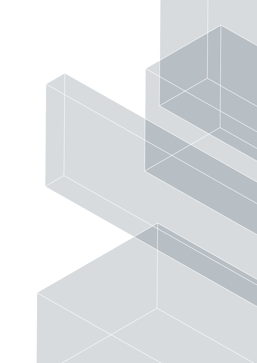